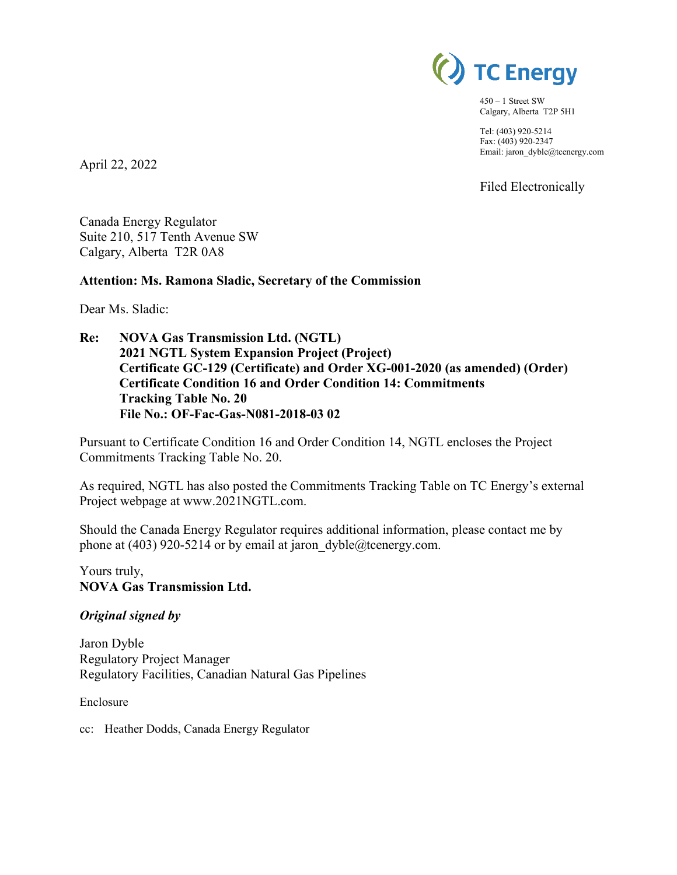

450 – 1 Street SW Calgary, Alberta T2P 5H1

Tel: (403) 920-5214 Fax: (403) 920-2347 Email: jaron\_dyble@tcenergy.com

Filed Electronically

Canada Energy Regulator Suite 210, 517 Tenth Avenue SW Calgary, Alberta T2R 0A8

### **Attention: Ms. Ramona Sladic, Secretary of the Commission**

Dear Ms. Sladic:

April 22, 2022

**Re: NOVA Gas Transmission Ltd. (NGTL) 2021 NGTL System Expansion Project (Project) Certificate GC-129 (Certificate) and Order XG-001-2020 (as amended) (Order) Certificate Condition 16 and Order Condition 14: Commitments Tracking Table No. 20 File No.: OF-Fac-Gas-N081-2018-03 02** 

Pursuant to Certificate Condition 16 and Order Condition 14, NGTL encloses the Project Commitments Tracking Table No. 20.

As required, NGTL has also posted the Commitments Tracking Table on TC Energy's external Project webpage at www.2021NGTL.com.

Should the Canada Energy Regulator requires additional information, please contact me by phone at (403) 920-5214 or by email at jaron\_dyble@tcenergy.com.

Yours truly, **NOVA Gas Transmission Ltd.**

### *Original signed by*

Jaron Dyble Regulatory Project Manager Regulatory Facilities, Canadian Natural Gas Pipelines

Enclosure

cc: Heather Dodds, Canada Energy Regulator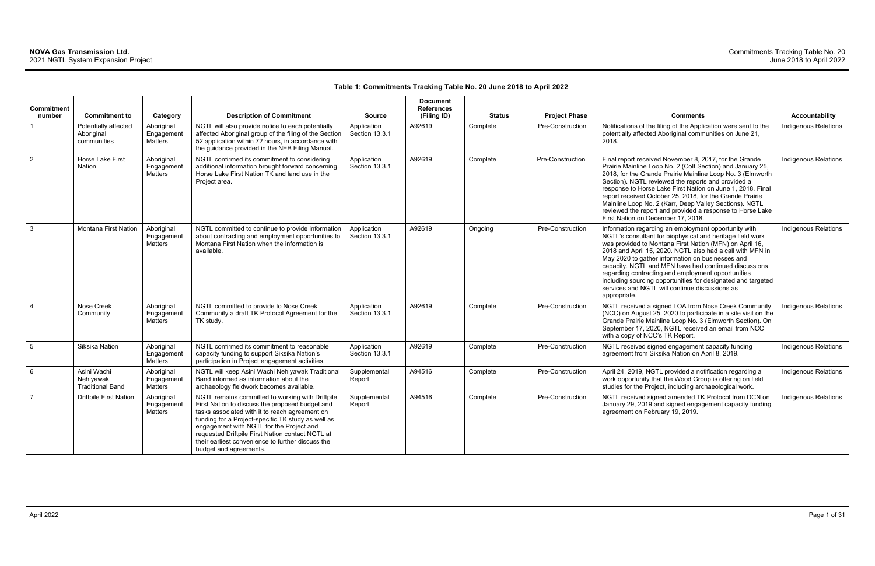### **Table 1: Commitments Tracking Table No. 20 June 2018 to April 2022**

| <b>Commitment</b><br>number | <b>Commitment to</b>                                | Category                            | <b>Description of Commitment</b>                                                                                                                                                                                                                                                                                                                                                           | <b>Source</b>                 | <b>Document</b><br><b>References</b><br>(Filing ID) | <b>Status</b> | <b>Project Phase</b> | <b>Comments</b>                                                                                                                                                                                                                                                                                                                                                                                                                                                                                                                                | <b>Accountability</b>       |
|-----------------------------|-----------------------------------------------------|-------------------------------------|--------------------------------------------------------------------------------------------------------------------------------------------------------------------------------------------------------------------------------------------------------------------------------------------------------------------------------------------------------------------------------------------|-------------------------------|-----------------------------------------------------|---------------|----------------------|------------------------------------------------------------------------------------------------------------------------------------------------------------------------------------------------------------------------------------------------------------------------------------------------------------------------------------------------------------------------------------------------------------------------------------------------------------------------------------------------------------------------------------------------|-----------------------------|
|                             | Potentially affected<br>Aboriginal<br>communities   | Aboriginal<br>Engagement<br>Matters | NGTL will also provide notice to each potentially<br>affected Aboriginal group of the filing of the Section<br>52 application within 72 hours, in accordance with<br>the guidance provided in the NEB Filing Manual.                                                                                                                                                                       | Application<br>Section 13.3.1 | A92619                                              | Complete      | Pre-Construction     | Notifications of the filing of the Application were sent to the<br>potentially affected Aboriginal communities on June 21,<br>2018.                                                                                                                                                                                                                                                                                                                                                                                                            | Indigenous Relations        |
| $\overline{2}$              | Horse Lake First<br>Nation                          | Aboriginal<br>Engagement<br>Matters | NGTL confirmed its commitment to considering<br>additional information brought forward concerning<br>Horse Lake First Nation TK and land use in the<br>Project area.                                                                                                                                                                                                                       | Application<br>Section 13.3.1 | A92619                                              | Complete      | Pre-Construction     | Final report received November 8, 2017, for the Grande<br>Prairie Mainline Loop No. 2 (Colt Section) and January 25,<br>2018, for the Grande Prairie Mainline Loop No. 3 (Elmworth<br>Section). NGTL reviewed the reports and provided a<br>response to Horse Lake First Nation on June 1, 2018. Final<br>report received October 25, 2018, for the Grande Prairie<br>Mainline Loop No. 2 (Karr, Deep Valley Sections). NGTL<br>reviewed the report and provided a response to Horse Lake<br>First Nation on December 17, 2018.                | <b>Indigenous Relations</b> |
| $\mathbf{3}$                | Montana First Nation                                | Aboriginal<br>Engagement<br>Matters | NGTL committed to continue to provide information<br>about contracting and employment opportunities to<br>Montana First Nation when the information is<br>available.                                                                                                                                                                                                                       | Application<br>Section 13.3.1 | A92619                                              | Ongoing       | Pre-Construction     | Information regarding an employment opportunity with<br>NGTL's consultant for biophysical and heritage field work<br>was provided to Montana First Nation (MFN) on April 16,<br>2018 and April 15, 2020. NGTL also had a call with MFN in<br>May 2020 to gather information on businesses and<br>capacity. NGTL and MFN have had continued discussions<br>regarding contracting and employment opportunities<br>including sourcing opportunities for designated and targeted<br>services and NGTL will continue discussions as<br>appropriate. | Indigenous Relations        |
| $\overline{4}$              | Nose Creek<br>Community                             | Aboriginal<br>Engagement<br>Matters | NGTL committed to provide to Nose Creek<br>Community a draft TK Protocol Agreement for the<br>TK study.                                                                                                                                                                                                                                                                                    | Application<br>Section 13.3.1 | A92619                                              | Complete      | Pre-Construction     | NGTL received a signed LOA from Nose Creek Community<br>(NCC) on August 25, 2020 to participate in a site visit on the<br>Grande Prairie Mainline Loop No. 3 (Elmworth Section). On<br>September 17, 2020, NGTL received an email from NCC<br>with a copy of NCC's TK Report.                                                                                                                                                                                                                                                                  | Indigenous Relations        |
| $5\phantom{.0}$             | Siksika Nation                                      | Aboriginal<br>Engagement<br>Matters | NGTL confirmed its commitment to reasonable<br>capacity funding to support Siksika Nation's<br>participation in Project engagement activities.                                                                                                                                                                                                                                             | Application<br>Section 13.3.1 | A92619                                              | Complete      | Pre-Construction     | NGTL received signed engagement capacity funding<br>agreement from Siksika Nation on April 8, 2019.                                                                                                                                                                                                                                                                                                                                                                                                                                            | <b>Indigenous Relations</b> |
| 6                           | Asini Wachi<br>Nehiyawak<br><b>Traditional Band</b> | Aboriginal<br>Engagement<br>Matters | NGTL will keep Asini Wachi Nehiyawak Traditional<br>Band informed as information about the<br>archaeology fieldwork becomes available.                                                                                                                                                                                                                                                     | Supplemental<br>Report        | A94516                                              | Complete      | Pre-Construction     | April 24, 2019, NGTL provided a notification regarding a<br>work opportunity that the Wood Group is offering on field<br>studies for the Project, including archaeological work.                                                                                                                                                                                                                                                                                                                                                               | <b>Indigenous Relations</b> |
| $\overline{7}$              | <b>Driftpile First Nation</b>                       | Aboriginal<br>Engagement<br>Matters | NGTL remains committed to working with Driftpile<br>First Nation to discuss the proposed budget and<br>tasks associated with it to reach agreement on<br>funding for a Project-specific TK study as well as<br>engagement with NGTL for the Project and<br>requested Driftpile First Nation contact NGTL at<br>their earliest convenience to further discuss the<br>budget and agreements. | Supplemental<br>Report        | A94516                                              | Complete      | Pre-Construction     | NGTL received signed amended TK Protocol from DCN on<br>January 29, 2019 and signed engagement capacity funding<br>agreement on February 19, 2019.                                                                                                                                                                                                                                                                                                                                                                                             | Indigenous Relations        |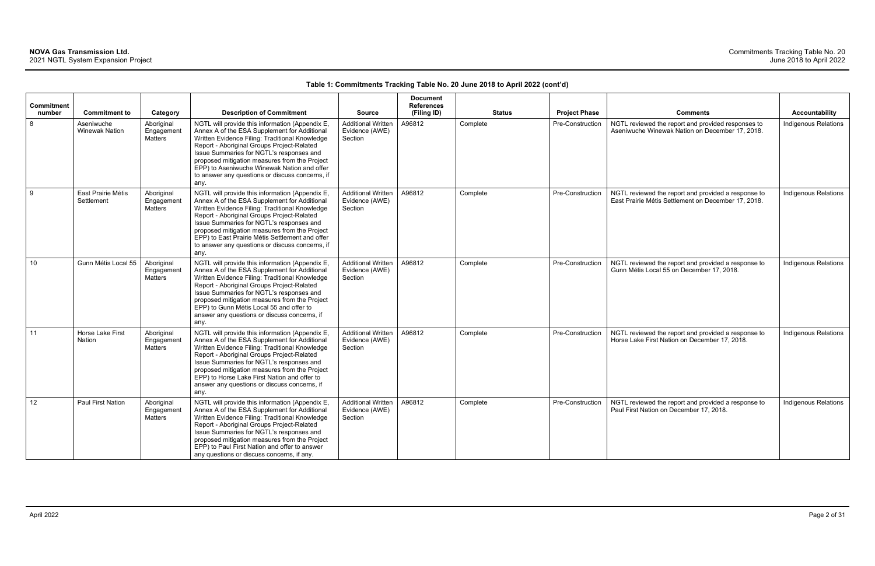|                             |                                     |                                            |                                                                                                                                                                                                                                                                                                                                                                                                            |                                                        | <b>Document</b>                  |               |                         |                                                                                                            |                             |
|-----------------------------|-------------------------------------|--------------------------------------------|------------------------------------------------------------------------------------------------------------------------------------------------------------------------------------------------------------------------------------------------------------------------------------------------------------------------------------------------------------------------------------------------------------|--------------------------------------------------------|----------------------------------|---------------|-------------------------|------------------------------------------------------------------------------------------------------------|-----------------------------|
| <b>Commitment</b><br>number | <b>Commitment to</b>                | Category                                   | <b>Description of Commitment</b>                                                                                                                                                                                                                                                                                                                                                                           | <b>Source</b>                                          | <b>References</b><br>(Filing ID) | <b>Status</b> | <b>Project Phase</b>    | <b>Comments</b>                                                                                            | <b>Accountability</b>       |
| 8                           | Aseniwuche<br><b>Winewak Nation</b> | Aboriginal<br>Engagement<br><b>Matters</b> | NGTL will provide this information (Appendix E,<br>Annex A of the ESA Supplement for Additional<br>Written Evidence Filing: Traditional Knowledge<br>Report - Aboriginal Groups Project-Related<br>Issue Summaries for NGTL's responses and<br>proposed mitigation measures from the Project<br>EPP) to Aseniwuche Winewak Nation and offer<br>to answer any questions or discuss concerns, if<br>any.     | <b>Additional Written</b><br>Evidence (AWE)<br>Section | A96812                           | Complete      | <b>Pre-Construction</b> | NGTL reviewed the report and provided responses to<br>Aseniwuche Winewak Nation on December 17, 2018.      | <b>Indigenous Relations</b> |
| g                           | East Prairie Métis<br>Settlement    | Aboriginal<br>Engagement<br><b>Matters</b> | NGTL will provide this information (Appendix E,<br>Annex A of the ESA Supplement for Additional<br>Written Evidence Filing: Traditional Knowledge<br>Report - Aboriginal Groups Project-Related<br>Issue Summaries for NGTL's responses and<br>proposed mitigation measures from the Project<br>EPP) to East Prairie Métis Settlement and offer<br>to answer any questions or discuss concerns, if<br>any. | <b>Additional Written</b><br>Evidence (AWE)<br>Section | A96812                           | Complete      | Pre-Construction        | NGTL reviewed the report and provided a response to<br>East Prairie Métis Settlement on December 17, 2018. | Indigenous Relations        |
| 10 <sup>1</sup>             | Gunn Métis Local 55                 | Aboriginal<br>Engagement<br>Matters        | NGTL will provide this information (Appendix E,<br>Annex A of the ESA Supplement for Additional<br>Written Evidence Filing: Traditional Knowledge<br>Report - Aboriginal Groups Project-Related<br>Issue Summaries for NGTL's responses and<br>proposed mitigation measures from the Project<br>EPP) to Gunn Métis Local 55 and offer to<br>answer any questions or discuss concerns, if<br>any.           | <b>Additional Written</b><br>Evidence (AWE)<br>Section | A96812                           | Complete      | Pre-Construction        | NGTL reviewed the report and provided a response to<br>Gunn Métis Local 55 on December 17, 2018.           | Indigenous Relations        |
| 11                          | Horse Lake First<br><b>Nation</b>   | Aboriginal<br>Engagement<br><b>Matters</b> | NGTL will provide this information (Appendix E,<br>Annex A of the ESA Supplement for Additional<br>Written Evidence Filing: Traditional Knowledge<br>Report - Aboriginal Groups Project-Related<br>Issue Summaries for NGTL's responses and<br>proposed mitigation measures from the Project<br>EPP) to Horse Lake First Nation and offer to<br>answer any questions or discuss concerns, if<br>any.       | <b>Additional Written</b><br>Evidence (AWE)<br>Section | A96812                           | Complete      | Pre-Construction        | NGTL reviewed the report and provided a response to<br>Horse Lake First Nation on December 17, 2018.       | Indigenous Relations        |
| 12 <sup>°</sup>             | <b>Paul First Nation</b>            | Aboriginal<br>Engagement<br>Matters        | NGTL will provide this information (Appendix E,<br>Annex A of the ESA Supplement for Additional<br>Written Evidence Filing: Traditional Knowledge<br>Report - Aboriginal Groups Project-Related<br>Issue Summaries for NGTL's responses and<br>proposed mitigation measures from the Project<br>EPP) to Paul First Nation and offer to answer<br>any questions or discuss concerns, if any.                | <b>Additional Written</b><br>Evidence (AWE)<br>Section | A96812                           | Complete      | Pre-Construction        | NGTL reviewed the report and provided a response to<br>Paul First Nation on December 17, 2018.             | <b>Indigenous Relations</b> |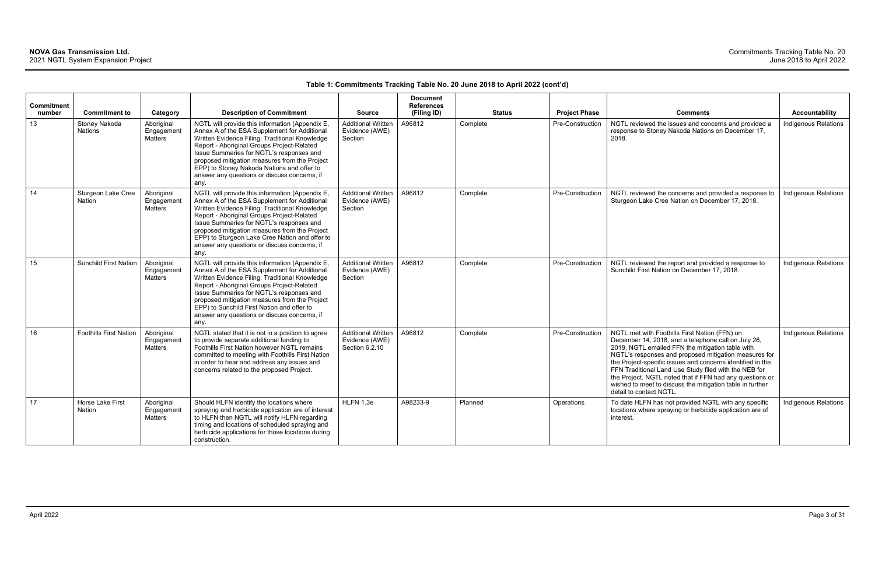|                             |                                     |                                     |                                                                                                                                                                                                                                                                                                                                                                                                        |                                                               | <b>Document</b>                  |               |                         |                                                                                                                                                                                                                                                                                                                                                                                                                                                                                              |                             |
|-----------------------------|-------------------------------------|-------------------------------------|--------------------------------------------------------------------------------------------------------------------------------------------------------------------------------------------------------------------------------------------------------------------------------------------------------------------------------------------------------------------------------------------------------|---------------------------------------------------------------|----------------------------------|---------------|-------------------------|----------------------------------------------------------------------------------------------------------------------------------------------------------------------------------------------------------------------------------------------------------------------------------------------------------------------------------------------------------------------------------------------------------------------------------------------------------------------------------------------|-----------------------------|
| <b>Commitment</b><br>number | <b>Commitment to</b>                | Category                            | <b>Description of Commitment</b>                                                                                                                                                                                                                                                                                                                                                                       | <b>Source</b>                                                 | <b>References</b><br>(Filing ID) | <b>Status</b> | <b>Project Phase</b>    | <b>Comments</b>                                                                                                                                                                                                                                                                                                                                                                                                                                                                              | Accountability              |
| 13                          | Stoney Nakoda<br><b>Nations</b>     | Aboriginal<br>Engagemen<br>Matters  | NGTL will provide this information (Appendix E,<br>Annex A of the ESA Supplement for Additional<br>Written Evidence Filing: Traditional Knowledge<br>Report - Aboriginal Groups Project-Related<br>Issue Summaries for NGTL's responses and<br>proposed mitigation measures from the Project<br>EPP) to Stoney Nakoda Nations and offer to<br>answer any questions or discuss concerns, if<br>any.     | <b>Additional Written</b><br>Evidence (AWE)<br>Section        | A96812                           | Complete      | <b>Pre-Construction</b> | NGTL reviewed the issues and concerns and provided a<br>response to Stoney Nakoda Nations on December 17,<br>2018.                                                                                                                                                                                                                                                                                                                                                                           | Indigenous Relations        |
| 14                          | Sturgeon Lake Cree<br><b>Nation</b> | Aboriginal<br>Engagement<br>Matters | NGTL will provide this information (Appendix E,<br>Annex A of the ESA Supplement for Additional<br>Written Evidence Filing: Traditional Knowledge<br>Report - Aboriginal Groups Project-Related<br>Issue Summaries for NGTL's responses and<br>proposed mitigation measures from the Project<br>EPP) to Sturgeon Lake Cree Nation and offer to<br>answer any questions or discuss concerns, if<br>any. | <b>Additional Written</b><br>Evidence (AWE)<br>Section        | A96812                           | Complete      | Pre-Construction        | NGTL reviewed the concerns and provided a response to<br>Sturgeon Lake Cree Nation on December 17, 2018.                                                                                                                                                                                                                                                                                                                                                                                     | <b>Indigenous Relations</b> |
| 15                          | <b>Sunchild First Nation</b>        | Aboriginal<br>Engagement<br>Matters | NGTL will provide this information (Appendix E,<br>Annex A of the ESA Supplement for Additional<br>Written Evidence Filing: Traditional Knowledge<br>Report - Aboriginal Groups Project-Related<br>Issue Summaries for NGTL's responses and<br>proposed mitigation measures from the Project<br>EPP) to Sunchild First Nation and offer to<br>answer any questions or discuss concerns, if<br>any.     | <b>Additional Written</b><br>Evidence (AWE)<br>Section        | A96812                           | Complete      | Pre-Construction        | NGTL reviewed the report and provided a response to<br>Sunchild First Nation on December 17, 2018.                                                                                                                                                                                                                                                                                                                                                                                           | <b>Indigenous Relations</b> |
| 16                          | <b>Foothills First Nation</b>       | Aboriginal<br>Engagemen<br>Matters  | NGTL stated that it is not in a position to agree<br>to provide separate additional funding to<br>Foothills First Nation however NGTL remains<br>committed to meeting with Foothills First Nation<br>in order to hear and address any issues and<br>concerns related to the proposed Project.                                                                                                          | <b>Additional Written</b><br>Evidence (AWE)<br>Section 6.2.10 | A96812                           | Complete      | Pre-Construction        | NGTL met with Foothills First Nation (FFN) on<br>December 14, 2018, and a telephone call on July 26,<br>2019. NGTL emailed FFN the mitigation table with<br>NGTL's responses and proposed mitigation measures for<br>the Project-specific issues and concerns identified in the<br>FFN Traditional Land Use Study filed with the NEB for<br>the Project. NGTL noted that if FFN had any questions or<br>wished to meet to discuss the mitigation table in further<br>detail to contact NGTL. | <b>Indigenous Relations</b> |
| 17                          | Horse Lake First<br>Nation          | Aboriginal<br>Engagement<br>Matters | Should HLFN identify the locations where<br>spraying and herbicide application are of interest<br>to HLFN then NGTL will notify HLFN regarding<br>timing and locations of scheduled spraying and<br>herbicide applications for those locations during<br>construction.                                                                                                                                 | HLFN 1.3e                                                     | A98233-9                         | Planned       | Operations              | To date HLFN has not provided NGTL with any specific<br>locations where spraying or herbicide application are of<br>interest.                                                                                                                                                                                                                                                                                                                                                                | Indigenous Relations        |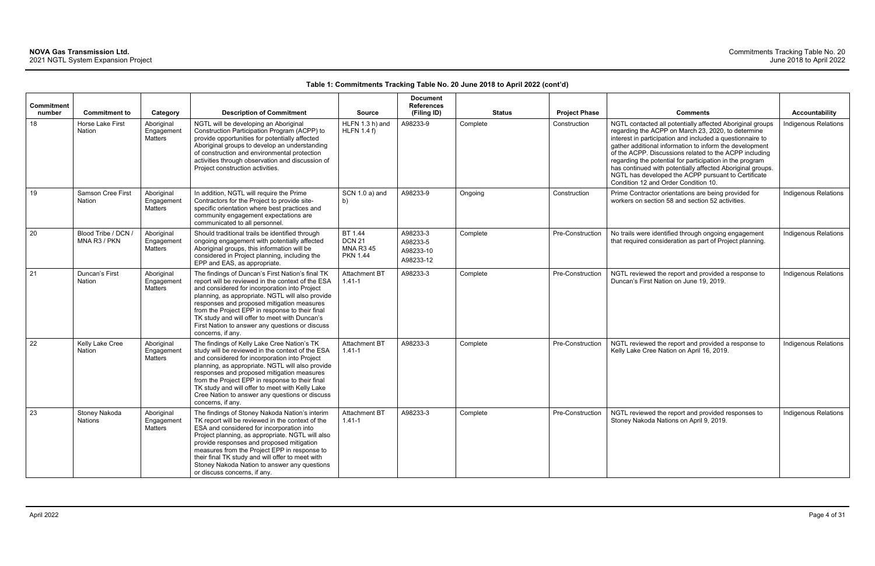|                             |                                     |                                            |                                                                                                                                                                                                                                                                                                                                                                                                                                      |                                                                 | <b>Document</b>                                |               |                      |                                                                                                                                                                                                                                                                                                                                                                                                                                                                                                                            |                             |
|-----------------------------|-------------------------------------|--------------------------------------------|--------------------------------------------------------------------------------------------------------------------------------------------------------------------------------------------------------------------------------------------------------------------------------------------------------------------------------------------------------------------------------------------------------------------------------------|-----------------------------------------------------------------|------------------------------------------------|---------------|----------------------|----------------------------------------------------------------------------------------------------------------------------------------------------------------------------------------------------------------------------------------------------------------------------------------------------------------------------------------------------------------------------------------------------------------------------------------------------------------------------------------------------------------------------|-----------------------------|
| <b>Commitment</b><br>number | <b>Commitment to</b>                | Category                                   | <b>Description of Commitment</b>                                                                                                                                                                                                                                                                                                                                                                                                     | <b>Source</b>                                                   | <b>References</b><br>(Filing ID)               | <b>Status</b> | <b>Project Phase</b> | <b>Comments</b>                                                                                                                                                                                                                                                                                                                                                                                                                                                                                                            | Accountability              |
| 18                          | Horse Lake First<br>Nation          | Aboriginal<br>Engagement<br><b>Matters</b> | NGTL will be developing an Aboriginal<br>Construction Participation Program (ACPP) to<br>provide opportunities for potentially affected<br>Aboriginal groups to develop an understanding<br>of construction and environmental protection<br>activities through observation and discussion of<br>Project construction activities.                                                                                                     | HLFN 1.3 h) and<br><b>HLFN 1.4 f)</b>                           | A98233-9                                       | Complete      | Construction         | NGTL contacted all potentially affected Aboriginal groups<br>regarding the ACPP on March 23, 2020, to determine<br>interest in participation and included a questionnaire to<br>gather additional information to inform the development<br>of the ACPP. Discussions related to the ACPP including<br>regarding the potential for participation in the program<br>has continued with potentially affected Aboriginal groups.<br>NGTL has developed the ACPP pursuant to Certificate<br>Condition 12 and Order Condition 10. | Indigenous Relations        |
| 19                          | Samson Cree First<br>Nation         | Aboriginal<br>Engagement<br>Matters        | In addition, NGTL will require the Prime<br>Contractors for the Project to provide site-<br>specific orientation where best practices and<br>community engagement expectations are<br>communicated to all personnel.                                                                                                                                                                                                                 | SCN 1.0 a) and<br>b)                                            | A98233-9                                       | Ongoing       | Construction         | Prime Contractor orientations are being provided for<br>workers on section 58 and section 52 activities.                                                                                                                                                                                                                                                                                                                                                                                                                   | <b>Indigenous Relations</b> |
| 20                          | Blood Tribe / DCN /<br>MNA R3 / PKN | Aboriginal<br>Engagement<br>Matters        | Should traditional trails be identified through<br>ongoing engagement with potentially affected<br>Aboriginal groups, this information will be<br>considered in Project planning, including the<br>EPP and EAS, as appropriate.                                                                                                                                                                                                      | BT 1.44<br><b>DCN 21</b><br><b>MNA R3 45</b><br><b>PKN 1.44</b> | A98233-3<br>A98233-5<br>A98233-10<br>A98233-12 | Complete      | Pre-Construction     | No trails were identified through ongoing engagement<br>that required consideration as part of Project planning.                                                                                                                                                                                                                                                                                                                                                                                                           | Indigenous Relations        |
| 21                          | Duncan's First<br>Nation            | Aboriginal<br>Engagement<br><b>Matters</b> | The findings of Duncan's First Nation's final TK<br>report will be reviewed in the context of the ESA<br>and considered for incorporation into Project<br>planning, as appropriate. NGTL will also provide<br>responses and proposed mitigation measures<br>from the Project EPP in response to their final<br>TK study and will offer to meet with Duncan's<br>First Nation to answer any questions or discuss<br>concerns, if any. | <b>Attachment BT</b><br>$1.41 - 1$                              | A98233-3                                       | Complete      | Pre-Construction     | NGTL reviewed the report and provided a response to<br>Duncan's First Nation on June 19, 2019.                                                                                                                                                                                                                                                                                                                                                                                                                             | <b>Indigenous Relations</b> |
| 22                          | Kelly Lake Cree<br><b>Nation</b>    | Aboriginal<br>Engagement<br>Matters        | The findings of Kelly Lake Cree Nation's TK<br>study will be reviewed in the context of the ESA<br>and considered for incorporation into Project<br>planning, as appropriate. NGTL will also provide<br>responses and proposed mitigation measures<br>from the Project EPP in response to their final<br>TK study and will offer to meet with Kelly Lake<br>Cree Nation to answer any questions or discuss<br>concerns, if any.      | Attachment BT<br>$1.41 - 1$                                     | A98233-3                                       | Complete      | Pre-Construction     | NGTL reviewed the report and provided a response to<br>Kelly Lake Cree Nation on April 16, 2019.                                                                                                                                                                                                                                                                                                                                                                                                                           | <b>Indigenous Relations</b> |
| 23                          | Stoney Nakoda<br>Nations            | Aboriginal<br>Engagement<br>Matters        | The findings of Stoney Nakoda Nation's interim<br>TK report will be reviewed in the context of the<br>ESA and considered for incorporation into<br>Project planning, as appropriate. NGTL will also<br>provide responses and proposed mitigation<br>measures from the Project EPP in response to<br>their final TK study and will offer to meet with<br>Stoney Nakoda Nation to answer any questions<br>or discuss concerns, if any. | Attachment BT<br>$1.41 - 1$                                     | A98233-3                                       | Complete      | Pre-Construction     | NGTL reviewed the report and provided responses to<br>Stoney Nakoda Nations on April 9, 2019.                                                                                                                                                                                                                                                                                                                                                                                                                              | Indigenous Relations        |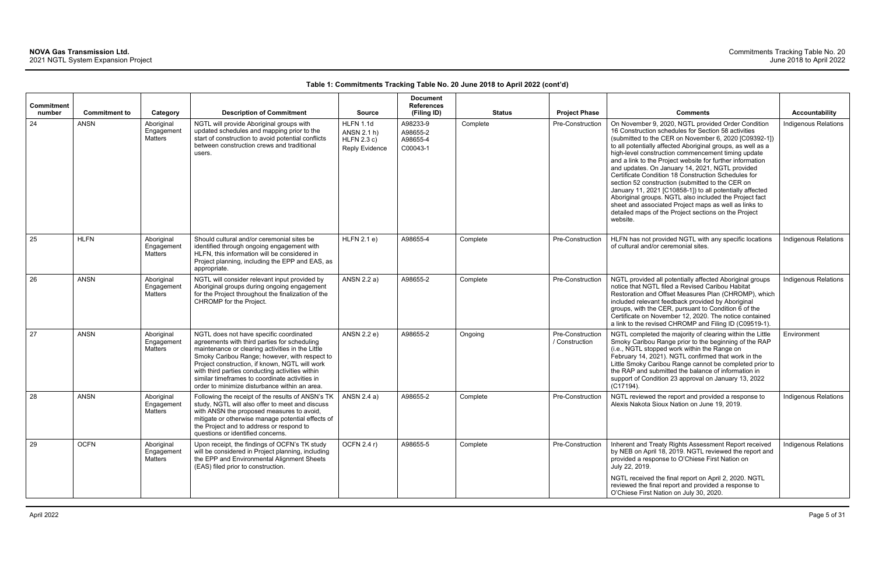| Commitment<br>number | <b>Commitment to</b> | Category                                   | <b>Description of Commitment</b>                                                                                                                                                                                                                                                                                                                                                                     | <b>Source</b>                                                           | <b>Document</b><br><b>References</b><br>(Filing ID) | <b>Status</b> | <b>Project Phase</b>               | <b>Comments</b>                                                                                                                                                                                                                                                                                                                                                                                                                                                                                                                                                                                                                                                                                                                                                       | <b>Accountability</b>       |
|----------------------|----------------------|--------------------------------------------|------------------------------------------------------------------------------------------------------------------------------------------------------------------------------------------------------------------------------------------------------------------------------------------------------------------------------------------------------------------------------------------------------|-------------------------------------------------------------------------|-----------------------------------------------------|---------------|------------------------------------|-----------------------------------------------------------------------------------------------------------------------------------------------------------------------------------------------------------------------------------------------------------------------------------------------------------------------------------------------------------------------------------------------------------------------------------------------------------------------------------------------------------------------------------------------------------------------------------------------------------------------------------------------------------------------------------------------------------------------------------------------------------------------|-----------------------------|
| 24                   | <b>ANSN</b>          | Aboriginal<br>Engagement<br><b>Matters</b> | NGTL will provide Aboriginal groups with<br>updated schedules and mapping prior to the<br>start of construction to avoid potential conflicts<br>between construction crews and traditional<br>users.                                                                                                                                                                                                 | <b>HLFN 1.1d</b><br>ANSN 2.1 h)<br>HLFN 2.3 c)<br><b>Reply Evidence</b> | A98233-9<br>A98655-2<br>A98655-4<br>C00043-1        | Complete      | Pre-Construction                   | On November 9, 2020, NGTL provided Order Condition<br>16 Construction schedules for Section 58 activities<br>(submitted to the CER on November 6, 2020 [C09392-1])<br>to all potentially affected Aboriginal groups, as well as a<br>high-level construction commencement timing update<br>and a link to the Project website for further information<br>and updates. On January 14, 2021, NGTL provided<br>Certificate Condition 18 Construction Schedules for<br>section 52 construction (submitted to the CER on<br>January 11, 2021 [C10858-1]) to all potentially affected<br>Aboriginal groups. NGTL also included the Project fact<br>sheet and associated Project maps as well as links to<br>detailed maps of the Project sections on the Project<br>website. | Indigenous Relations        |
| 25                   | <b>HLFN</b>          | Aboriginal<br>Engagement<br>Matters        | Should cultural and/or ceremonial sites be<br>identified through ongoing engagement with<br>HLFN, this information will be considered in<br>Project planning, including the EPP and EAS, as<br>appropriate.                                                                                                                                                                                          | HLFN 2.1 e)                                                             | A98655-4                                            | Complete      | Pre-Construction                   | HLFN has not provided NGTL with any specific locations<br>of cultural and/or ceremonial sites.                                                                                                                                                                                                                                                                                                                                                                                                                                                                                                                                                                                                                                                                        | Indigenous Relations        |
| 26                   | <b>ANSN</b>          | Aboriginal<br>Engagement<br>Matters        | NGTL will consider relevant input provided by<br>Aboriginal groups during ongoing engagement<br>for the Project throughout the finalization of the<br>CHROMP for the Project.                                                                                                                                                                                                                        | ANSN 2.2 a)                                                             | A98655-2                                            | Complete      | Pre-Construction                   | NGTL provided all potentially affected Aboriginal groups<br>notice that NGTL filed a Revised Caribou Habitat<br>Restoration and Offset Measures Plan (CHROMP), which<br>included relevant feedback provided by Aboriginal<br>groups, with the CER, pursuant to Condition 6 of the<br>Certificate on November 12, 2020. The notice contained<br>a link to the revised CHROMP and Filing ID (C09519-1).                                                                                                                                                                                                                                                                                                                                                                 | <b>Indigenous Relations</b> |
| 27                   | <b>ANSN</b>          | Aboriginal<br>Engagement<br><b>Matters</b> | NGTL does not have specific coordinated<br>agreements with third parties for scheduling<br>maintenance or clearing activities in the Little<br>Smoky Caribou Range; however, with respect to<br>Project construction, if known, NGTL will work<br>with third parties conducting activities within<br>similar timeframes to coordinate activities in<br>order to minimize disturbance within an area. | ANSN 2.2 e)                                                             | A98655-2                                            | Ongoing       | Pre-Construction<br>/ Construction | NGTL completed the majority of clearing within the Little<br>Smoky Caribou Range prior to the beginning of the RAP<br>(i.e., NGTL stopped work within the Range on<br>February 14, 2021). NGTL confirmed that work in the<br>Little Smoky Caribou Range cannot be completed prior to<br>the RAP and submitted the balance of information in<br>support of Condition 23 approval on January 13, 2022<br>(C17194).                                                                                                                                                                                                                                                                                                                                                      | Environment                 |
| 28                   | <b>ANSN</b>          | Aboriginal<br>Engagement<br>Matters        | Following the receipt of the results of ANSN's TK<br>study, NGTL will also offer to meet and discuss<br>with ANSN the proposed measures to avoid,<br>mitigate or otherwise manage potential effects of<br>the Project and to address or respond to<br>questions or identified concerns.                                                                                                              | ANSN 2.4 a)                                                             | A98655-2                                            | Complete      | Pre-Construction                   | NGTL reviewed the report and provided a response to<br>Alexis Nakota Sioux Nation on June 19, 2019.                                                                                                                                                                                                                                                                                                                                                                                                                                                                                                                                                                                                                                                                   | <b>Indigenous Relations</b> |
| 29                   | <b>OCFN</b>          | Aboriginal<br>Engagement<br>Matters        | Upon receipt, the findings of OCFN's TK study<br>will be considered in Project planning, including<br>the EPP and Environmental Alignment Sheets<br>(EAS) filed prior to construction.                                                                                                                                                                                                               | OCFN 2.4 r)                                                             | A98655-5                                            | Complete      | Pre-Construction                   | Inherent and Treaty Rights Assessment Report received<br>by NEB on April 18, 2019. NGTL reviewed the report and<br>provided a response to O'Chiese First Nation on<br>July 22, 2019.<br>NGTL received the final report on April 2, 2020. NGTL<br>reviewed the final report and provided a response to<br>O'Chiese First Nation on July 30, 2020.                                                                                                                                                                                                                                                                                                                                                                                                                      | <b>Indigenous Relations</b> |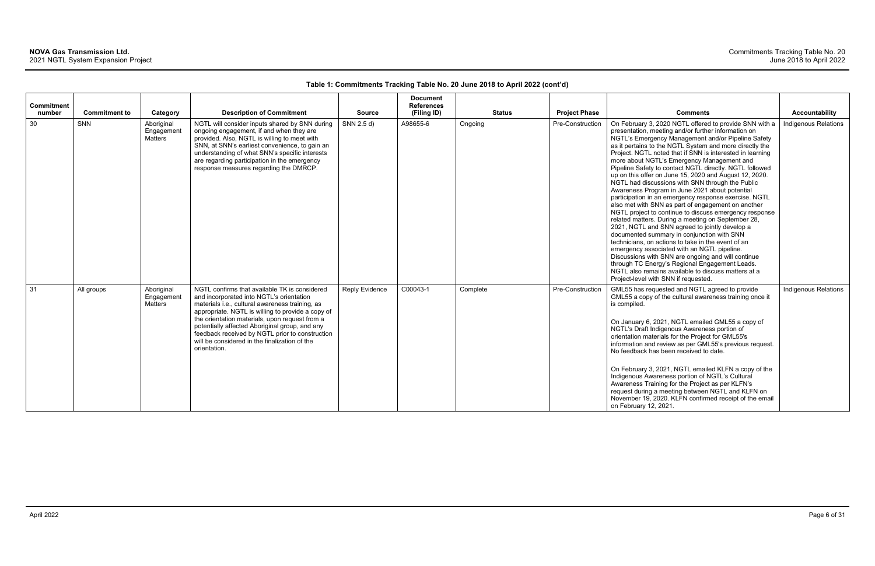| <b>Commitment</b><br>number | <b>Commitment to</b> | Category                            | <b>Description of Commitment</b>                                                                                                                                                                                                                                                                                                                                                                                          | <b>Source</b>  | <b>Document</b><br><b>References</b><br>(Filing ID) | <b>Status</b> | <b>Project Phase</b> | <b>Comments</b>                                                                                                                                                                                                                                                                                                                                                                                                                                                                                                                                                                                                                                                                                                                                                                                                                                                                                                                                                                                                                                                                                                                                                                                                 | Accountability       |
|-----------------------------|----------------------|-------------------------------------|---------------------------------------------------------------------------------------------------------------------------------------------------------------------------------------------------------------------------------------------------------------------------------------------------------------------------------------------------------------------------------------------------------------------------|----------------|-----------------------------------------------------|---------------|----------------------|-----------------------------------------------------------------------------------------------------------------------------------------------------------------------------------------------------------------------------------------------------------------------------------------------------------------------------------------------------------------------------------------------------------------------------------------------------------------------------------------------------------------------------------------------------------------------------------------------------------------------------------------------------------------------------------------------------------------------------------------------------------------------------------------------------------------------------------------------------------------------------------------------------------------------------------------------------------------------------------------------------------------------------------------------------------------------------------------------------------------------------------------------------------------------------------------------------------------|----------------------|
| 30                          | SNN                  | Aboriginal<br>Engagement<br>Matters | NGTL will consider inputs shared by SNN during<br>ongoing engagement, if and when they are<br>provided. Also, NGTL is willing to meet with<br>SNN, at SNN's earliest convenience, to gain an<br>understanding of what SNN's specific interests<br>are regarding participation in the emergency<br>response measures regarding the DMRCP.                                                                                  | SNN 2.5 d)     | A98655-6                                            | Ongoing       | Pre-Construction     | On February 3, 2020 NGTL offered to provide SNN with a<br>presentation, meeting and/or further information on<br>NGTL's Emergency Management and/or Pipeline Safety<br>as it pertains to the NGTL System and more directly the<br>Project. NGTL noted that if SNN is interested in learning<br>more about NGTL's Emergency Management and<br>Pipeline Safety to contact NGTL directly. NGTL followed<br>up on this offer on June 15, 2020 and August 12, 2020.<br>NGTL had discussions with SNN through the Public<br>Awareness Program in June 2021 about potential<br>participation in an emergency response exercise. NGTL<br>also met with SNN as part of engagement on another<br>NGTL project to continue to discuss emergency response<br>related matters. During a meeting on September 28,<br>2021, NGTL and SNN agreed to jointly develop a<br>documented summary in conjunction with SNN<br>technicians, on actions to take in the event of an<br>emergency associated with an NGTL pipeline.<br>Discussions with SNN are ongoing and will continue<br>through TC Energy's Regional Engagement Leads.<br>NGTL also remains available to discuss matters at a<br>Project-level with SNN if requested. | Indigenous Relations |
| 31                          | All groups           | Aboriginal<br>Engagement<br>Matters | NGTL confirms that available TK is considered<br>and incorporated into NGTL's orientation<br>materials i.e., cultural awareness training, as<br>appropriate. NGTL is willing to provide a copy of<br>the orientation materials, upon request from a<br>potentially affected Aboriginal group, and any<br>feedback received by NGTL prior to construction<br>will be considered in the finalization of the<br>orientation. | Reply Evidence | C00043-1                                            | Complete      | Pre-Construction     | GML55 has requested and NGTL agreed to provide<br>GML55 a copy of the cultural awareness training once it<br>is compiled.<br>On January 6, 2021, NGTL emailed GML55 a copy of<br>NGTL's Draft Indigenous Awareness portion of<br>orientation materials for the Project for GML55's<br>information and review as per GML55's previous request.<br>No feedback has been received to date.<br>On February 3, 2021, NGTL emailed KLFN a copy of the<br>Indigenous Awareness portion of NGTL's Cultural<br>Awareness Training for the Project as per KLFN's<br>request during a meeting between NGTL and KLFN on<br>November 19, 2020. KLFN confirmed receipt of the email<br>on February 12, 2021.                                                                                                                                                                                                                                                                                                                                                                                                                                                                                                                  | Indigenous Relations |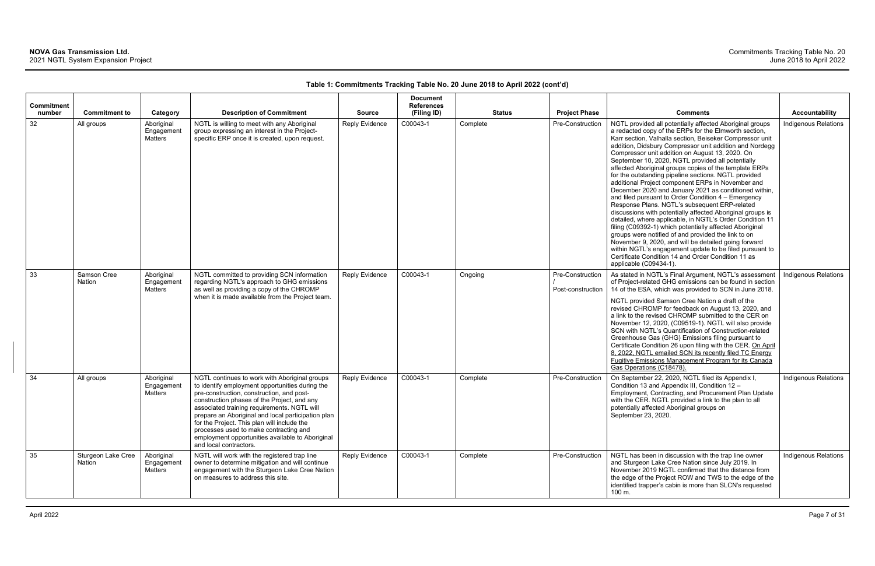| <b>Commitment</b><br>number | <b>Commitment to</b>         | Category                            | <b>Description of Commitment</b>                                                                                                                                                                                                                                                                                                                                                                                                                                         | <b>Source</b>         | <b>Document</b><br><b>References</b><br>(Filing ID) | <b>Status</b> | <b>Project Phase</b>                  | <b>Comments</b>                                                                                                                                                                                                                                                                                                                                                                                                                                                                                                                                                                                                                                                                                                                                                                                                                                                                                                                                                                                                                                                                                                                           | <b>Accountability</b> |
|-----------------------------|------------------------------|-------------------------------------|--------------------------------------------------------------------------------------------------------------------------------------------------------------------------------------------------------------------------------------------------------------------------------------------------------------------------------------------------------------------------------------------------------------------------------------------------------------------------|-----------------------|-----------------------------------------------------|---------------|---------------------------------------|-------------------------------------------------------------------------------------------------------------------------------------------------------------------------------------------------------------------------------------------------------------------------------------------------------------------------------------------------------------------------------------------------------------------------------------------------------------------------------------------------------------------------------------------------------------------------------------------------------------------------------------------------------------------------------------------------------------------------------------------------------------------------------------------------------------------------------------------------------------------------------------------------------------------------------------------------------------------------------------------------------------------------------------------------------------------------------------------------------------------------------------------|-----------------------|
| 32                          | All groups                   | Aboriginal<br>Engagement<br>Matters | NGTL is willing to meet with any Aboriginal<br>group expressing an interest in the Project-<br>specific ERP once it is created, upon request.                                                                                                                                                                                                                                                                                                                            | <b>Reply Evidence</b> | C00043-1                                            | Complete      | Pre-Construction                      | NGTL provided all potentially affected Aboriginal groups<br>a redacted copy of the ERPs for the Elmworth section,<br>Karr section, Valhalla section, Beiseker Compressor unit<br>addition, Didsbury Compressor unit addition and Nordegg<br>Compressor unit addition on August 13, 2020. On<br>September 10, 2020, NGTL provided all potentially<br>affected Aboriginal groups copies of the template ERPs<br>for the outstanding pipeline sections. NGTL provided<br>additional Project component ERPs in November and<br>December 2020 and January 2021 as conditioned within,<br>and filed pursuant to Order Condition $4 -$ Emergency<br>Response Plans. NGTL's subsequent ERP-related<br>discussions with potentially affected Aboriginal groups is<br>detailed, where applicable, in NGTL's Order Condition 11<br>filing (C09392-1) which potentially affected Aboriginal<br>groups were notified of and provided the link to on<br>November 9, 2020, and will be detailed going forward<br>within NGTL's engagement update to be filed pursuant to<br>Certificate Condition 14 and Order Condition 11 as<br>applicable (C09434-1). | Indigenous Relations  |
| 33                          | Samson Cree<br><b>Nation</b> | Aboriginal<br>Engagement<br>Matters | NGTL committed to providing SCN information<br>regarding NGTL's approach to GHG emissions<br>as well as providing a copy of the CHROMP<br>when it is made available from the Project team.                                                                                                                                                                                                                                                                               | <b>Reply Evidence</b> | C00043-1                                            | Ongoing       | Pre-Construction<br>Post-construction | As stated in NGTL's Final Argument, NGTL's assessment<br>of Project-related GHG emissions can be found in section<br>14 of the ESA, which was provided to SCN in June 2018.<br>NGTL provided Samson Cree Nation a draft of the<br>revised CHROMP for feedback on August 13, 2020, and<br>a link to the revised CHROMP submitted to the CER on<br>November 12, 2020, (C09519-1). NGTL will also provide<br>SCN with NGTL's Quantification of Construction-related<br>Greenhouse Gas (GHG) Emissions filing pursuant to<br>Certificate Condition 26 upon filing with the CER. On April<br>8, 2022, NGTL emailed SCN its recently filed TC Energy<br>Fugitive Emissions Management Program for its Canada<br>Gas Operations (C18478).                                                                                                                                                                                                                                                                                                                                                                                                        | Indigenous Relations  |
| 34                          | All groups                   | Aboriginal<br>Engagement<br>Matters | NGTL continues to work with Aboriginal groups<br>to identify employment opportunities during the<br>pre-construction, construction, and post-<br>construction phases of the Project, and any<br>associated training requirements. NGTL will<br>prepare an Aboriginal and local participation plan<br>for the Project. This plan will include the<br>processes used to make contracting and<br>employment opportunities available to Aboriginal<br>and local contractors. | Reply Evidence        | C00043-1                                            | Complete      | Pre-Construction                      | On September 22, 2020, NGTL filed its Appendix I,<br>Condition 13 and Appendix III, Condition 12 -<br>Employment, Contracting, and Procurement Plan Update<br>with the CER. NGTL provided a link to the plan to all<br>potentially affected Aboriginal groups on<br>September 23, 2020.                                                                                                                                                                                                                                                                                                                                                                                                                                                                                                                                                                                                                                                                                                                                                                                                                                                   | Indigenous Relations  |
| 35                          | Sturgeon Lake Cree<br>Nation | Aboriginal<br>Engagement<br>Matters | NGTL will work with the registered trap line<br>owner to determine mitigation and will continue<br>engagement with the Sturgeon Lake Cree Nation<br>on measures to address this site.                                                                                                                                                                                                                                                                                    | <b>Reply Evidence</b> | C00043-1                                            | Complete      | Pre-Construction                      | NGTL has been in discussion with the trap line owner<br>and Sturgeon Lake Cree Nation since July 2019. In<br>November 2019 NGTL confirmed that the distance from<br>the edge of the Project ROW and TWS to the edge of the<br>identified trapper's cabin is more than SLCN's requested<br>100 m.                                                                                                                                                                                                                                                                                                                                                                                                                                                                                                                                                                                                                                                                                                                                                                                                                                          | Indigenous Relations  |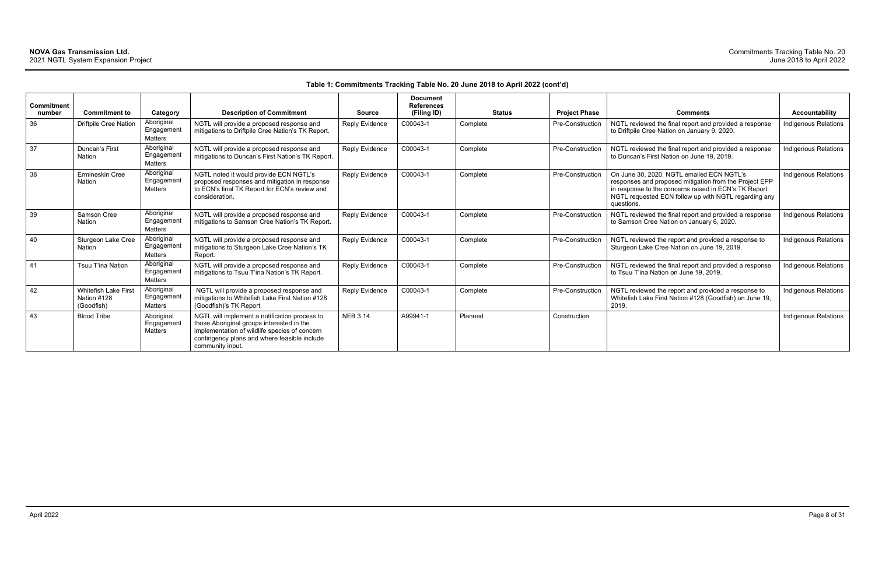| <b>Commitment</b> |                                                   |                                     |                                                                                                                                                                                                                 |                 | <b>Document</b><br><b>References</b> |               |                         |                                                                                                                                                                                                                                     |                       |
|-------------------|---------------------------------------------------|-------------------------------------|-----------------------------------------------------------------------------------------------------------------------------------------------------------------------------------------------------------------|-----------------|--------------------------------------|---------------|-------------------------|-------------------------------------------------------------------------------------------------------------------------------------------------------------------------------------------------------------------------------------|-----------------------|
| number            | <b>Commitment to</b>                              | Category                            | <b>Description of Commitment</b>                                                                                                                                                                                | <b>Source</b>   | (Filing ID)                          | <b>Status</b> | <b>Project Phase</b>    | <b>Comments</b>                                                                                                                                                                                                                     | <b>Accountability</b> |
| 36                | <b>Driftpile Cree Nation</b>                      | Aboriginal<br>Engagemen<br>Matters  | NGTL will provide a proposed response and<br>mitigations to Driftpile Cree Nation's TK Report.                                                                                                                  | Reply Evidence  | C00043-1                             | Complete      | Pre-Construction        | NGTL reviewed the final report and provided a response<br>to Driftpile Cree Nation on January 9, 2020.                                                                                                                              | Indigenous Relations  |
| 37                | Duncan's First<br>Nation                          | Aboriginal<br>Engagement<br>Matters | NGTL will provide a proposed response and<br>mitigations to Duncan's First Nation's TK Report.                                                                                                                  | Reply Evidence  | C00043-1                             | Complete      | Pre-Construction        | NGTL reviewed the final report and provided a response<br>to Duncan's First Nation on June 19, 2019.                                                                                                                                | Indigenous Relations  |
| 38                | Ermineskin Cree<br>Nation                         | Aboriginal<br>Engagemen<br>Matters  | NGTL noted it would provide ECN NGTL's<br>proposed responses and mitigation in response<br>to ECN's final TK Report for ECN's review and<br>consideration.                                                      | Reply Evidence  | C00043-1                             | Complete      | Pre-Construction        | On June 30, 2020, NGTL emailed ECN NGTL's<br>responses and proposed mitigation from the Project EPP<br>in response to the concerns raised in ECN's TK Report.<br>NGTL requested ECN follow up with NGTL regarding any<br>questions. | Indigenous Relations  |
| 39                | Samson Cree<br>Nation                             | Aboriginal<br>Engagemen<br>Matters  | NGTL will provide a proposed response and<br>mitigations to Samson Cree Nation's TK Report.                                                                                                                     | Reply Evidence  | C00043-1                             | Complete      | Pre-Construction        | NGTL reviewed the final report and provided a response<br>to Samson Cree Nation on January 6, 2020.                                                                                                                                 | Indigenous Relations  |
| 40                | Sturgeon Lake Cree<br>Nation                      | Aboriginal<br>Engagemen<br>Matters  | NGTL will provide a proposed response and<br>mitigations to Sturgeon Lake Cree Nation's TK<br>Report.                                                                                                           | Reply Evidence  | C00043-1                             | Complete      | Pre-Construction        | NGTL reviewed the report and provided a response to<br>Sturgeon Lake Cree Nation on June 19, 2019.                                                                                                                                  | Indigenous Relations  |
| 41                | Tsuu T'ina Nation                                 | Aboriginal<br>Engagemen<br>Matters  | NGTL will provide a proposed response and<br>mitigations to Tsuu T'ina Nation's TK Report.                                                                                                                      | Reply Evidence  | C00043-1                             | Complete      | <b>Pre-Construction</b> | NGTL reviewed the final report and provided a response<br>to Tsuu T'ina Nation on June 19, 2019.                                                                                                                                    | Indigenous Relations  |
| 42                | Whitefish Lake First<br>Nation #128<br>(Goodfish) | Aboriginal<br>Engagemen<br>Matters  | NGTL will provide a proposed response and<br>mitigations to Whitefish Lake First Nation #128<br>(Goodfish)'s TK Report.                                                                                         | Reply Evidence  | C00043-1                             | Complete      | <b>Pre-Construction</b> | NGTL reviewed the report and provided a response to<br>Whitefish Lake First Nation #128 (Goodfish) on June 19,<br>2019.                                                                                                             | Indigenous Relations  |
| 43                | <b>Blood Tribe</b>                                | Aboriginal<br>Engagemen<br>Matters  | NGTL will implement a notification process to<br>those Aboriginal groups interested in the<br>implementation of wildlife species of concern<br>contingency plans and where feasible include<br>community input. | <b>NEB 3.14</b> | A99941-1                             | Planned       | Construction            |                                                                                                                                                                                                                                     | Indigenous Relations  |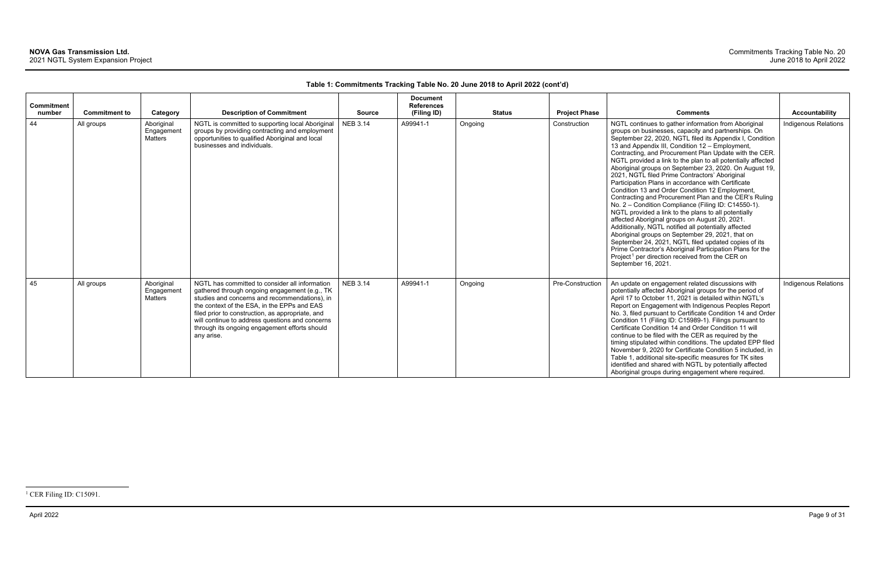<span id="page-9-0"></span>

| <b>Commitment</b><br>number | <b>Commitment to</b> | Category                                   | <b>Description of Commitment</b>                                                                                                                                                                                                                                                                                                                                      | <b>Source</b>   | <b>Document</b><br><b>References</b><br>(Filing ID) | <b>Status</b> | <b>Project Phase</b> | <b>Comments</b>                                                                                                                                                                                                                                                                                                                                                                                                                                                                                                                                                                                                                                                                                                                                                                                                                                                                                                                                                                                                                                                                                                            | <b>Accountability</b>       |
|-----------------------------|----------------------|--------------------------------------------|-----------------------------------------------------------------------------------------------------------------------------------------------------------------------------------------------------------------------------------------------------------------------------------------------------------------------------------------------------------------------|-----------------|-----------------------------------------------------|---------------|----------------------|----------------------------------------------------------------------------------------------------------------------------------------------------------------------------------------------------------------------------------------------------------------------------------------------------------------------------------------------------------------------------------------------------------------------------------------------------------------------------------------------------------------------------------------------------------------------------------------------------------------------------------------------------------------------------------------------------------------------------------------------------------------------------------------------------------------------------------------------------------------------------------------------------------------------------------------------------------------------------------------------------------------------------------------------------------------------------------------------------------------------------|-----------------------------|
| 44                          | All groups           | Aboriginal<br>Engagement<br><b>Matters</b> | NGTL is committed to supporting local Aboriginal<br>groups by providing contracting and employment<br>opportunities to qualified Aboriginal and local<br>businesses and individuals.                                                                                                                                                                                  | <b>NEB 3.14</b> | A99941-1                                            | Ongoing       | Construction         | NGTL continues to gather information from Aboriginal<br>groups on businesses, capacity and partnerships. On<br>September 22, 2020, NGTL filed its Appendix I, Condition<br>13 and Appendix III, Condition 12 - Employment,<br>Contracting, and Procurement Plan Update with the CER.<br>NGTL provided a link to the plan to all potentially affected<br>Aboriginal groups on September 23, 2020. On August 19,<br>2021, NGTL filed Prime Contractors' Aboriginal<br>Participation Plans in accordance with Certificate<br>Condition 13 and Order Condition 12 Employment,<br>Contracting and Procurement Plan and the CER's Ruling<br>No. 2 - Condition Compliance (Filing ID: C14550-1).<br>NGTL provided a link to the plans to all potentially<br>affected Aboriginal groups on August 20, 2021.<br>Additionally, NGTL notified all potentially affected<br>Aboriginal groups on September 29, 2021, that on<br>September 24, 2021, NGTL filed updated copies of its<br>Prime Contractor's Aboriginal Participation Plans for the<br>Project <sup>1</sup> per direction received from the CER on<br>September 16, 2021. | <b>Indigenous Relations</b> |
| 45                          | All groups           | Aboriginal<br>Engagement<br><b>Matters</b> | NGTL has committed to consider all information<br>gathered through ongoing engagement (e.g., TK<br>studies and concerns and recommendations), in<br>the context of the ESA, in the EPPs and EAS<br>filed prior to construction, as appropriate, and<br>will continue to address questions and concerns<br>through its ongoing engagement efforts should<br>any arise. | <b>NEB 3.14</b> | A99941-1                                            | Ongoing       | Pre-Construction     | An update on engagement related discussions with<br>potentially affected Aboriginal groups for the period of<br>April 17 to October 11, 2021 is detailed within NGTL's<br>Report on Engagement with Indigenous Peoples Report<br>No. 3, filed pursuant to Certificate Condition 14 and Order<br>Condition 11 (Filing ID: C15989-1). Filings pursuant to<br>Certificate Condition 14 and Order Condition 11 will<br>continue to be filed with the CER as required by the<br>timing stipulated within conditions. The updated EPP filed<br>November 9, 2020 for Certificate Condition 5 included, in<br>Table 1, additional site-specific measures for TK sites<br>identified and shared with NGTL by potentially affected<br>Aboriginal groups during engagement where required.                                                                                                                                                                                                                                                                                                                                            | <b>Indigenous Relations</b> |

<sup>&</sup>lt;sup>1</sup> CER Filing ID: C15091.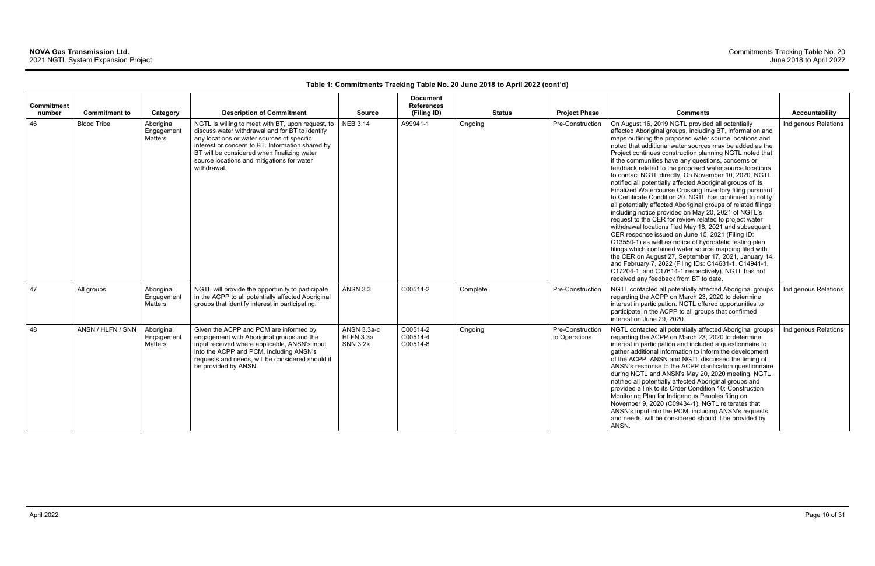| <b>Commitment</b><br>number | <b>Commitment to</b> | Category                            | <b>Description of Commitment</b>                                                                                                                                                                                                                                                                                   | <b>Source</b>                               | <b>Document</b><br><b>References</b><br>(Filing ID) | <b>Status</b> | <b>Project Phase</b>              | <b>Comments</b>                                                                                                                                                                                                                                                                                                                                                                                                                                                                                                                                                                                                                                                                                                                                                                                                                                                                                                                                                                                                                                                                                                                                                                                                                                                                                       | Accountability              |
|-----------------------------|----------------------|-------------------------------------|--------------------------------------------------------------------------------------------------------------------------------------------------------------------------------------------------------------------------------------------------------------------------------------------------------------------|---------------------------------------------|-----------------------------------------------------|---------------|-----------------------------------|-------------------------------------------------------------------------------------------------------------------------------------------------------------------------------------------------------------------------------------------------------------------------------------------------------------------------------------------------------------------------------------------------------------------------------------------------------------------------------------------------------------------------------------------------------------------------------------------------------------------------------------------------------------------------------------------------------------------------------------------------------------------------------------------------------------------------------------------------------------------------------------------------------------------------------------------------------------------------------------------------------------------------------------------------------------------------------------------------------------------------------------------------------------------------------------------------------------------------------------------------------------------------------------------------------|-----------------------------|
| 46                          | <b>Blood Tribe</b>   | Aboriginal<br>Engagement<br>Matters | NGTL is willing to meet with BT, upon request, to<br>discuss water withdrawal and for BT to identify<br>any locations or water sources of specific<br>interest or concern to BT. Information shared by<br>BT will be considered when finalizing water<br>source locations and mitigations for water<br>withdrawal. | <b>NEB 3.14</b>                             | A99941-1                                            | Ongoing       | Pre-Construction                  | On August 16, 2019 NGTL provided all potentially<br>affected Aboriginal groups, including BT, information and<br>maps outlining the proposed water source locations and<br>noted that additional water sources may be added as the<br>Project continues construction planning NGTL noted that<br>if the communities have any questions, concerns or<br>feedback related to the proposed water source locations<br>to contact NGTL directly. On November 10, 2020, NGTL<br>notified all potentially affected Aboriginal groups of its<br>Finalized Watercourse Crossing Inventory filing pursuant<br>to Certificate Condition 20. NGTL has continued to notify<br>all potentially affected Aboriginal groups of related filings<br>including notice provided on May 20, 2021 of NGTL's<br>request to the CER for review related to project water<br>withdrawal locations filed May 18, 2021 and subsequent<br>CER response issued on June 15, 2021 (Filing ID:<br>C13550-1) as well as notice of hydrostatic testing plan<br>filings which contained water source mapping filed with<br>the CER on August 27, September 17, 2021, January 14,<br>and February 7, 2022 (Filing IDs: C14631-1, C14941-1,<br>C17204-1, and C17614-1 respectively). NGTL has not<br>received any feedback from BT to date. | <b>Indigenous Relations</b> |
| 47                          | All groups           | Aboriginal<br>Engagement<br>Matters | NGTL will provide the opportunity to participate<br>in the ACPP to all potentially affected Aboriginal<br>groups that identify interest in participating.                                                                                                                                                          | <b>ANSN 3.3</b>                             | C00514-2                                            | Complete      | Pre-Construction                  | NGTL contacted all potentially affected Aboriginal groups<br>regarding the ACPP on March 23, 2020 to determine<br>interest in participation. NGTL offered opportunities to<br>participate in the ACPP to all groups that confirmed<br>interest on June 29, 2020.                                                                                                                                                                                                                                                                                                                                                                                                                                                                                                                                                                                                                                                                                                                                                                                                                                                                                                                                                                                                                                      | Indigenous Relations        |
| 48                          | ANSN / HLFN / SNN    | Aboriginal<br>Engagement<br>Matters | Given the ACPP and PCM are informed by<br>engagement with Aboriginal groups and the<br>input received where applicable, ANSN's input<br>into the ACPP and PCM, including ANSN's<br>requests and needs, will be considered should it<br>be provided by ANSN.                                                        | ANSN 3.3a-c<br>HLFN 3.3a<br><b>SNN 3.2k</b> | C00514-2<br>C00514-4<br>C00514-8                    | Ongoing       | Pre-Construction<br>to Operations | NGTL contacted all potentially affected Aboriginal groups<br>regarding the ACPP on March 23, 2020 to determine<br>interest in participation and included a questionnaire to<br>gather additional information to inform the development<br>of the ACPP. ANSN and NGTL discussed the timing of<br>ANSN's response to the ACPP clarification questionnaire<br>during NGTL and ANSN's May 20, 2020 meeting. NGTL<br>notified all potentially affected Aboriginal groups and<br>provided a link to its Order Condition 10: Construction<br>Monitoring Plan for Indigenous Peoples filing on<br>November 9, 2020 (C09434-1). NGTL reiterates that<br>ANSN's input into the PCM, including ANSN's requests<br>and needs, will be considered should it be provided by<br>ANSN.                                                                                                                                                                                                                                                                                                                                                                                                                                                                                                                                | <b>Indigenous Relations</b> |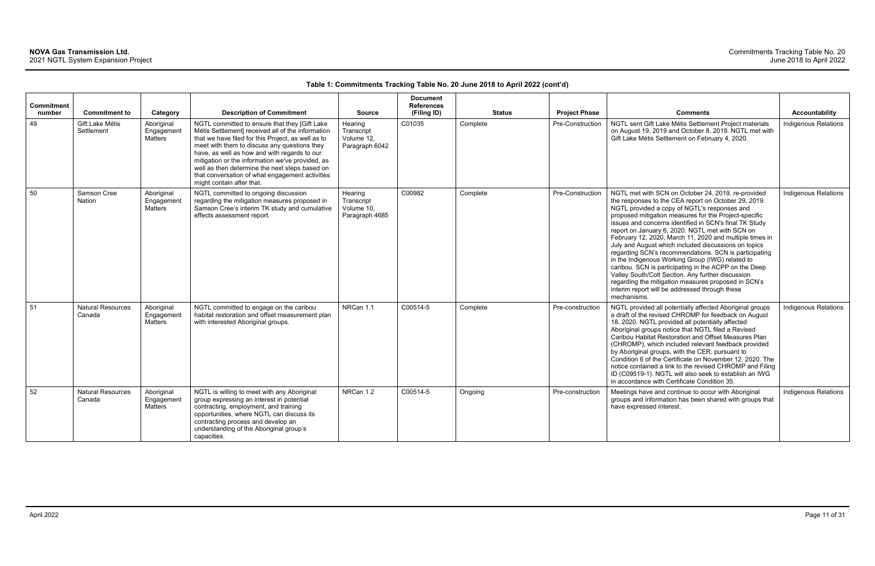| Commitment<br>number | <b>Commitment to</b>               | Category                                   | <b>Description of Commitment</b>                                                                                                                                                                                                                                                                                                                                                                                                               | <b>Source</b>                                         | <b>Document</b><br><b>References</b><br>(Filing ID) | <b>Status</b> | <b>Project Phase</b> | <b>Comments</b>                                                                                                                                                                                                                                                                                                                                                                                                                                                                                                                                                                                                                                                                                                                                                                                        | <b>Accountability</b>       |
|----------------------|------------------------------------|--------------------------------------------|------------------------------------------------------------------------------------------------------------------------------------------------------------------------------------------------------------------------------------------------------------------------------------------------------------------------------------------------------------------------------------------------------------------------------------------------|-------------------------------------------------------|-----------------------------------------------------|---------------|----------------------|--------------------------------------------------------------------------------------------------------------------------------------------------------------------------------------------------------------------------------------------------------------------------------------------------------------------------------------------------------------------------------------------------------------------------------------------------------------------------------------------------------------------------------------------------------------------------------------------------------------------------------------------------------------------------------------------------------------------------------------------------------------------------------------------------------|-----------------------------|
| 49                   | Gift Lake Métis<br>Settlement      | Aboriginal<br>Engagement<br><b>Matters</b> | NGTL committed to ensure that they [Gift Lake<br>Métis Settlement] received all of the information<br>that we have filed for this Project, as well as to<br>meet with them to discuss any questions they<br>have, as well as how and with regards to our<br>mitigation or the information we've provided, as<br>well as then determine the next steps based on<br>that conversation of what engagement activities<br>might contain after that. | Hearing<br>Transcript<br>Volume 12,<br>Paragraph 6042 | C01035                                              | Complete      | Pre-Construction     | NGTL sent Gift Lake Métis Settlement Project materials<br>on August 19, 2019 and October 8, 2019. NGTL met with<br>Gift Lake Métis Settlement on February 4, 2020.                                                                                                                                                                                                                                                                                                                                                                                                                                                                                                                                                                                                                                     | <b>Indigenous Relations</b> |
| 50                   | Samson Cree<br><b>Nation</b>       | Aboriginal<br>Engagement<br><b>Matters</b> | NGTL committed to ongoing discussion<br>regarding the mitigation measures proposed in<br>Samson Cree's interim TK study and cumulative<br>effects assessment report.                                                                                                                                                                                                                                                                           | Hearing<br>Transcript<br>Volume 10,<br>Paragraph 4685 | C00982                                              | Complete      | Pre-Construction     | NGTL met with SCN on October 24, 2019, re-provided<br>the responses to the CEA report on October 29, 2019.<br>NGTL provided a copy of NGTL's responses and<br>proposed mitigation measures for the Project-specific<br>issues and concerns identified in SCN's final TK Study<br>report on January 6, 2020. NGTL met with SCN on<br>February 12, 2020, March 11, 2020 and multiple times in<br>July and August which included discussions on topics<br>regarding SCN's recommendations. SCN is participating<br>in the Indigenous Working Group (IWG) related to<br>caribou. SCN is participating in the ACPP on the Deep<br>Valley South/Colt Section. Any further discussion<br>regarding the mitigation measures proposed in SCN's<br>interim report will be addressed through these<br>mechanisms. | <b>Indigenous Relations</b> |
| 51                   | <b>Natural Resources</b><br>Canada | Aboriginal<br>Engagement<br><b>Matters</b> | NGTL committed to engage on the caribou<br>habitat restoration and offset measurement plan<br>with interested Aboriginal groups.                                                                                                                                                                                                                                                                                                               | NRCan 1.1                                             | C00514-5                                            | Complete      | Pre-construction     | NGTL provided all potentially affected Aboriginal groups<br>a draft of the revised CHROMP for feedback on August<br>18, 2020. NGTL provided all potentially affected<br>Aboriginal groups notice that NGTL filed a Revised<br>Caribou Habitat Restoration and Offset Measures Plan<br>(CHROMP), which included relevant feedback provided<br>by Aboriginal groups, with the CER, pursuant to<br>Condition 6 of the Certificate on November 12, 2020. The<br>notice contained a link to the revised CHROMP and Filing<br>ID (C09519-1). NGTL will also seek to establish an IWG<br>in accordance with Certificate Condition 35.                                                                                                                                                                         | <b>Indigenous Relations</b> |
| 52                   | <b>Natural Resources</b><br>Canada | Aboriginal<br>Engagement<br><b>Matters</b> | NGTL is willing to meet with any Aboriginal<br>group expressing an interest in potential<br>contracting, employment, and training<br>opportunities, where NGTL can discuss its<br>contracting process and develop an<br>understanding of the Aboriginal group's<br>capacities.                                                                                                                                                                 | NRCan 1.2                                             | C00514-5                                            | Ongoing       | Pre-construction     | Meetings have and continue to occur with Aboriginal<br>groups and information has been shared with groups that<br>have expressed interest.                                                                                                                                                                                                                                                                                                                                                                                                                                                                                                                                                                                                                                                             | <b>Indigenous Relations</b> |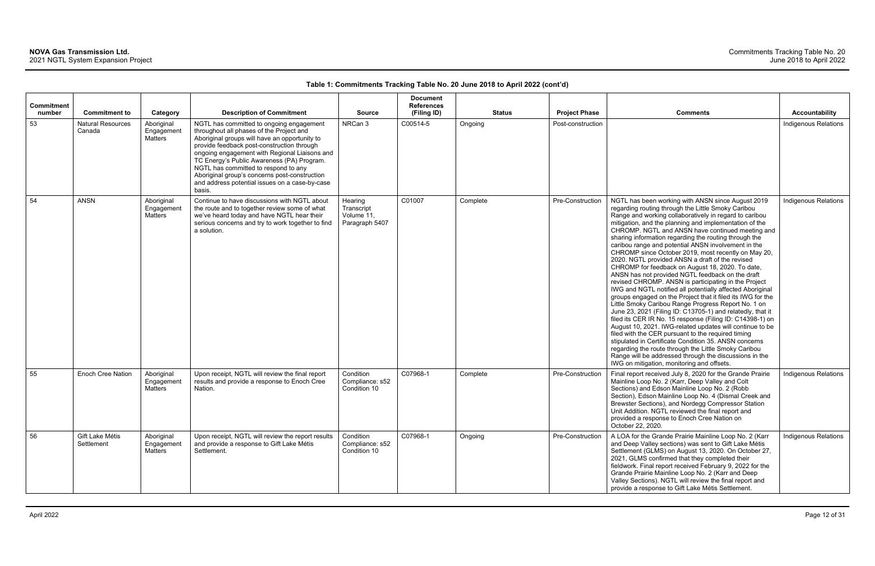| Commitment |                                    |                                            |                                                                                                                                                                                                                                                                                                                                                                                                                                         |                                                       | <b>Document</b><br><b>References</b> |          |               |                      |                                                                                                                                                                                                                                                                                                                                                                                                                                                                                                                                                                                                                                                                                                                                                                                                                                                                                                                                                                                                                                                                                                                                                                                                                                                                                                                                    |                             |
|------------|------------------------------------|--------------------------------------------|-----------------------------------------------------------------------------------------------------------------------------------------------------------------------------------------------------------------------------------------------------------------------------------------------------------------------------------------------------------------------------------------------------------------------------------------|-------------------------------------------------------|--------------------------------------|----------|---------------|----------------------|------------------------------------------------------------------------------------------------------------------------------------------------------------------------------------------------------------------------------------------------------------------------------------------------------------------------------------------------------------------------------------------------------------------------------------------------------------------------------------------------------------------------------------------------------------------------------------------------------------------------------------------------------------------------------------------------------------------------------------------------------------------------------------------------------------------------------------------------------------------------------------------------------------------------------------------------------------------------------------------------------------------------------------------------------------------------------------------------------------------------------------------------------------------------------------------------------------------------------------------------------------------------------------------------------------------------------------|-----------------------------|
| number     | <b>Commitment to</b>               | Category                                   | <b>Description of Commitment</b>                                                                                                                                                                                                                                                                                                                                                                                                        | <b>Source</b>                                         | (Filing ID)                          |          | <b>Status</b> | <b>Project Phase</b> | <b>Comments</b>                                                                                                                                                                                                                                                                                                                                                                                                                                                                                                                                                                                                                                                                                                                                                                                                                                                                                                                                                                                                                                                                                                                                                                                                                                                                                                                    | <b>Accountability</b>       |
| 53         | <b>Natural Resources</b><br>Canada | Aboriginal<br>Engagement<br><b>Matters</b> | NGTL has committed to ongoing engagement<br>throughout all phases of the Project and<br>Aboriginal groups will have an opportunity to<br>provide feedback post-construction through<br>ongoing engagement with Regional Liaisons and<br>TC Energy's Public Awareness (PA) Program.<br>NGTL has committed to respond to any<br>Aboriginal group's concerns post-construction<br>and address potential issues on a case-by-case<br>basis. | NRCan 3                                               | C00514-5                             | Ongoing  |               | Post-construction    |                                                                                                                                                                                                                                                                                                                                                                                                                                                                                                                                                                                                                                                                                                                                                                                                                                                                                                                                                                                                                                                                                                                                                                                                                                                                                                                                    | Indigenous Relations        |
| 54         | <b>ANSN</b>                        | Aboriginal<br>Engagement<br>Matters        | Continue to have discussions with NGTL about<br>the route and to together review some of what<br>we've heard today and have NGTL hear their<br>serious concerns and try to work together to find<br>a solution.                                                                                                                                                                                                                         | Hearing<br>Transcript<br>Volume 11,<br>Paragraph 5407 | C01007                               | Complete |               | Pre-Construction     | NGTL has been working with ANSN since August 2019<br>regarding routing through the Little Smoky Caribou<br>Range and working collaboratively in regard to caribou<br>mitigation, and the planning and implementation of the<br>CHROMP. NGTL and ANSN have continued meeting and<br>sharing information regarding the routing through the<br>caribou range and potential ANSN involvement in the<br>CHROMP since October 2019, most recently on May 20,<br>2020. NGTL provided ANSN a draft of the revised<br>CHROMP for feedback on August 18, 2020. To date,<br>ANSN has not provided NGTL feedback on the draft<br>revised CHROMP. ANSN is participating in the Project<br>IWG and NGTL notified all potentially affected Aboriginal<br>groups engaged on the Project that it filed its IWG for the<br>Little Smoky Caribou Range Progress Report No. 1 on<br>June 23, 2021 (Filing ID: C13705-1) and relatedly, that it<br>filed its CER IR No. 15 response (Filing ID: C14398-1) on<br>August 10, 2021. IWG-related updates will continue to be<br>filed with the CER pursuant to the required timing<br>stipulated in Certificate Condition 35. ANSN concerns<br>regarding the route through the Little Smoky Caribou<br>Range will be addressed through the discussions in the<br>IWG on mitigation, monitoring and offsets. | Indigenous Relations        |
| 55         | Enoch Cree Nation                  | Aboriginal<br>Engagement<br>Matters        | Upon receipt, NGTL will review the final report<br>results and provide a response to Enoch Cree<br>Nation.                                                                                                                                                                                                                                                                                                                              | Condition<br>Compliance: s52<br>Condition 10          | C07968-1                             | Complete |               | Pre-Construction     | Final report received July 8, 2020 for the Grande Prairie<br>Mainline Loop No. 2 (Karr, Deep Valley and Colt<br>Sections) and Edson Mainline Loop No. 2 (Robb<br>Section), Edson Mainline Loop No. 4 (Dismal Creek and<br>Brewster Sections), and Nordegg Compressor Station<br>Unit Addition. NGTL reviewed the final report and<br>provided a response to Enoch Cree Nation on<br>October 22, 2020.                                                                                                                                                                                                                                                                                                                                                                                                                                                                                                                                                                                                                                                                                                                                                                                                                                                                                                                              | Indigenous Relations        |
| 56         | Gift Lake Métis<br>Settlement      | Aboriginal<br>Engagement<br>Matters        | Upon receipt, NGTL will review the report results<br>and provide a response to Gift Lake Métis<br>Settlement.                                                                                                                                                                                                                                                                                                                           | Condition<br>Compliance: s52<br>Condition 10          | C07968-1                             | Ongoing  |               | Pre-Construction     | A LOA for the Grande Prairie Mainline Loop No. 2 (Karr<br>and Deep Valley sections) was sent to Gift Lake Métis<br>Settlement (GLMS) on August 13, 2020. On October 27,<br>2021, GLMS confirmed that they completed their<br>fieldwork. Final report received February 9, 2022 for the<br>Grande Prairie Mainline Loop No. 2 (Karr and Deep<br>Valley Sections). NGTL will review the final report and<br>provide a response to Gift Lake Métis Settlement.                                                                                                                                                                                                                                                                                                                                                                                                                                                                                                                                                                                                                                                                                                                                                                                                                                                                        | <b>Indigenous Relations</b> |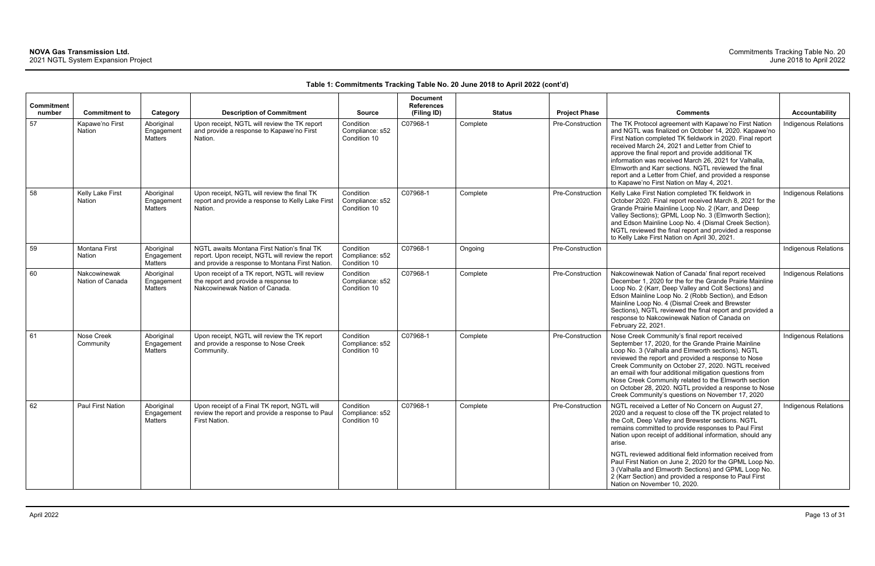| Commitment<br>number | <b>Commitment to</b>             | Category                                   | <b>Description of Commitment</b>                                                                                                                    | <b>Source</b>                                | <b>Document</b><br><b>References</b><br>(Filing ID) | <b>Status</b> | <b>Project Phase</b> | <b>Comments</b>                                                                                                                                                                                                                                                                                                                                                                                                                                                                                                                                                              | <b>Accountability</b>       |
|----------------------|----------------------------------|--------------------------------------------|-----------------------------------------------------------------------------------------------------------------------------------------------------|----------------------------------------------|-----------------------------------------------------|---------------|----------------------|------------------------------------------------------------------------------------------------------------------------------------------------------------------------------------------------------------------------------------------------------------------------------------------------------------------------------------------------------------------------------------------------------------------------------------------------------------------------------------------------------------------------------------------------------------------------------|-----------------------------|
| 57                   | Kapawe'no First<br>Nation        | Aboriginal<br>Engagement<br><b>Matters</b> | Upon receipt, NGTL will review the TK report<br>and provide a response to Kapawe'no First<br>Nation.                                                | Condition<br>Compliance: s52<br>Condition 10 | C07968-1                                            | Complete      | Pre-Construction     | The TK Protocol agreement with Kapawe'no First Nation<br>and NGTL was finalized on October 14, 2020. Kapawe'no<br>First Nation completed TK fieldwork in 2020. Final report<br>received March 24, 2021 and Letter from Chief to<br>approve the final report and provide additional TK<br>information was received March 26, 2021 for Valhalla,<br>Elmworth and Karr sections. NGTL reviewed the final<br>report and a Letter from Chief, and provided a response<br>to Kapawe'no First Nation on May 4, 2021.                                                                | Indigenous Relations        |
| 58                   | Kelly Lake First<br>Nation       | Aboriginal<br>Engagement<br><b>Matters</b> | Upon receipt, NGTL will review the final TK<br>report and provide a response to Kelly Lake First<br>Nation.                                         | Condition<br>Compliance: s52<br>Condition 10 | C07968-1                                            | Complete      | Pre-Construction     | Kelly Lake First Nation completed TK fieldwork in<br>October 2020. Final report received March 8, 2021 for the<br>Grande Prairie Mainline Loop No. 2 (Karr, and Deep<br>Valley Sections); GPML Loop No. 3 (Elmworth Section);<br>and Edson Mainline Loop No. 4 (Dismal Creek Section).<br>NGTL reviewed the final report and provided a response<br>to Kelly Lake First Nation on April 30, 2021.                                                                                                                                                                            | Indigenous Relations        |
| 59                   | <b>Montana First</b><br>Nation   | Aboriginal<br>Engagement<br><b>Matters</b> | NGTL awaits Montana First Nation's final TK<br>report. Upon receipt, NGTL will review the report<br>and provide a response to Montana First Nation. | Condition<br>Compliance: s52<br>Condition 10 | C07968-1                                            | Ongoing       | Pre-Construction     |                                                                                                                                                                                                                                                                                                                                                                                                                                                                                                                                                                              | <b>Indigenous Relations</b> |
| 60                   | Nakcowinewak<br>Nation of Canada | Aboriginal<br>Engagement<br><b>Matters</b> | Upon receipt of a TK report, NGTL will review<br>the report and provide a response to<br>Nakcowinewak Nation of Canada.                             | Condition<br>Compliance: s52<br>Condition 10 | C07968-1                                            | Complete      | Pre-Construction     | Nakcowinewak Nation of Canada' final report received<br>December 1, 2020 for the for the Grande Prairie Mainline<br>Loop No. 2 (Karr, Deep Valley and Colt Sections) and<br>Edson Mainline Loop No. 2 (Robb Section), and Edson<br>Mainline Loop No. 4 (Dismal Creek and Brewster<br>Sections), NGTL reviewed the final report and provided a<br>response to Nakcowinewak Nation of Canada on<br>February 22, 2021.                                                                                                                                                          | Indigenous Relations        |
| 61                   | Nose Creek<br>Community          | Aboriginal<br>Engagement<br>Matters        | Upon receipt, NGTL will review the TK report<br>and provide a response to Nose Creek<br>Community.                                                  | Condition<br>Compliance: s52<br>Condition 10 | C07968-1                                            | Complete      | Pre-Construction     | Nose Creek Community's final report received<br>September 17, 2020, for the Grande Prairie Mainline<br>Loop No. 3 (Valhalla and Elmworth sections). NGTL<br>reviewed the report and provided a response to Nose<br>Creek Community on October 27, 2020. NGTL received<br>an email with four additional mitigation questions from<br>Nose Creek Community related to the Elmworth section<br>on October 28, 2020. NGTL provided a response to Nose<br>Creek Community's questions on November 17, 2020                                                                        | <b>Indigenous Relations</b> |
| 62                   | Paul First Nation                | Aboriginal<br>Engagement<br><b>Matters</b> | Upon receipt of a Final TK report, NGTL will<br>review the report and provide a response to Paul<br>First Nation.                                   | Condition<br>Compliance: s52<br>Condition 10 | C07968-1                                            | Complete      | Pre-Construction     | NGTL received a Letter of No Concern on August 27,<br>2020 and a request to close off the TK project related to<br>the Colt, Deep Valley and Brewster sections. NGTL<br>remains committed to provide responses to Paul First<br>Nation upon receipt of additional information, should any<br>arise.<br>NGTL reviewed additional field information received from<br>Paul First Nation on June 2, 2020 for the GPML Loop No.<br>3 (Valhalla and Elmworth Sections) and GPML Loop No.<br>2 (Karr Section) and provided a response to Paul First<br>Nation on November 10, 2020. | Indigenous Relations        |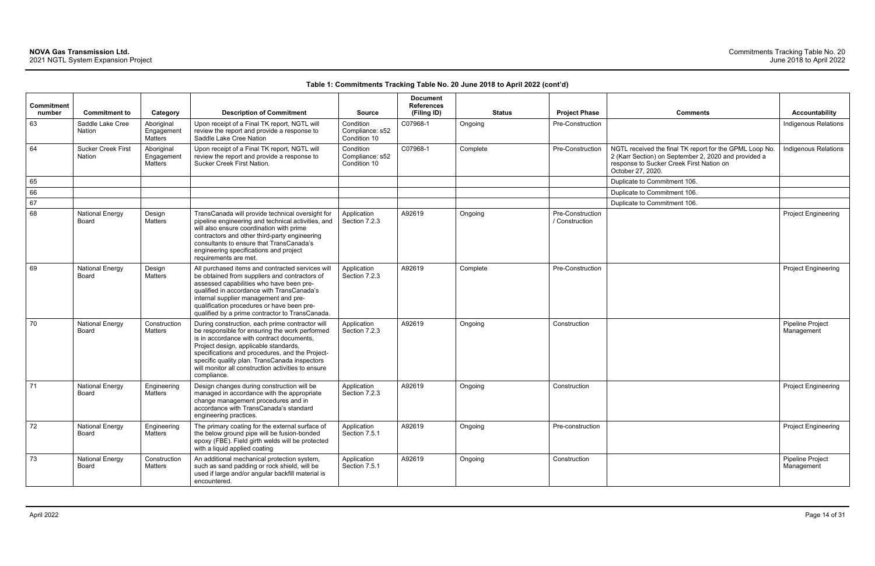| <b>Commitment</b><br>number | <b>Commitment to</b>                       | Category                                   | <b>Description of Commitment</b>                                                                                                                                                                                                                                                                                                                                 | <b>Source</b>                                | <b>Document</b><br><b>References</b><br>(Filing ID) | <b>Status</b> | <b>Project Phase</b>               | <b>Comments</b>                                                                                                                                                                  | <b>Accountability</b>          |
|-----------------------------|--------------------------------------------|--------------------------------------------|------------------------------------------------------------------------------------------------------------------------------------------------------------------------------------------------------------------------------------------------------------------------------------------------------------------------------------------------------------------|----------------------------------------------|-----------------------------------------------------|---------------|------------------------------------|----------------------------------------------------------------------------------------------------------------------------------------------------------------------------------|--------------------------------|
| 63                          | Saddle Lake Cree<br><b>Nation</b>          | Aboriginal<br>Engagement<br><b>Matters</b> | Upon receipt of a Final TK report, NGTL will<br>review the report and provide a response to<br>Saddle Lake Cree Nation                                                                                                                                                                                                                                           | Condition<br>Compliance: s52<br>Condition 10 | C07968-1                                            | Ongoing       | Pre-Construction                   |                                                                                                                                                                                  | Indigenous Relations           |
| 64                          | <b>Sucker Creek First</b><br><b>Nation</b> | Aboriginal<br>Engagement<br>Matters        | Upon receipt of a Final TK report, NGTL will<br>review the report and provide a response to<br>Sucker Creek First Nation.                                                                                                                                                                                                                                        | Condition<br>Compliance: s52<br>Condition 10 | C07968-1                                            | Complete      | Pre-Construction                   | NGTL received the final TK report for the GPML Loop No.<br>2 (Karr Section) on September 2, 2020 and provided a<br>response to Sucker Creek First Nation on<br>October 27, 2020. | Indigenous Relations           |
| 65                          |                                            |                                            |                                                                                                                                                                                                                                                                                                                                                                  |                                              |                                                     |               |                                    | Duplicate to Commitment 106.                                                                                                                                                     |                                |
| 66                          |                                            |                                            |                                                                                                                                                                                                                                                                                                                                                                  |                                              |                                                     |               |                                    | Duplicate to Commitment 106.                                                                                                                                                     |                                |
| 67                          |                                            |                                            |                                                                                                                                                                                                                                                                                                                                                                  |                                              |                                                     |               |                                    | Duplicate to Commitment 106.                                                                                                                                                     |                                |
| 68                          | <b>National Energy</b><br>Board            | Design<br>Matters                          | TransCanada will provide technical oversight for<br>pipeline engineering and technical activities, and<br>will also ensure coordination with prime<br>contractors and other third-party engineering<br>consultants to ensure that TransCanada's<br>engineering specifications and project<br>requirements are met.                                               | Application<br>Section 7.2.3                 | A92619                                              | Ongoing       | Pre-Construction<br>/ Construction |                                                                                                                                                                                  | <b>Project Engineering</b>     |
| 69                          | <b>National Energy</b><br>Board            | Design<br><b>Matters</b>                   | All purchased items and contracted services will<br>be obtained from suppliers and contractors of<br>assessed capabilities who have been pre-<br>qualified in accordance with TransCanada's<br>internal supplier management and pre-<br>qualification procedures or have been pre-<br>qualified by a prime contractor to TransCanada.                            | Application<br>Section 7.2.3                 | A92619                                              | Complete      | Pre-Construction                   |                                                                                                                                                                                  | <b>Project Engineering</b>     |
| 70                          | <b>National Energy</b><br>Board            | Construction<br>Matters                    | During construction, each prime contractor will<br>be responsible for ensuring the work performed<br>is in accordance with contract documents,<br>Project design, applicable standards,<br>specifications and procedures, and the Project-<br>specific quality plan. TransCanada inspectors<br>will monitor all construction activities to ensure<br>compliance. | Application<br>Section 7.2.3                 | A92619                                              | Ongoing       | Construction                       |                                                                                                                                                                                  | Pipeline Project<br>Management |
| 71                          | <b>National Energy</b><br>Board            | Engineering<br>Matters                     | Design changes during construction will be<br>managed in accordance with the appropriate<br>change management procedures and in<br>accordance with TransCanada's standard<br>engineering practices.                                                                                                                                                              | Application<br>Section 7.2.3                 | A92619                                              | Ongoing       | Construction                       |                                                                                                                                                                                  | <b>Project Engineering</b>     |
| 72                          | <b>National Energy</b><br>Board            | Engineering<br>Matters                     | The primary coating for the external surface of<br>the below ground pipe will be fusion-bonded<br>epoxy (FBE). Field girth welds will be protected<br>with a liquid applied coating                                                                                                                                                                              | Application<br>Section 7.5.1                 | A92619                                              | Ongoing       | Pre-construction                   |                                                                                                                                                                                  | <b>Project Engineering</b>     |
| 73                          | <b>National Energy</b><br>Board            | Construction<br>Matters                    | An additional mechanical protection system,<br>such as sand padding or rock shield, will be<br>used if large and/or angular backfill material is<br>encountered.                                                                                                                                                                                                 | Application<br>Section 7.5.1                 | A92619                                              | Ongoing       | Construction                       |                                                                                                                                                                                  | Pipeline Project<br>Management |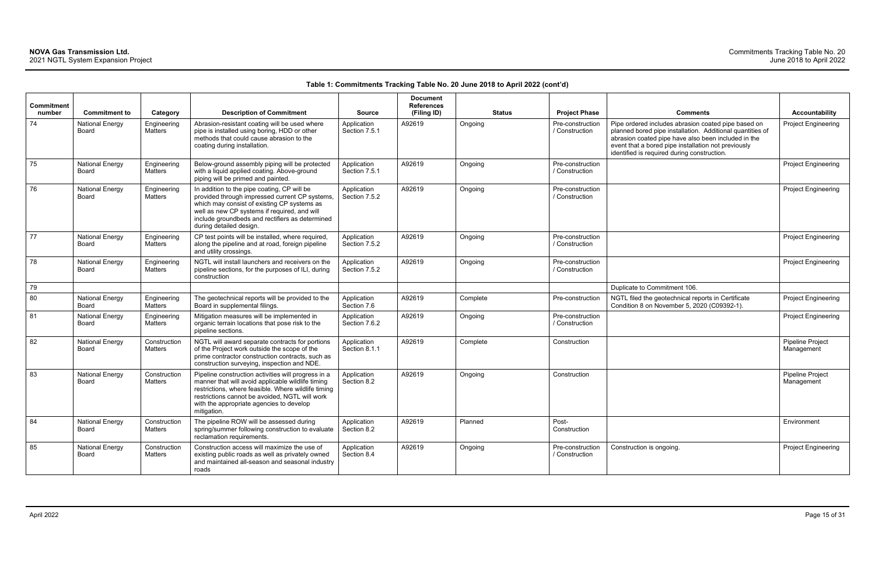| <b>Commitment</b><br>number | <b>Commitment to</b>            | Category                | <b>Description of Commitment</b>                                                                                                                                                                                                                                             | <b>Source</b>                | <b>Document</b><br><b>References</b><br>(Filing ID) | <b>Status</b> | <b>Project Phase</b>               | <b>Comments</b>                                                                                                                                                                                                                                                               | Accountability                        |
|-----------------------------|---------------------------------|-------------------------|------------------------------------------------------------------------------------------------------------------------------------------------------------------------------------------------------------------------------------------------------------------------------|------------------------------|-----------------------------------------------------|---------------|------------------------------------|-------------------------------------------------------------------------------------------------------------------------------------------------------------------------------------------------------------------------------------------------------------------------------|---------------------------------------|
| 74                          | <b>National Energy</b><br>Board | Engineering<br>Matters  | Abrasion-resistant coating will be used where<br>pipe is installed using boring, HDD or other<br>methods that could cause abrasion to the<br>coating during installation.                                                                                                    | Application<br>Section 7.5.1 | A92619                                              | Ongoing       | Pre-construction<br>/ Construction | Pipe ordered includes abrasion coated pipe based on<br>planned bored pipe installation. Additional quantities of<br>abrasion coated pipe have also been included in the<br>event that a bored pipe installation not previously<br>identified is required during construction. | Project Engineerin                    |
| 75                          | <b>National Energy</b><br>Board | Engineering<br>Matters  | Below-ground assembly piping will be protected<br>with a liquid applied coating. Above-ground<br>piping will be primed and painted.                                                                                                                                          | Application<br>Section 7.5.1 | A92619                                              | Ongoing       | Pre-construction<br>/ Construction |                                                                                                                                                                                                                                                                               | Project Engineerin                    |
| 76                          | <b>National Energy</b><br>Board | Engineering<br>Matters  | In addition to the pipe coating, CP will be<br>provided through impressed current CP systems,<br>which may consist of existing CP systems as<br>well as new CP systems if required, and will<br>include groundbeds and rectifiers as determined<br>during detailed design.   | Application<br>Section 7.5.2 | A92619                                              | Ongoing       | Pre-construction<br>/ Construction |                                                                                                                                                                                                                                                                               | Project Engineerin                    |
| 77                          | <b>National Energy</b><br>Board | Engineering<br>Matters  | CP test points will be installed, where required,<br>along the pipeline and at road, foreign pipeline<br>and utility crossings.                                                                                                                                              | Application<br>Section 7.5.2 | A92619                                              | Ongoing       | Pre-construction<br>/ Construction |                                                                                                                                                                                                                                                                               | <b>Project Engineerin</b>             |
| 78                          | <b>National Energy</b><br>Board | Engineering<br>Matters  | NGTL will install launchers and receivers on the<br>pipeline sections, for the purposes of ILI, during<br>construction                                                                                                                                                       | Application<br>Section 7.5.2 | A92619                                              | Ongoing       | Pre-construction<br>/ Construction |                                                                                                                                                                                                                                                                               | Project Engineerin                    |
| 79                          |                                 |                         |                                                                                                                                                                                                                                                                              |                              |                                                     |               |                                    | Duplicate to Commitment 106.                                                                                                                                                                                                                                                  |                                       |
| 80                          | <b>National Energy</b><br>Board | Engineering<br>Matters  | The geotechnical reports will be provided to the<br>Board in supplemental filings.                                                                                                                                                                                           | Application<br>Section 7.6   | A92619                                              | Complete      | Pre-construction                   | NGTL filed the geotechnical reports in Certificate<br>Condition 8 on November 5, 2020 (C09392-1).                                                                                                                                                                             | Project Engineerin                    |
| 81                          | <b>National Energy</b><br>Board | Engineering<br>Matters  | Mitigation measures will be implemented in<br>organic terrain locations that pose risk to the<br>pipeline sections.                                                                                                                                                          | Application<br>Section 7.6.2 | A92619                                              | Ongoing       | Pre-construction<br>/ Construction |                                                                                                                                                                                                                                                                               | Project Engineerin                    |
| 82                          | <b>National Energy</b><br>Board | Construction<br>Matters | NGTL will award separate contracts for portions<br>of the Project work outside the scope of the<br>prime contractor construction contracts, such as<br>construction surveying, inspection and NDE.                                                                           | Application<br>Section 8.1.1 | A92619                                              | Complete      | Construction                       |                                                                                                                                                                                                                                                                               | Pipeline Project<br>Management        |
| 83                          | <b>National Energy</b><br>Board | Construction<br>Matters | Pipeline construction activities will progress in a<br>manner that will avoid applicable wildlife timing<br>restrictions, where feasible. Where wildlife timing<br>restrictions cannot be avoided, NGTL will work<br>with the appropriate agencies to develop<br>mitigation. | Application<br>Section 8.2   | A92619                                              | Ongoing       | Construction                       |                                                                                                                                                                                                                                                                               | <b>Pipeline Project</b><br>Management |
| 84                          | <b>National Energy</b><br>Board | Construction<br>Matters | The pipeline ROW will be assessed during<br>spring/summer following construction to evaluate<br>reclamation requirements.                                                                                                                                                    | Application<br>Section 8.2   | A92619                                              | Planned       | Post-<br>Construction              |                                                                                                                                                                                                                                                                               | Environment                           |
| 85                          | <b>National Energy</b><br>Board | Construction<br>Matters | Construction access will maximize the use of<br>existing public roads as well as privately owned<br>and maintained all-season and seasonal industry<br>roads                                                                                                                 | Application<br>Section 8.4   | A92619                                              | Ongoing       | Pre-construction<br>/ Construction | Construction is ongoing.                                                                                                                                                                                                                                                      | Project Engineerin                    |
|                             |                                 |                         |                                                                                                                                                                                                                                                                              |                              |                                                     |               |                                    |                                                                                                                                                                                                                                                                               |                                       |

| Comments                                                                                                                                                                                                                                                                      | <b>Accountability</b>          |
|-------------------------------------------------------------------------------------------------------------------------------------------------------------------------------------------------------------------------------------------------------------------------------|--------------------------------|
| Pipe ordered includes abrasion coated pipe based on<br>planned bored pipe installation. Additional quantities of<br>abrasion coated pipe have also been included in the<br>event that a bored pipe installation not previously<br>identified is required during construction. | <b>Project Engineering</b>     |
|                                                                                                                                                                                                                                                                               | <b>Project Engineering</b>     |
|                                                                                                                                                                                                                                                                               | <b>Project Engineering</b>     |
|                                                                                                                                                                                                                                                                               | Project Engineering            |
|                                                                                                                                                                                                                                                                               | Project Engineering            |
| Duplicate to Commitment 106.                                                                                                                                                                                                                                                  |                                |
| NGTL filed the geotechnical reports in Certificate<br>Condition 8 on November 5, 2020 (C09392-1).                                                                                                                                                                             | <b>Project Engineering</b>     |
|                                                                                                                                                                                                                                                                               | Project Engineering            |
|                                                                                                                                                                                                                                                                               | Pipeline Project<br>Management |
|                                                                                                                                                                                                                                                                               | Pipeline Project<br>Management |
|                                                                                                                                                                                                                                                                               | Environment                    |
| Construction is ongoing.                                                                                                                                                                                                                                                      | <b>Project Engineering</b>     |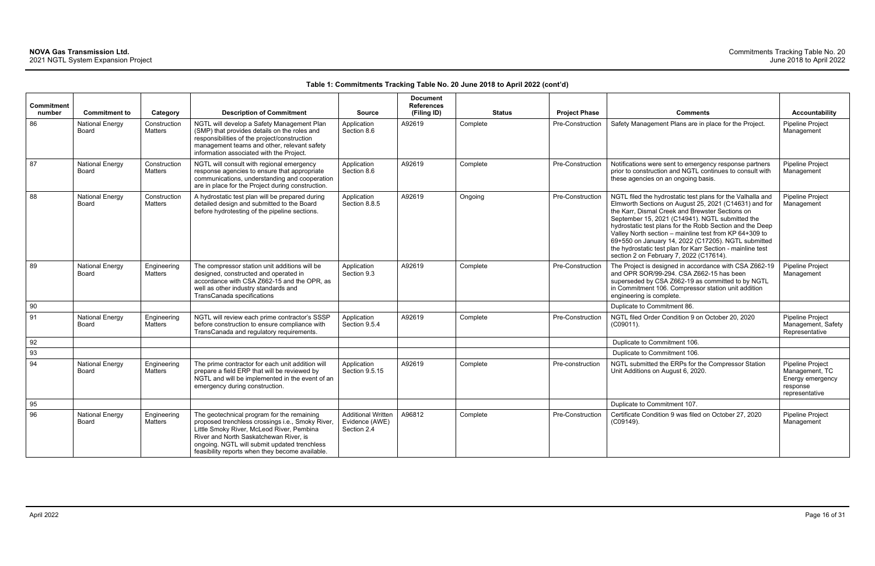| <b>Commitment</b><br>number | <b>Commitment to</b>                   | Category                       | <b>Description of Commitment</b>                                                                                                                                                                                                                                                         | <b>Source</b>                                              | <b>Document</b><br><b>References</b><br>(Filing ID) | <b>Status</b> | <b>Project Phase</b> | <b>Comments</b>                                                                                                                                                                                                                                                                                                                                                                                                                                                                                                 | <b>Accountability</b>                                                                |
|-----------------------------|----------------------------------------|--------------------------------|------------------------------------------------------------------------------------------------------------------------------------------------------------------------------------------------------------------------------------------------------------------------------------------|------------------------------------------------------------|-----------------------------------------------------|---------------|----------------------|-----------------------------------------------------------------------------------------------------------------------------------------------------------------------------------------------------------------------------------------------------------------------------------------------------------------------------------------------------------------------------------------------------------------------------------------------------------------------------------------------------------------|--------------------------------------------------------------------------------------|
| 86                          | <b>National Energy</b><br>Board        | Construction<br><b>Matters</b> | NGTL will develop a Safety Management Plan<br>(SMP) that provides details on the roles and<br>responsibilities of the project/construction<br>management teams and other, relevant safety<br>information associated with the Project.                                                    | Application<br>Section 8.6                                 | A92619                                              | Complete      | Pre-Construction     | Safety Management Plans are in place for the Project.                                                                                                                                                                                                                                                                                                                                                                                                                                                           | Pipeline Project<br>Management                                                       |
| 87                          | <b>National Energy</b><br>Board        | Construction<br>Matters        | NGTL will consult with regional emergency<br>response agencies to ensure that appropriate<br>communications, understanding and cooperation<br>are in place for the Project during construction.                                                                                          | Application<br>Section 8.6                                 | A92619                                              | Complete      | Pre-Construction     | Notifications were sent to emergency response partners<br>prior to construction and NGTL continues to consult with<br>these agencies on an ongoing basis.                                                                                                                                                                                                                                                                                                                                                       | <b>Pipeline Project</b><br>Management                                                |
| 88                          | <b>National Energy</b><br>Board        | Construction<br>Matters        | A hydrostatic test plan will be prepared during<br>detailed design and submitted to the Board<br>before hydrotesting of the pipeline sections.                                                                                                                                           | Application<br>Section 8.8.5                               | A92619                                              | Ongoing       | Pre-Construction     | NGTL filed the hydrostatic test plans for the Valhalla and<br>Elmworth Sections on August 25, 2021 (C14631) and for<br>the Karr, Dismal Creek and Brewster Sections on<br>September 15, 2021 (C14941). NGTL submitted the<br>hydrostatic test plans for the Robb Section and the Deep<br>Valley North section - mainline test from KP 64+309 to<br>69+550 on January 14, 2022 (C17205). NGTL submitted<br>the hydrostatic test plan for Karr Section - mainline test<br>section 2 on February 7, 2022 (C17614). | <b>Pipeline Project</b><br>Management                                                |
| 89                          | <b>National Energy</b><br><b>Board</b> | Engineering<br>Matters         | The compressor station unit additions will be<br>designed, constructed and operated in<br>accordance with CSA Z662-15 and the OPR, as<br>well as other industry standards and<br>TransCanada specifications                                                                              | Application<br>Section 9.3                                 | A92619                                              | Complete      | Pre-Construction     | The Project is designed in accordance with CSA Z662-19<br>and OPR SOR/99-294. CSA Z662-15 has been<br>superseded by CSA Z662-19 as committed to by NGTL<br>in Commitment 106. Compressor station unit addition<br>engineering is complete.                                                                                                                                                                                                                                                                      | Pipeline Project<br>Management                                                       |
| 90                          |                                        |                                |                                                                                                                                                                                                                                                                                          |                                                            |                                                     |               |                      | Duplicate to Commitment 86.                                                                                                                                                                                                                                                                                                                                                                                                                                                                                     |                                                                                      |
| 91                          | <b>National Energy</b><br><b>Board</b> | Engineering<br><b>Matters</b>  | NGTL will review each prime contractor's SSSP<br>before construction to ensure compliance with<br>TransCanada and regulatory requirements.                                                                                                                                               | Application<br>Section 9.5.4                               | A92619                                              | Complete      | Pre-Construction     | NGTL filed Order Condition 9 on October 20, 2020<br>(C09011).                                                                                                                                                                                                                                                                                                                                                                                                                                                   | <b>Pipeline Project</b><br>Management, Safety<br>Representative                      |
| 92                          |                                        |                                |                                                                                                                                                                                                                                                                                          |                                                            |                                                     |               |                      | Duplicate to Commitment 106.                                                                                                                                                                                                                                                                                                                                                                                                                                                                                    |                                                                                      |
| 93                          |                                        |                                |                                                                                                                                                                                                                                                                                          |                                                            |                                                     |               |                      | Duplicate to Commitment 106.                                                                                                                                                                                                                                                                                                                                                                                                                                                                                    |                                                                                      |
| 94                          | <b>National Energy</b><br>Board        | Engineering<br>Matters         | The prime contractor for each unit addition will<br>prepare a field ERP that will be reviewed by<br>NGTL and will be implemented in the event of an<br>emergency during construction.                                                                                                    | Application<br>Section 9.5.15                              | A92619                                              | Complete      | Pre-construction     | NGTL submitted the ERPs for the Compressor Station<br>Unit Additions on August 6, 2020.                                                                                                                                                                                                                                                                                                                                                                                                                         | Pipeline Project<br>Management, TC<br>Energy emergency<br>response<br>representative |
| 95                          |                                        |                                |                                                                                                                                                                                                                                                                                          |                                                            |                                                     |               |                      | Duplicate to Commitment 107.                                                                                                                                                                                                                                                                                                                                                                                                                                                                                    |                                                                                      |
| 96                          | <b>National Energy</b><br>Board        | Engineering<br><b>Matters</b>  | The geotechnical program for the remaining<br>proposed trenchless crossings i.e., Smoky River,<br>Little Smoky River, McLeod River, Pembina<br>River and North Saskatchewan River, is<br>ongoing. NGTL will submit updated trenchless<br>feasibility reports when they become available. | <b>Additional Written</b><br>Evidence (AWE)<br>Section 2.4 | A96812                                              | Complete      | Pre-Construction     | Certificate Condition 9 was filed on October 27, 2020<br>(C09149).                                                                                                                                                                                                                                                                                                                                                                                                                                              | Pipeline Project<br>Management                                                       |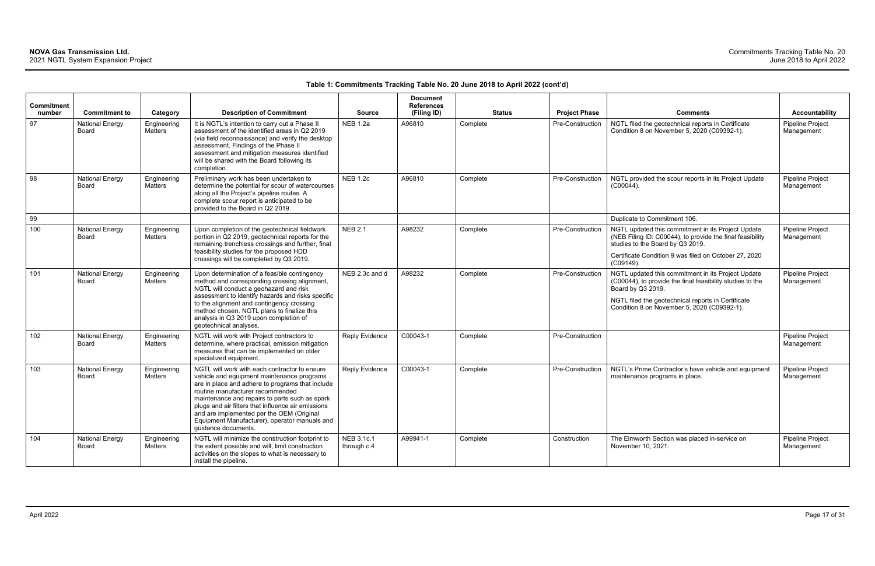| <b>Commitment</b><br>number | <b>Commitment to</b>            | Category                      | <b>Description of Commitment</b>                                                                                                                                                                                                                                                                                                                                                                                 | <b>Source</b>             | <b>Document</b><br><b>References</b><br>(Filing ID) | <b>Status</b> | <b>Project Phase</b> | <b>Comments</b>                                                                                                                                                                                                                           | <b>Accountability</b>          |
|-----------------------------|---------------------------------|-------------------------------|------------------------------------------------------------------------------------------------------------------------------------------------------------------------------------------------------------------------------------------------------------------------------------------------------------------------------------------------------------------------------------------------------------------|---------------------------|-----------------------------------------------------|---------------|----------------------|-------------------------------------------------------------------------------------------------------------------------------------------------------------------------------------------------------------------------------------------|--------------------------------|
| 97                          | <b>National Energy</b><br>Board | Engineering<br>Matters        | It is NGTL's intention to carry out a Phase II<br>assessment of the identified areas in Q2 2019<br>(via field reconnaissance) and verify the desktop<br>assessment. Findings of the Phase II<br>assessment and mitigation measures identified<br>will be shared with the Board following its<br>completion.                                                                                                      | <b>NEB 1.2a</b>           | A96810                                              | Complete      | Pre-Construction     | NGTL filed the geotechnical reports in Certificate<br>Condition 8 on November 5, 2020 (C09392-1).                                                                                                                                         | Pipeline Project<br>Management |
| 98                          | <b>National Energy</b><br>Board | Engineering<br>Matters        | Preliminary work has been undertaken to<br>determine the potential for scour of watercourses<br>along all the Project's pipeline routes. A<br>complete scour report is anticipated to be<br>provided to the Board in Q2 2019.                                                                                                                                                                                    | <b>NEB 1.2c</b>           | A96810                                              | Complete      | Pre-Construction     | NGTL provided the scour reports in its Project Update<br>$(C00044)$ .                                                                                                                                                                     | Pipeline Project<br>Management |
| 99                          |                                 |                               |                                                                                                                                                                                                                                                                                                                                                                                                                  |                           |                                                     |               |                      | Duplicate to Commitment 106.                                                                                                                                                                                                              |                                |
| 100                         | <b>National Energy</b><br>Board | Engineering<br>Matters        | Upon completion of the geotechnical fieldwork<br>portion in Q2 2019, geotechnical reports for the<br>remaining trenchless crossings and further, final<br>feasibility studies for the proposed HDD<br>crossings will be completed by Q3 2019.                                                                                                                                                                    | <b>NEB 2.1</b>            | A98232                                              | Complete      | Pre-Construction     | NGTL updated this commitment in its Project Update<br>(NEB Filing ID: C00044), to provide the final feasibility<br>studies to the Board by Q3 2019.<br>Certificate Condition 9 was filed on October 27, 2020<br>(C09149).                 | Pipeline Project<br>Management |
| 101                         | <b>National Energy</b><br>Board | Engineering<br><b>Matters</b> | Upon determination of a feasible contingency<br>method and corresponding crossing alignment,<br>NGTL will conduct a geohazard and risk<br>assessment to identify hazards and risks specific<br>to the alignment and contingency crossing<br>method chosen. NGTL plans to finalize this<br>analysis in Q3 2019 upon completion of<br>geotechnical analyses.                                                       | NEB 2.3c and d            | A98232                                              | Complete      | Pre-Construction     | NGTL updated this commitment in its Project Update<br>(C00044), to provide the final feasibility studies to the<br>Board by Q3 2019.<br>NGTL filed the geotechnical reports in Certificate<br>Condition 8 on November 5, 2020 (C09392-1). | Pipeline Project<br>Management |
| 102                         | <b>National Energy</b><br>Board | Engineering<br>Matters        | NGTL will work with Project contractors to<br>determine, where practical, emission mitigation<br>measures that can be implemented on older<br>specialized equipment.                                                                                                                                                                                                                                             | <b>Reply Evidence</b>     | C00043-1                                            | Complete      | Pre-Construction     |                                                                                                                                                                                                                                           | Pipeline Project<br>Management |
| 103                         | <b>National Energy</b><br>Board | Engineering<br>Matters        | NGTL will work with each contractor to ensure<br>vehicle and equipment maintenance programs<br>are in place and adhere to programs that include<br>routine manufacturer recommended<br>maintenance and repairs to parts such as spark<br>plugs and air filters that influence air emissions<br>and are implemented per the OEM (Original<br>Equipment Manufacturer), operator manuals and<br>guidance documents. | Reply Evidence            | C00043-1                                            | Complete      | Pre-Construction     | NGTL's Prime Contractor's have vehicle and equipment<br>maintenance programs in place.                                                                                                                                                    | Pipeline Project<br>Management |
| 104                         | <b>National Energy</b><br>Board | Engineering<br>Matters        | NGTL will minimize the construction footprint to<br>the extent possible and will, limit construction<br>activities on the slopes to what is necessary to<br>install the pipeline.                                                                                                                                                                                                                                | NEB 3.1c.1<br>through c.4 | A99941-1                                            | Complete      | Construction         | The Elmworth Section was placed in-service on<br>November 10, 2021.                                                                                                                                                                       | Pipeline Project<br>Management |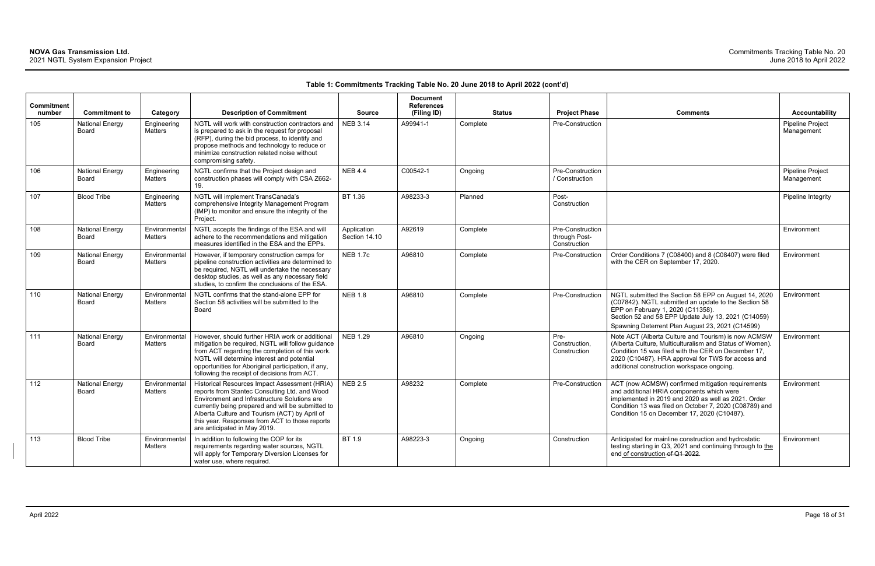| <b>Commitment</b><br>number | <b>Commitment to</b>                   | Category                        | <b>Description of Commitment</b>                                                                                                                                                                                                                                                                                                       | <b>Source</b>                | <b>Document</b><br><b>References</b><br>(Filing ID) | <b>Status</b> | <b>Project Phase</b>                              | <b>Comments</b>                                                                                                                                                                                                                                                            | Accountability                        |
|-----------------------------|----------------------------------------|---------------------------------|----------------------------------------------------------------------------------------------------------------------------------------------------------------------------------------------------------------------------------------------------------------------------------------------------------------------------------------|------------------------------|-----------------------------------------------------|---------------|---------------------------------------------------|----------------------------------------------------------------------------------------------------------------------------------------------------------------------------------------------------------------------------------------------------------------------------|---------------------------------------|
| 105                         | National Energy<br>Board               | Engineering<br>Matters          | NGTL will work with construction contractors and<br>is prepared to ask in the request for proposal<br>(RFP), during the bid process, to identify and<br>propose methods and technology to reduce or<br>minimize construction related noise without<br>compromising safety.                                                             | <b>NEB 3.14</b>              | A99941-1                                            | Complete      | Pre-Construction                                  |                                                                                                                                                                                                                                                                            | Pipeline Project<br>Management        |
| 106                         | <b>National Energy</b><br><b>Board</b> | Engineering<br>Matters          | NGTL confirms that the Project design and<br>construction phases will comply with CSA Z662-<br>19.                                                                                                                                                                                                                                     | <b>NEB 4.4</b>               | C00542-1                                            | Ongoing       | Pre-Construction<br>/ Construction                |                                                                                                                                                                                                                                                                            | <b>Pipeline Project</b><br>Management |
| 107                         | <b>Blood Tribe</b>                     | Engineering<br>Matters          | NGTL will implement TransCanada's<br>comprehensive Integrity Management Program<br>(IMP) to monitor and ensure the integrity of the<br>Project.                                                                                                                                                                                        | BT 1.36                      | A98233-3                                            | Planned       | Post-<br>Construction                             |                                                                                                                                                                                                                                                                            | Pipeline Integrity                    |
| 108                         | <b>National Energy</b><br>Board        | Environmental<br>Matters        | NGTL accepts the findings of the ESA and will<br>adhere to the recommendations and mitigation<br>measures identified in the ESA and the EPPs.                                                                                                                                                                                          | Application<br>Section 14.10 | A92619                                              | Complete      | Pre-Construction<br>through Post-<br>Construction |                                                                                                                                                                                                                                                                            | Environment                           |
| 109                         | <b>National Energy</b><br><b>Board</b> | Environmental<br>Matters        | However, if temporary construction camps for<br>pipeline construction activities are determined to<br>be required, NGTL will undertake the necessary<br>desktop studies, as well as any necessary field<br>studies, to confirm the conclusions of the ESA.                                                                             | <b>NEB 1.7c</b>              | A96810                                              | Complete      | Pre-Construction                                  | Order Conditions 7 (C08400) and 8 (C08407) were filed<br>with the CER on September 17, 2020.                                                                                                                                                                               | Environment                           |
| 110                         | <b>National Energy</b><br>Board        | Environmental<br>Matters        | NGTL confirms that the stand-alone EPP for<br>Section 58 activities will be submitted to the<br>Board                                                                                                                                                                                                                                  | <b>NEB 1.8</b>               | A96810                                              | Complete      | Pre-Construction                                  | NGTL submitted the Section 58 EPP on August 14, 2020<br>(C07842). NGTL submitted an update to the Section 58<br>EPP on February 1, 2020 (C11358).<br>Section 52 and 58 EPP Update July 13, 2021 (C14059)<br>Spawning Deterrent Plan August 23, 2021 (C14599)               | Environment                           |
| 111                         | <b>National Energy</b><br>Board        | Environmental<br>Matters        | However, should further HRIA work or additional<br>mitigation be required, NGTL will follow guidance<br>from ACT regarding the completion of this work.<br>NGTL will determine interest and potential<br>opportunities for Aboriginal participation, if any,<br>following the receipt of decisions from ACT.                           | <b>NEB 1.29</b>              | A96810                                              | Ongoing       | Pre-<br>Construction,<br>Construction             | Note ACT (Alberta Culture and Tourism) is now ACMSW<br>(Alberta Culture, Multiculturalism and Status of Women).<br>Condition 15 was filed with the CER on December 17,<br>2020 (C10487). HRA approval for TWS for access and<br>additional construction workspace ongoing. | Environment                           |
| 112                         | <b>National Energy</b><br>Board        | Environmental<br>Matters        | Historical Resources Impact Assessment (HRIA)<br>reports from Stantec Consulting Ltd. and Wood<br>Environment and Infrastructure Solutions are<br>currently being prepared and will be submitted to<br>Alberta Culture and Tourism (ACT) by April of<br>this year. Responses from ACT to those reports<br>are anticipated in May 2019. | <b>NEB 2.5</b>               | A98232                                              | Complete      | Pre-Construction                                  | ACT (now ACMSW) confirmed mitigation requirements<br>and additional HRIA components which were<br>implemented in 2019 and 2020 as well as 2021. Order<br>Condition 13 was filed on October 7, 2020 (C08789) and<br>Condition 15 on December 17, 2020 (C10487).             | Environment                           |
| 113                         | <b>Blood Tribe</b>                     | Environmental<br><b>Matters</b> | In addition to following the COP for its<br>requirements regarding water sources, NGTL<br>will apply for Temporary Diversion Licenses for<br>water use, where required.                                                                                                                                                                | BT 1.9                       | A98223-3                                            | Ongoing       | Construction                                      | Anticipated for mainline construction and hydrostatic<br>testing starting in Q3, 2021 and continuing through to the<br>end of construction of Q1 2022.                                                                                                                     | Environment                           |

| Comments                                                                                                                                                                                                                                                                   | <b>Accountability</b>          |
|----------------------------------------------------------------------------------------------------------------------------------------------------------------------------------------------------------------------------------------------------------------------------|--------------------------------|
|                                                                                                                                                                                                                                                                            | Pipeline Project<br>Management |
|                                                                                                                                                                                                                                                                            | Pipeline Project<br>Management |
|                                                                                                                                                                                                                                                                            | Pipeline Integrity             |
|                                                                                                                                                                                                                                                                            | Environment                    |
| Order Conditions 7 (C08400) and 8 (C08407) were filed<br>with the CER on September 17, 2020.                                                                                                                                                                               | Environment                    |
| NGTL submitted the Section 58 EPP on August 14, 2020<br>(C07842). NGTL submitted an update to the Section 58<br>EPP on February 1, 2020 (C11358).<br>Section 52 and 58 EPP Update July 13, 2021 (C14059)<br>Spawning Deterrent Plan August 23, 2021 (C14599)               | Environment                    |
| Note ACT (Alberta Culture and Tourism) is now ACMSW<br>(Alberta Culture, Multiculturalism and Status of Women).<br>Condition 15 was filed with the CER on December 17,<br>2020 (C10487). HRA approval for TWS for access and<br>additional construction workspace ongoing. | Environment                    |
| ACT (now ACMSW) confirmed mitigation requirements<br>and additional HRIA components which were<br>implemented in 2019 and 2020 as well as 2021. Order<br>Condition 13 was filed on October 7, 2020 (C08789) and<br>Condition 15 on December 17, 2020 (C10487).             | Environment                    |
| Anticipated for mainline construction and hydrostatic<br>testing starting in Q3, 2021 and continuing through to the<br>end of construction of Q1 2022.                                                                                                                     | Environment                    |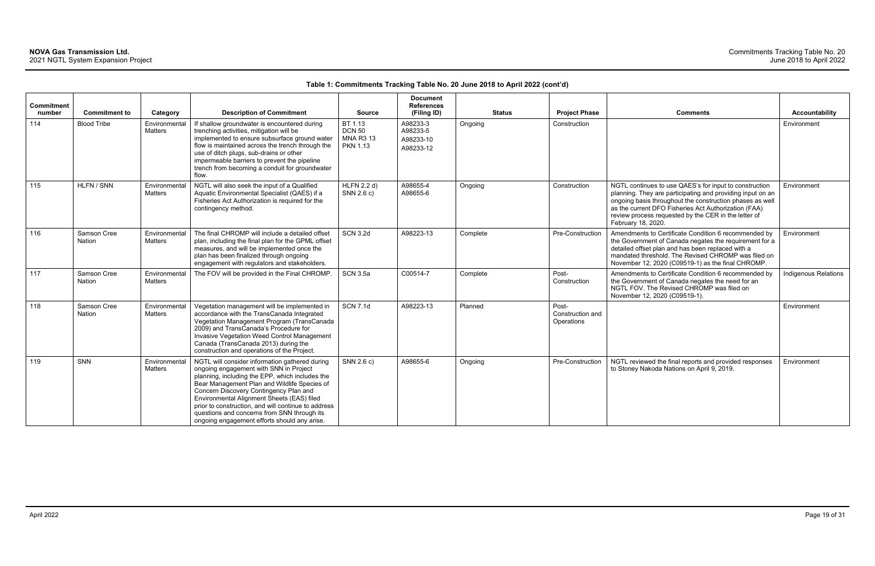| Commitment<br>number | <b>Commitment to</b>  | Category                        | <b>Description of Commitment</b>                                                                                                                                                                                                                                                                                                                                                                                                          | <b>Source</b>                                                   | <b>Document</b><br><b>References</b><br>(Filing ID) |          | <b>Status</b><br><b>Project Phase</b>   | <b>Comments</b>                                                                                                                                                                                                                                                                                                        | Accountability              |
|----------------------|-----------------------|---------------------------------|-------------------------------------------------------------------------------------------------------------------------------------------------------------------------------------------------------------------------------------------------------------------------------------------------------------------------------------------------------------------------------------------------------------------------------------------|-----------------------------------------------------------------|-----------------------------------------------------|----------|-----------------------------------------|------------------------------------------------------------------------------------------------------------------------------------------------------------------------------------------------------------------------------------------------------------------------------------------------------------------------|-----------------------------|
| 114                  | <b>Blood Tribe</b>    | Environmental<br><b>Matters</b> | If shallow groundwater is encountered during<br>trenching activities, mitigation will be<br>implemented to ensure subsurface ground water<br>flow is maintained across the trench through the<br>use of ditch plugs, sub-drains or other<br>impermeable barriers to prevent the pipeline<br>trench from becoming a conduit for groundwater<br>flow.                                                                                       | BT 1.13<br><b>DCN 50</b><br><b>MNA R3 13</b><br><b>PKN 1.13</b> | A98233-3<br>A98233-5<br>A98233-10<br>A98233-12      | Ongoing  | Construction                            |                                                                                                                                                                                                                                                                                                                        | Environment                 |
| 115                  | HLFN / SNN            | Environmental<br>Matters        | NGTL will also seek the input of a Qualified<br>Aquatic Environmental Specialist (QAES) if a<br>Fisheries Act Authorization is required for the<br>contingency method.                                                                                                                                                                                                                                                                    | <b>HLFN 2.2 d)</b><br>SNN 2.6 c)                                | A98655-4<br>A98655-6                                | Ongoing  | Construction                            | NGTL continues to use QAES's for input to construction<br>planning. They are participating and providing input on an<br>ongoing basis throughout the construction phases as well<br>as the current DFO Fisheries Act Authorization (FAA)<br>review process requested by the CER in the letter of<br>February 18, 2020. | Environment                 |
| 116                  | Samson Cree<br>Nation | Environmental<br><b>Matters</b> | The final CHROMP will include a detailed offset<br>plan, including the final plan for the GPML offset<br>measures, and will be implemented once the<br>plan has been finalized through ongoing<br>engagement with regulators and stakeholders.                                                                                                                                                                                            | <b>SCN 3.2d</b>                                                 | A98223-13                                           | Complete | Pre-Construction                        | Amendments to Certificate Condition 6 recommended by<br>the Government of Canada negates the requirement for a<br>detailed offset plan and has been replaced with a<br>mandated threshold. The Revised CHROMP was filed on<br>November 12, 2020 (C09519-1) as the final CHROMP.                                        | Environment                 |
| 117                  | Samson Cree<br>Nation | Environmental<br><b>Matters</b> | The FOV will be provided in the Final CHROMP.                                                                                                                                                                                                                                                                                                                                                                                             | <b>SCN 3.5a</b>                                                 | C00514-7                                            | Complete | Post-<br>Construction                   | Amendments to Certificate Condition 6 recommended by<br>the Government of Canada negates the need for an<br>NGTL FOV. The Revised CHROMP was filed on<br>November 12, 2020 (C09519-1).                                                                                                                                 | <b>Indigenous Relations</b> |
| 118                  | Samson Cree<br>Nation | Environmental<br><b>Matters</b> | Vegetation management will be implemented in<br>accordance with the TransCanada Integrated<br>Vegetation Management Program (TransCanada<br>2009) and TransCanada's Procedure for<br>Invasive Vegetation Weed Control Management<br>Canada (TransCanada 2013) during the<br>construction and operations of the Project.                                                                                                                   | <b>SCN 7.1d</b>                                                 | A98223-13                                           | Planned  | Post-<br>Construction and<br>Operations |                                                                                                                                                                                                                                                                                                                        | Environment                 |
| 119                  | <b>SNN</b>            | Environmental<br>Matters        | NGTL will consider information gathered during<br>ongoing engagement with SNN in Project<br>planning, including the EPP, which includes the<br>Bear Management Plan and Wildlife Species of<br>Concern Discovery Contingency Plan and<br>Environmental Alignment Sheets (EAS) filed<br>prior to construction, and will continue to address<br>questions and concerns from SNN through its<br>ongoing engagement efforts should any arise. | SNN 2.6 c)                                                      | A98655-6                                            | Ongoing  | Pre-Construction                        | NGTL reviewed the final reports and provided responses<br>to Stoney Nakoda Nations on April 9, 2019.                                                                                                                                                                                                                   | Environment                 |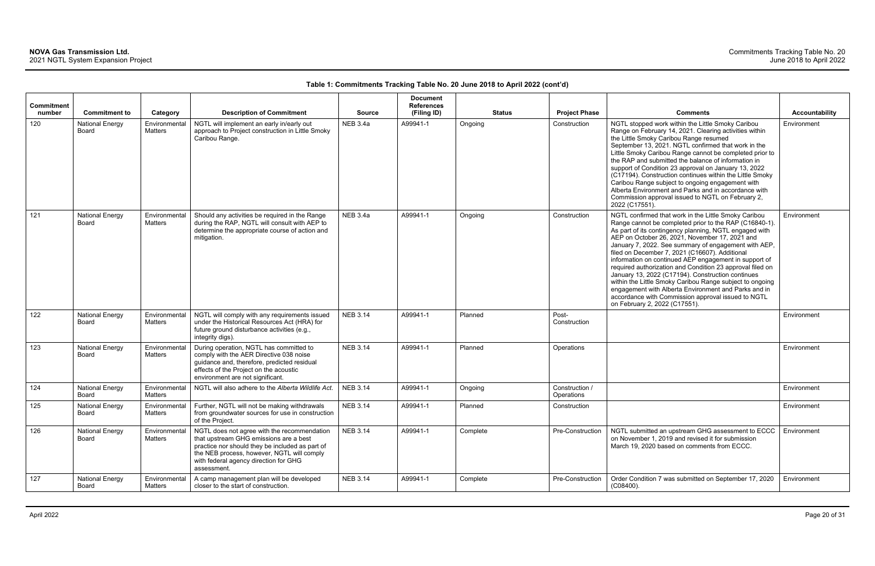| <b>Commitment</b><br>number | <b>Commitment to</b>                   | Category                 | <b>Description of Commitment</b>                                                                                                                                                                                                               | <b>Source</b>   | <b>Document</b><br><b>References</b><br>(Filing ID) |          | <b>Status</b> | <b>Project Phase</b>         | <b>Comments</b>                                                                                                                                                                                                                                                                                                                                                                                                                                                                                                                                                                                                                                                                                                            | Accountability |
|-----------------------------|----------------------------------------|--------------------------|------------------------------------------------------------------------------------------------------------------------------------------------------------------------------------------------------------------------------------------------|-----------------|-----------------------------------------------------|----------|---------------|------------------------------|----------------------------------------------------------------------------------------------------------------------------------------------------------------------------------------------------------------------------------------------------------------------------------------------------------------------------------------------------------------------------------------------------------------------------------------------------------------------------------------------------------------------------------------------------------------------------------------------------------------------------------------------------------------------------------------------------------------------------|----------------|
| 120                         | <b>National Energy</b><br><b>Board</b> | Environmental<br>Matters | NGTL will implement an early in/early out<br>approach to Project construction in Little Smoky<br>Caribou Range.                                                                                                                                | <b>NEB 3.4a</b> | A99941-1                                            | Ongoing  |               | Construction                 | NGTL stopped work within the Little Smoky Caribou<br>Range on February 14, 2021. Clearing activities within<br>the Little Smoky Caribou Range resumed<br>September 13, 2021. NGTL confirmed that work in the<br>Little Smoky Caribou Range cannot be completed prior to<br>the RAP and submitted the balance of information in<br>support of Condition 23 approval on January 13, 2022<br>(C17194). Construction continues within the Little Smoky<br>Caribou Range subject to ongoing engagement with<br>Alberta Environment and Parks and in accordance with<br>Commission approval issued to NGTL on February 2,<br>2022 (C17551).                                                                                      | Environment    |
| 121                         | <b>National Energy</b><br><b>Board</b> | Environmental<br>Matters | Should any activities be required in the Range<br>during the RAP, NGTL will consult with AEP to<br>determine the appropriate course of action and<br>mitigation.                                                                               | <b>NEB 3.4a</b> | A99941-1                                            | Ongoing  |               | Construction                 | NGTL confirmed that work in the Little Smoky Caribou<br>Range cannot be completed prior to the RAP (C16840-1).<br>As part of its contingency planning, NGTL engaged with<br>AEP on October 26, 2021, November 17, 2021 and<br>January 7, 2022. See summary of engagement with AEP,<br>filed on December 7, 2021 (C16607). Additional<br>information on continued AEP engagement in support of<br>required authorization and Condition 23 approval filed on<br>January 13, 2022 (C17194). Construction continues<br>within the Little Smoky Caribou Range subject to ongoing<br>engagement with Alberta Environment and Parks and in<br>accordance with Commission approval issued to NGTL<br>on February 2, 2022 (C17551). | Environment    |
| 122                         | <b>National Energy</b><br>Board        | Environmental<br>Matters | NGTL will comply with any requirements issued<br>under the Historical Resources Act (HRA) for<br>future ground disturbance activities (e.g.,<br>integrity digs).                                                                               | <b>NEB 3.14</b> | A99941-1                                            | Planned  |               | Post-<br>Construction        |                                                                                                                                                                                                                                                                                                                                                                                                                                                                                                                                                                                                                                                                                                                            | Environment    |
| 123                         | <b>National Energy</b><br><b>Board</b> | Environmental<br>Matters | During operation, NGTL has committed to<br>comply with the AER Directive 038 noise<br>guidance and, therefore, predicted residual<br>effects of the Project on the acoustic<br>environment are not significant.                                | <b>NEB 3.14</b> | A99941-1                                            | Planned  |               | Operations                   |                                                                                                                                                                                                                                                                                                                                                                                                                                                                                                                                                                                                                                                                                                                            | Environment    |
| 124                         | <b>National Energy</b><br>Board        | Environmental<br>Matters | NGTL will also adhere to the Alberta Wildlife Act.                                                                                                                                                                                             | <b>NEB 3.14</b> | A99941-1                                            | Ongoing  |               | Construction /<br>Operations |                                                                                                                                                                                                                                                                                                                                                                                                                                                                                                                                                                                                                                                                                                                            | Environment    |
| 125                         | <b>National Energy</b><br>Board        | Environmental<br>Matters | Further, NGTL will not be making withdrawals<br>from groundwater sources for use in construction<br>of the Project.                                                                                                                            | <b>NEB 3.14</b> | A99941-1                                            | Planned  |               | Construction                 |                                                                                                                                                                                                                                                                                                                                                                                                                                                                                                                                                                                                                                                                                                                            | Environment    |
| 126                         | <b>National Energy</b><br>Board        | Environmental<br>Matters | NGTL does not agree with the recommendation<br>that upstream GHG emissions are a best<br>practice nor should they be included as part of<br>the NEB process, however, NGTL will comply<br>with federal agency direction for GHG<br>assessment. | <b>NEB 3.14</b> | A99941-1                                            | Complete |               | Pre-Construction             | NGTL submitted an upstream GHG assessment to ECCC<br>on November 1, 2019 and revised it for submission<br>March 19, 2020 based on comments from ECCC.                                                                                                                                                                                                                                                                                                                                                                                                                                                                                                                                                                      | Environment    |
| 127                         | <b>National Energy</b><br>Board        | Environmental<br>Matters | A camp management plan will be developed<br>closer to the start of construction.                                                                                                                                                               | <b>NEB 3.14</b> | A99941-1                                            | Complete |               | Pre-Construction             | Order Condition 7 was submitted on September 17, 2020<br>$(C08400)$ .                                                                                                                                                                                                                                                                                                                                                                                                                                                                                                                                                                                                                                                      | Environment    |

| Comments                                                                                                                                                                                                                                                                                                                                                                                                                                                                                                                                                                                                                                                                                                                   | <b>Accountability</b> |
|----------------------------------------------------------------------------------------------------------------------------------------------------------------------------------------------------------------------------------------------------------------------------------------------------------------------------------------------------------------------------------------------------------------------------------------------------------------------------------------------------------------------------------------------------------------------------------------------------------------------------------------------------------------------------------------------------------------------------|-----------------------|
| NGTL stopped work within the Little Smoky Caribou<br>Range on February 14, 2021. Clearing activities within<br>the Little Smoky Caribou Range resumed<br>September 13, 2021. NGTL confirmed that work in the<br>Little Smoky Caribou Range cannot be completed prior to<br>the RAP and submitted the balance of information in<br>support of Condition 23 approval on January 13, 2022<br>(C17194). Construction continues within the Little Smoky<br>Caribou Range subject to ongoing engagement with<br>Alberta Environment and Parks and in accordance with<br>Commission approval issued to NGTL on February 2,<br>2022 (C17551).                                                                                      | Environment           |
| NGTL confirmed that work in the Little Smoky Caribou<br>Range cannot be completed prior to the RAP (C16840-1).<br>As part of its contingency planning, NGTL engaged with<br>AEP on October 26, 2021, November 17, 2021 and<br>January 7, 2022. See summary of engagement with AEP,<br>filed on December 7, 2021 (C16607). Additional<br>information on continued AEP engagement in support of<br>required authorization and Condition 23 approval filed on<br>January 13, 2022 (C17194). Construction continues<br>within the Little Smoky Caribou Range subject to ongoing<br>engagement with Alberta Environment and Parks and in<br>accordance with Commission approval issued to NGTL<br>on February 2, 2022 (C17551). | Environment           |
|                                                                                                                                                                                                                                                                                                                                                                                                                                                                                                                                                                                                                                                                                                                            | Environment           |
|                                                                                                                                                                                                                                                                                                                                                                                                                                                                                                                                                                                                                                                                                                                            | Environment           |
|                                                                                                                                                                                                                                                                                                                                                                                                                                                                                                                                                                                                                                                                                                                            | Environment           |
|                                                                                                                                                                                                                                                                                                                                                                                                                                                                                                                                                                                                                                                                                                                            | Environment           |
| NGTL submitted an upstream GHG assessment to ECCC<br>on November 1, 2019 and revised it for submission<br>March 19, 2020 based on comments from ECCC.                                                                                                                                                                                                                                                                                                                                                                                                                                                                                                                                                                      | Environment           |
| Order Condition 7 was submitted on September 17, 2020<br>(C08400).                                                                                                                                                                                                                                                                                                                                                                                                                                                                                                                                                                                                                                                         | Environment           |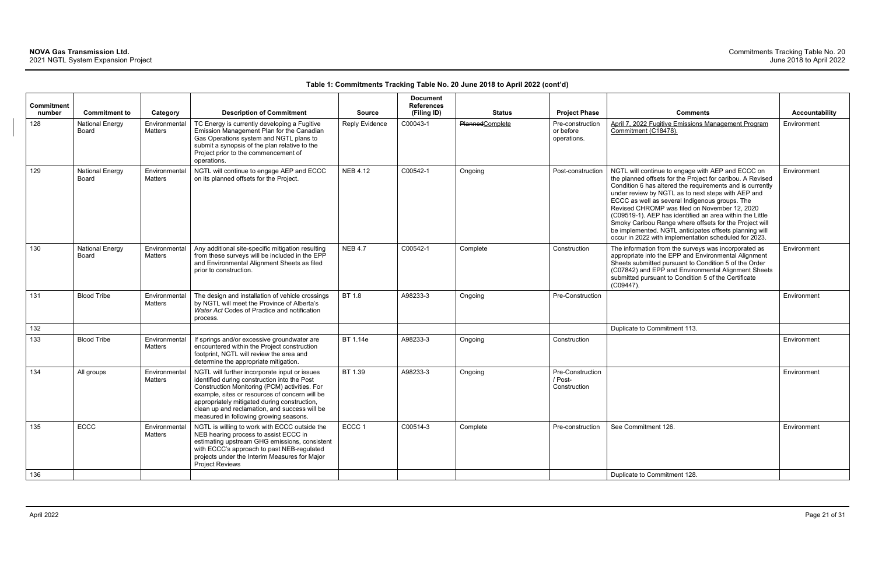| <b>Commitment</b><br>number | <b>Commitment to</b>            | Category                        | <b>Description of Commitment</b>                                                                                                                                                                                                                                                                                                            | <b>Source</b>         | <b>Document</b><br><b>References</b><br>(Filing ID) | <b>Status</b>          | <b>Project Phase</b>                         | <b>Comments</b>                                                                                                                                                                                                                                                                                                                                                                                                                                                                                                                                                                | <b>Accountability</b> |
|-----------------------------|---------------------------------|---------------------------------|---------------------------------------------------------------------------------------------------------------------------------------------------------------------------------------------------------------------------------------------------------------------------------------------------------------------------------------------|-----------------------|-----------------------------------------------------|------------------------|----------------------------------------------|--------------------------------------------------------------------------------------------------------------------------------------------------------------------------------------------------------------------------------------------------------------------------------------------------------------------------------------------------------------------------------------------------------------------------------------------------------------------------------------------------------------------------------------------------------------------------------|-----------------------|
| 128                         | <b>National Energy</b><br>Board | Environmental<br>Matters        | TC Energy is currently developing a Fugitive<br>Emission Management Plan for the Canadian<br>Gas Operations system and NGTL plans to<br>submit a synopsis of the plan relative to the<br>Project prior to the commencement of<br>operations.                                                                                                | <b>Reply Evidence</b> | C00043-1                                            | <b>PlannedComplete</b> | Pre-construction<br>or before<br>operations. | April 7, 2022 Fugitive Emissions Management Program<br>Commitment (C18478).                                                                                                                                                                                                                                                                                                                                                                                                                                                                                                    | Environment           |
| 129                         | <b>National Energy</b><br>Board | Environmental<br><b>Matters</b> | NGTL will continue to engage AEP and ECCC<br>on its planned offsets for the Project.                                                                                                                                                                                                                                                        | <b>NEB 4.12</b>       | C00542-1                                            | Ongoing                | Post-construction                            | NGTL will continue to engage with AEP and ECCC on<br>the planned offsets for the Project for caribou. A Revised<br>Condition 6 has altered the requirements and is currently<br>under review by NGTL as to next steps with AEP and<br>ECCC as well as several Indigenous groups. The<br>Revised CHROMP was filed on November 12, 2020<br>(C09519-1). AEP has identified an area within the Little<br>Smoky Caribou Range where offsets for the Project will<br>be implemented. NGTL anticipates offsets planning will<br>occur in 2022 with implementation scheduled for 2023. | Environment           |
| 130                         | <b>National Energy</b><br>Board | Environmental<br><b>Matters</b> | Any additional site-specific mitigation resulting<br>from these surveys will be included in the EPP<br>and Environmental Alignment Sheets as filed<br>prior to construction.                                                                                                                                                                | <b>NEB 4.7</b>        | C00542-1                                            | Complete               | Construction                                 | The information from the surveys was incorporated as<br>appropriate into the EPP and Environmental Alignment<br>Sheets submitted pursuant to Condition 5 of the Order<br>(C07842) and EPP and Environmental Alignment Sheets<br>submitted pursuant to Condition 5 of the Certificate<br>(C09447).                                                                                                                                                                                                                                                                              | Environment           |
| 131                         | <b>Blood Tribe</b>              | Environmental<br>Matters        | The design and installation of vehicle crossings<br>by NGTL will meet the Province of Alberta's<br>Water Act Codes of Practice and notification<br>process.                                                                                                                                                                                 | BT 1.8                | A98233-3                                            | Ongoing                | Pre-Construction                             |                                                                                                                                                                                                                                                                                                                                                                                                                                                                                                                                                                                | Environment           |
| 132                         |                                 |                                 |                                                                                                                                                                                                                                                                                                                                             |                       |                                                     |                        |                                              | Duplicate to Commitment 113.                                                                                                                                                                                                                                                                                                                                                                                                                                                                                                                                                   |                       |
| 133                         | <b>Blood Tribe</b>              | Environmental<br>Matters        | If springs and/or excessive groundwater are<br>encountered within the Project construction<br>footprint, NGTL will review the area and<br>determine the appropriate mitigation.                                                                                                                                                             | BT 1.14e              | A98233-3                                            | Ongoing                | Construction                                 |                                                                                                                                                                                                                                                                                                                                                                                                                                                                                                                                                                                | Environment           |
| 134                         | All groups                      | Environmental<br>Matters        | NGTL will further incorporate input or issues<br>identified during construction into the Post<br>Construction Monitoring (PCM) activities. For<br>example, sites or resources of concern will be<br>appropriately mitigated during construction,<br>clean up and reclamation, and success will be<br>measured in following growing seasons. | BT 1.39               | A98233-3                                            | Ongoing                | Pre-Construction<br>/ Post-<br>Construction  |                                                                                                                                                                                                                                                                                                                                                                                                                                                                                                                                                                                | Environment           |
| 135                         | ECCC                            | Environmental<br>Matters        | NGTL is willing to work with ECCC outside the<br>NEB hearing process to assist ECCC in<br>estimating upstream GHG emissions, consistent<br>with ECCC's approach to past NEB-regulated<br>projects under the Interim Measures for Major<br><b>Project Reviews</b>                                                                            | ECCC 1                | C00514-3                                            | Complete               | Pre-construction                             | See Commitment 126.                                                                                                                                                                                                                                                                                                                                                                                                                                                                                                                                                            | Environment           |
| 136                         |                                 |                                 |                                                                                                                                                                                                                                                                                                                                             |                       |                                                     |                        |                                              | Duplicate to Commitment 128.                                                                                                                                                                                                                                                                                                                                                                                                                                                                                                                                                   |                       |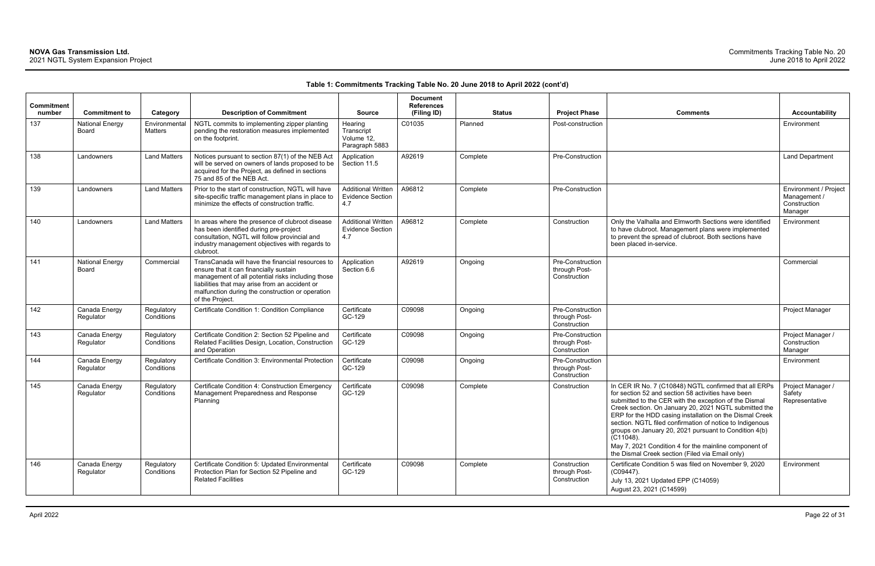| <b>Commitment</b><br>number | <b>Commitment to</b>                   | Category                        | <b>Description of Commitment</b>                                                                                                                                                                                                                                         | <b>Source</b>                                               | <b>Document</b><br><b>References</b><br>(Filing ID) |          | <b>Status</b> | <b>Project Phase</b>                              | <b>Comments</b>                                                                                                                                                                                                                                                                                                                                                                                                                                                                                                                           | <b>Accountability</b>                                            |
|-----------------------------|----------------------------------------|---------------------------------|--------------------------------------------------------------------------------------------------------------------------------------------------------------------------------------------------------------------------------------------------------------------------|-------------------------------------------------------------|-----------------------------------------------------|----------|---------------|---------------------------------------------------|-------------------------------------------------------------------------------------------------------------------------------------------------------------------------------------------------------------------------------------------------------------------------------------------------------------------------------------------------------------------------------------------------------------------------------------------------------------------------------------------------------------------------------------------|------------------------------------------------------------------|
| 137                         | <b>National Energy</b><br><b>Board</b> | Environmental<br><b>Matters</b> | NGTL commits to implementing zipper planting<br>pending the restoration measures implemented<br>on the footprint.                                                                                                                                                        | Hearing<br>Transcript<br>Volume 12,<br>Paragraph 5883       | C01035                                              | Planned  |               | Post-construction                                 |                                                                                                                                                                                                                                                                                                                                                                                                                                                                                                                                           | Environment                                                      |
| 138                         | Landowners                             | <b>Land Matters</b>             | Notices pursuant to section 87(1) of the NEB Act<br>will be served on owners of lands proposed to be<br>acquired for the Project, as defined in sections<br>75 and 85 of the NEB Act.                                                                                    | Application<br>Section 11.5                                 | A92619                                              | Complete |               | Pre-Construction                                  |                                                                                                                                                                                                                                                                                                                                                                                                                                                                                                                                           | <b>Land Department</b>                                           |
| 139                         | Landowners                             | <b>Land Matters</b>             | Prior to the start of construction, NGTL will have<br>site-specific traffic management plans in place to<br>minimize the effects of construction traffic.                                                                                                                | <b>Additional Written</b><br><b>Evidence Section</b><br>4.7 | A96812                                              | Complete |               | Pre-Construction                                  |                                                                                                                                                                                                                                                                                                                                                                                                                                                                                                                                           | Environment / Project<br>Management /<br>Construction<br>Manager |
| 140                         | Landowners                             | <b>Land Matters</b>             | In areas where the presence of clubroot disease<br>has been identified during pre-project<br>consultation, NGTL will follow provincial and<br>industry management objectives with regards to<br>clubroot.                                                                | <b>Additional Written</b><br><b>Evidence Section</b><br>4.7 | A96812                                              | Complete |               | Construction                                      | Only the Valhalla and Elmworth Sections were identified<br>to have clubroot. Management plans were implemented<br>to prevent the spread of clubroot. Both sections have<br>been placed in-service.                                                                                                                                                                                                                                                                                                                                        | Environment                                                      |
| 141                         | <b>National Energy</b><br>Board        | Commercia                       | TransCanada will have the financial resources to<br>ensure that it can financially sustain<br>management of all potential risks including those<br>liabilities that may arise from an accident or<br>malfunction during the construction or operation<br>of the Project. | Application<br>Section 6.6                                  | A92619                                              | Ongoing  |               | Pre-Construction<br>through Post-<br>Construction |                                                                                                                                                                                                                                                                                                                                                                                                                                                                                                                                           | Commercial                                                       |
| 142                         | Canada Energy<br>Regulator             | Regulatory<br>Conditions        | Certificate Condition 1: Condition Compliance                                                                                                                                                                                                                            | Certificate<br>GC-129                                       | C09098                                              | Ongoing  |               | Pre-Construction<br>through Post-<br>Construction |                                                                                                                                                                                                                                                                                                                                                                                                                                                                                                                                           | Project Manager                                                  |
| 143                         | Canada Energy<br>Regulator             | Regulatory<br>Conditions        | Certificate Condition 2: Section 52 Pipeline and<br>Related Facilities Design, Location, Construction<br>and Operation                                                                                                                                                   | Certificate<br>GC-129                                       | C09098                                              | Ongoing  |               | Pre-Construction<br>through Post-<br>Construction |                                                                                                                                                                                                                                                                                                                                                                                                                                                                                                                                           | Project Manager /<br>Construction<br>Manager                     |
| 144                         | Canada Energy<br>Regulator             | Regulatory<br>Conditions        | Certificate Condition 3: Environmental Protection                                                                                                                                                                                                                        | Certificate<br>GC-129                                       | C09098                                              | Ongoing  |               | Pre-Construction<br>through Post-<br>Construction |                                                                                                                                                                                                                                                                                                                                                                                                                                                                                                                                           | Environment                                                      |
| 145                         | Canada Energy<br>Regulator             | Regulatory<br>Conditions        | Certificate Condition 4: Construction Emergency<br>Management Preparedness and Response<br>Planning                                                                                                                                                                      | Certificate<br>GC-129                                       | C09098                                              | Complete |               | Construction                                      | In CER IR No. 7 (C10848) NGTL confirmed that all ERPs<br>for section 52 and section 58 activities have been<br>submitted to the CER with the exception of the Dismal<br>Creek section. On January 20, 2021 NGTL submitted the<br>ERP for the HDD casing installation on the Dismal Creek<br>section. NGTL filed confirmation of notice to Indigenous<br>groups on January 20, 2021 pursuant to Condition 4(b)<br>$(C11048)$ .<br>May 7, 2021 Condition 4 for the mainline component of<br>the Dismal Creek section (Filed via Email only) | Project Manager /<br>Safety<br>Representative                    |
| 146                         | Canada Energy<br>Regulator             | Regulatory<br>Conditions        | Certificate Condition 5: Updated Environmental<br>Protection Plan for Section 52 Pipeline and<br><b>Related Facilities</b>                                                                                                                                               | Certificate<br>GC-129                                       | C09098                                              | Complete |               | Construction<br>through Post-<br>Construction     | Certificate Condition 5 was filed on November 9, 2020<br>(C09447).<br>July 13, 2021 Updated EPP (C14059)<br>August 23, 2021 (C14599)                                                                                                                                                                                                                                                                                                                                                                                                      | Environment                                                      |

| Comments                                                                                                                                                                                                                                                                                                                                                                                                                                                                                                                               | <b>Accountability</b>                                            |
|----------------------------------------------------------------------------------------------------------------------------------------------------------------------------------------------------------------------------------------------------------------------------------------------------------------------------------------------------------------------------------------------------------------------------------------------------------------------------------------------------------------------------------------|------------------------------------------------------------------|
|                                                                                                                                                                                                                                                                                                                                                                                                                                                                                                                                        | Environment                                                      |
|                                                                                                                                                                                                                                                                                                                                                                                                                                                                                                                                        | Land Department                                                  |
|                                                                                                                                                                                                                                                                                                                                                                                                                                                                                                                                        | Environment / Project<br>Management /<br>Construction<br>Manager |
| Only the Valhalla and Elmworth Sections were identified<br>to have clubroot. Management plans were implemented<br>to prevent the spread of clubroot. Both sections have<br>been placed in-service.                                                                                                                                                                                                                                                                                                                                     | Environment                                                      |
|                                                                                                                                                                                                                                                                                                                                                                                                                                                                                                                                        | Commercial                                                       |
|                                                                                                                                                                                                                                                                                                                                                                                                                                                                                                                                        | Project Manager                                                  |
|                                                                                                                                                                                                                                                                                                                                                                                                                                                                                                                                        | Project Manager /<br>Construction<br>Manager                     |
|                                                                                                                                                                                                                                                                                                                                                                                                                                                                                                                                        | Environment                                                      |
| In CER IR No. 7 (C10848) NGTL confirmed that all ERPs<br>for section 52 and section 58 activities have been<br>submitted to the CER with the exception of the Dismal<br>Creek section. On January 20, 2021 NGTL submitted the<br>ERP for the HDD casing installation on the Dismal Creek<br>section. NGTL filed confirmation of notice to Indigenous<br>groups on January 20, 2021 pursuant to Condition 4(b)<br>(C11048).<br>May 7, 2021 Condition 4 for the mainline component of<br>the Dismal Creek section (Filed via Email only) | Project Manager /<br>Safety<br>Representative                    |
| Certificate Condition 5 was filed on November 9, 2020<br>(C09447).<br>July 13, 2021 Updated EPP (C14059)<br>August 23, 2021 (C14599)                                                                                                                                                                                                                                                                                                                                                                                                   | Environment                                                      |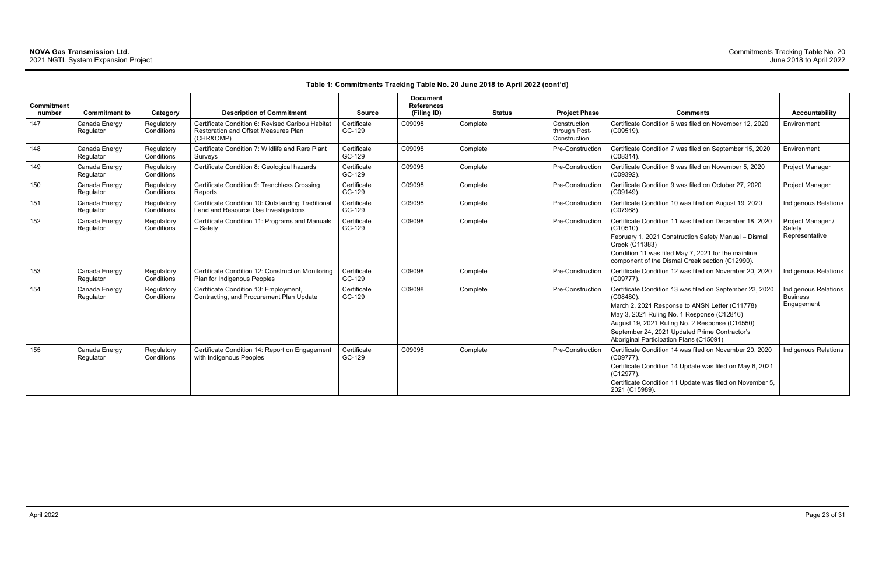| Commitment<br>number | <b>Commitment to</b>       | Category                 | <b>Description of Commitment</b>                                                                             | <b>Source</b>         | <b>Document</b><br><b>References</b><br>(Filing ID) | <b>Status</b> | <b>Project Phase</b>                          | <b>Comments</b>                                                                                                                                                                                                                                                                                                        | <b>Accountability</b>                                        |
|----------------------|----------------------------|--------------------------|--------------------------------------------------------------------------------------------------------------|-----------------------|-----------------------------------------------------|---------------|-----------------------------------------------|------------------------------------------------------------------------------------------------------------------------------------------------------------------------------------------------------------------------------------------------------------------------------------------------------------------------|--------------------------------------------------------------|
| 147                  | Canada Energy<br>Regulator | Regulatory<br>Conditions | Certificate Condition 6: Revised Caribou Habitat<br><b>Restoration and Offset Measures Plan</b><br>(CHR&OMP) | Certificate<br>GC-129 | C09098                                              | Complete      | Construction<br>through Post-<br>Construction | Certificate Condition 6 was filed on November 12, 2020<br>$(C09519)$ .                                                                                                                                                                                                                                                 | Environment                                                  |
| 148                  | Canada Energy<br>Regulator | Regulatory<br>Conditions | Certificate Condition 7: Wildlife and Rare Plant<br>Surveys                                                  | Certificate<br>GC-129 | C09098                                              | Complete      | Pre-Construction                              | Certificate Condition 7 was filed on September 15, 2020<br>$(C08314)$ .                                                                                                                                                                                                                                                | Environment                                                  |
| 149                  | Canada Energy<br>Regulator | Regulatory<br>Conditions | Certificate Condition 8: Geological hazards                                                                  | Certificate<br>GC-129 | C09098                                              | Complete      | Pre-Construction                              | Certificate Condition 8 was filed on November 5, 2020<br>(C09392).                                                                                                                                                                                                                                                     | Project Manager                                              |
| 150                  | Canada Energy<br>Regulator | Regulatory<br>Conditions | Certificate Condition 9: Trenchless Crossing<br>Reports                                                      | Certificate<br>GC-129 | C09098                                              | Complete      | Pre-Construction                              | Certificate Condition 9 was filed on October 27, 2020<br>$(C09149)$ .                                                                                                                                                                                                                                                  | Project Manager                                              |
| 151                  | Canada Energy<br>Regulator | Regulatory<br>Conditions | Certificate Condition 10: Outstanding Traditional<br>Land and Resource Use Investigations                    | Certificate<br>GC-129 | C09098                                              | Complete      | Pre-Construction                              | Certificate Condition 10 was filed on August 19, 2020<br>$(C07968)$ .                                                                                                                                                                                                                                                  | <b>Indigenous Relations</b>                                  |
| 152                  | Canada Energy<br>Regulator | Regulatory<br>Conditions | Certificate Condition 11: Programs and Manuals<br>- Safety                                                   | Certificate<br>GC-129 | C09098                                              | Complete      | Pre-Construction                              | Certificate Condition 11 was filed on December 18, 2020<br>(C10510)<br>February 1, 2021 Construction Safety Manual - Dismal<br>Creek (C11383)<br>Condition 11 was filed May 7, 2021 for the mainline<br>component of the Dismal Creek section (C12990).                                                                | Project Manager /<br>Safety<br>Representative                |
| 153                  | Canada Energy<br>Regulator | Regulatory<br>Conditions | Certificate Condition 12: Construction Monitoring<br>Plan for Indigenous Peoples                             | Certificate<br>GC-129 | C09098                                              | Complete      | Pre-Construction                              | Certificate Condition 12 was filed on November 20, 2020<br>$(C09777)$ .                                                                                                                                                                                                                                                | Indigenous Relations                                         |
| 154                  | Canada Energy<br>Regulator | Regulatory<br>Conditions | Certificate Condition 13: Employment,<br>Contracting, and Procurement Plan Update                            | Certificate<br>GC-129 | C09098                                              | Complete      | Pre-Construction                              | Certificate Condition 13 was filed on September 23, 2020<br>$(C08480)$ .<br>March 2, 2021 Response to ANSN Letter (C11778)<br>May 3, 2021 Ruling No. 1 Response (C12816)<br>August 19, 2021 Ruling No. 2 Response (C14550)<br>September 24, 2021 Updated Prime Contractor's<br>Aboriginal Participation Plans (C15091) | <b>Indigenous Relations</b><br><b>Business</b><br>Engagement |
| 155                  | Canada Energy<br>Regulator | Regulatory<br>Conditions | Certificate Condition 14: Report on Engagement<br>with Indigenous Peoples                                    | Certificate<br>GC-129 | C09098                                              | Complete      | Pre-Construction                              | Certificate Condition 14 was filed on November 20, 2020<br>$(C09777)$ .<br>Certificate Condition 14 Update was filed on May 6, 2021<br>$(C12977)$ .<br>Certificate Condition 11 Update was filed on November 5,<br>2021 (C15989).                                                                                      | <b>Indigenous Relations</b>                                  |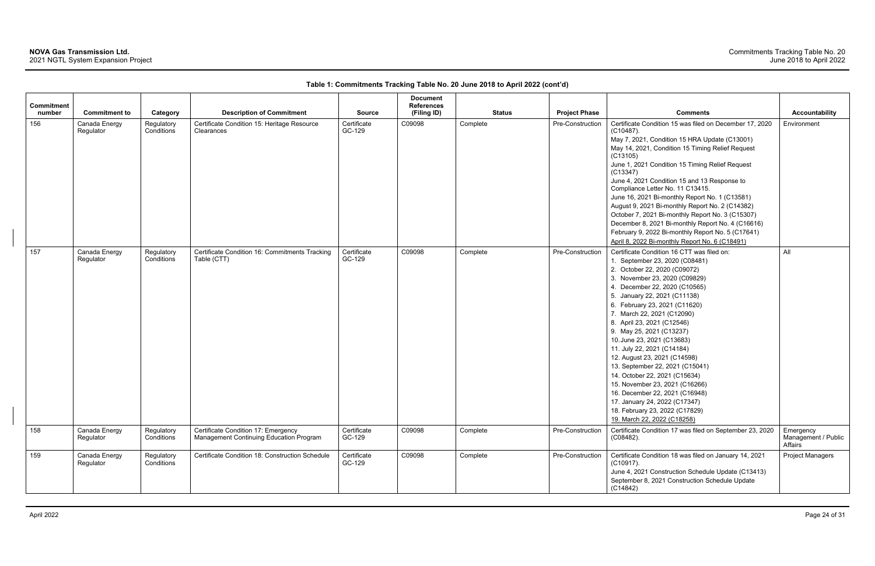| <b>Commitment</b> |                            |                          |                                                                                |                       | <b>Document</b><br><b>References</b> |               |                      |                                                                                                                                                                                                                                                                                                                                                                                                                                                                                                                                                                                                                                                                               |                                             |
|-------------------|----------------------------|--------------------------|--------------------------------------------------------------------------------|-----------------------|--------------------------------------|---------------|----------------------|-------------------------------------------------------------------------------------------------------------------------------------------------------------------------------------------------------------------------------------------------------------------------------------------------------------------------------------------------------------------------------------------------------------------------------------------------------------------------------------------------------------------------------------------------------------------------------------------------------------------------------------------------------------------------------|---------------------------------------------|
| number            | <b>Commitment to</b>       | Category                 | <b>Description of Commitment</b>                                               | <b>Source</b>         | (Filing ID)                          | <b>Status</b> | <b>Project Phase</b> | <b>Comments</b>                                                                                                                                                                                                                                                                                                                                                                                                                                                                                                                                                                                                                                                               | <b>Accountability</b>                       |
| 156               | Canada Energy<br>Regulator | Regulatory<br>Conditions | Certificate Condition 15: Heritage Resource<br>Clearances                      | Certificate<br>GC-129 | C09098                               | Complete      | Pre-Construction     | Certificate Condition 15 was filed on December 17, 2020<br>$(C10487)$ .<br>May 7, 2021, Condition 15 HRA Update (C13001)<br>May 14, 2021, Condition 15 Timing Relief Request<br>(C13105)<br>June 1, 2021 Condition 15 Timing Relief Request<br>(C13347)<br>June 4, 2021 Condition 15 and 13 Response to<br>Compliance Letter No. 11 C13415.<br>June 16, 2021 Bi-monthly Report No. 1 (C13581)<br>August 9, 2021 Bi-monthly Report No. 2 (C14382)<br>October 7, 2021 Bi-monthly Report No. 3 (C15307)<br>December 8, 2021 Bi-monthly Report No. 4 (C16616)<br>February 9, 2022 Bi-monthly Report No. 5 (C17641)<br>April 8, 2022 Bi-monthly Report No. 6 (C18491)              | Environment                                 |
| 157               | Canada Energy<br>Regulator | Regulatory<br>Conditions | Certificate Condition 16: Commitments Tracking<br>Table (CTT)                  | Certificate<br>GC-129 | C09098                               | Complete      | Pre-Construction     | Certificate Condition 16 CTT was filed on:<br>1. September 23, 2020 (C08481)<br>2. October 22, 2020 (C09072)<br>3. November 23, 2020 (C09829)<br>4. December 22, 2020 (C10565)<br>5. January 22, 2021 (C11138)<br>6. February 23, 2021 (C11620)<br>7. March 22, 2021 (C12090)<br>8. April 23, 2021 (C12546)<br>9. May 25, 2021 (C13237)<br>10. June 23, 2021 (C13683)<br>11. July 22, 2021 (C14184)<br>12. August 23, 2021 (C14598)<br>13. September 22, 2021 (C15041)<br>14. October 22, 2021 (C15634)<br>15. November 23, 2021 (C16266)<br>16. December 22, 2021 (C16948)<br>17. January 24, 2022 (C17347)<br>18. February 23, 2022 (C17829)<br>19. March 22, 2022 (C18258) | All                                         |
| 158               | Canada Energy<br>Regulator | Regulatory<br>Conditions | Certificate Condition 17: Emergency<br>Management Continuing Education Program | Certificate<br>GC-129 | C09098                               | Complete      | Pre-Construction     | Certificate Condition 17 was filed on September 23, 2020<br>$(C08482)$ .                                                                                                                                                                                                                                                                                                                                                                                                                                                                                                                                                                                                      | Emergency<br>Management / Public<br>Affairs |
| 159               | Canada Energy<br>Regulator | Regulatory<br>Conditions | Certificate Condition 18: Construction Schedule                                | Certificate<br>GC-129 | C09098                               | Complete      | Pre-Construction     | Certificate Condition 18 was filed on January 14, 2021<br>$(C10917)$ .<br>June 4, 2021 Construction Schedule Update (C13413)<br>September 8, 2021 Construction Schedule Update<br>(C14842)                                                                                                                                                                                                                                                                                                                                                                                                                                                                                    | <b>Project Managers</b>                     |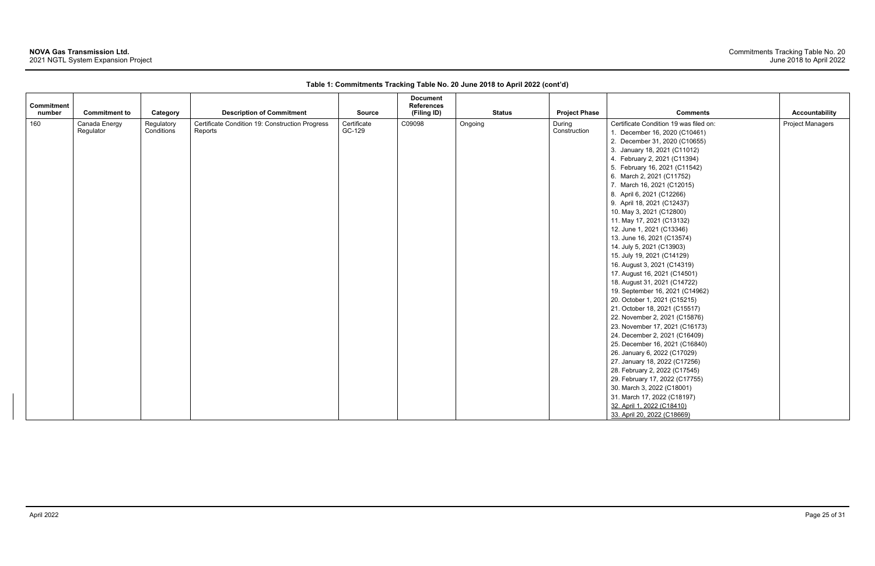# **NOVA Gas Transmission Ltd.**

2021 NGTL System Expansion Project

| <b>Commitment</b><br>number | <b>Commitment to</b>       | Category                 | <b>Description of Commitment</b>                           | <b>Source</b>         | <b>Document</b><br><b>References</b><br>(Filing ID) | <b>Status</b> | <b>Project Phase</b>   | <b>Comments</b>                                                                                                                                                                                                                                                                                                                                                                                                                                                                                                                                                                                                                                                                                                                                                                                                                                                                                                                                                                                                                                                                                                       | <b>Accountability</b>   |
|-----------------------------|----------------------------|--------------------------|------------------------------------------------------------|-----------------------|-----------------------------------------------------|---------------|------------------------|-----------------------------------------------------------------------------------------------------------------------------------------------------------------------------------------------------------------------------------------------------------------------------------------------------------------------------------------------------------------------------------------------------------------------------------------------------------------------------------------------------------------------------------------------------------------------------------------------------------------------------------------------------------------------------------------------------------------------------------------------------------------------------------------------------------------------------------------------------------------------------------------------------------------------------------------------------------------------------------------------------------------------------------------------------------------------------------------------------------------------|-------------------------|
| 160                         | Canada Energy<br>Regulator | Regulatory<br>Conditions | Certificate Condition 19: Construction Progress<br>Reports | Certificate<br>GC-129 | C09098                                              | Ongoing       | During<br>Construction | Certificate Condition 19 was filed on:<br>1. December 16, 2020 (C10461)<br>2. December 31, 2020 (C10655)<br>3. January 18, 2021 (C11012)<br>4. February 2, 2021 (C11394)<br>5. February 16, 2021 (C11542)<br>6. March 2, 2021 (C11752)<br>7. March 16, 2021 (C12015)<br>8. April 6, 2021 (C12266)<br>9. April 18, 2021 (C12437)<br>10. May 3, 2021 (C12800)<br>11. May 17, 2021 (C13132)<br>12. June 1, 2021 (C13346)<br>13. June 16, 2021 (C13574)<br>14. July 5, 2021 (C13903)<br>15. July 19, 2021 (C14129)<br>16. August 3, 2021 (C14319)<br>17. August 16, 2021 (C14501)<br>18. August 31, 2021 (C14722)<br>19. September 16, 2021 (C14962)<br>20. October 1, 2021 (C15215)<br>21. October 18, 2021 (C15517)<br>22. November 2, 2021 (C15876)<br>23. November 17, 2021 (C16173)<br>24. December 2, 2021 (C16409)<br>25. December 16, 2021 (C16840)<br>26. January 6, 2022 (C17029)<br>27. January 18, 2022 (C17256)<br>28. February 2, 2022 (C17545)<br>29. February 17, 2022 (C17755)<br>30. March 3, 2022 (C18001)<br>31. March 17, 2022 (C18197)<br>32. April 1, 2022 (C18410)<br>33. April 20, 2022 (C18669) | <b>Project Managers</b> |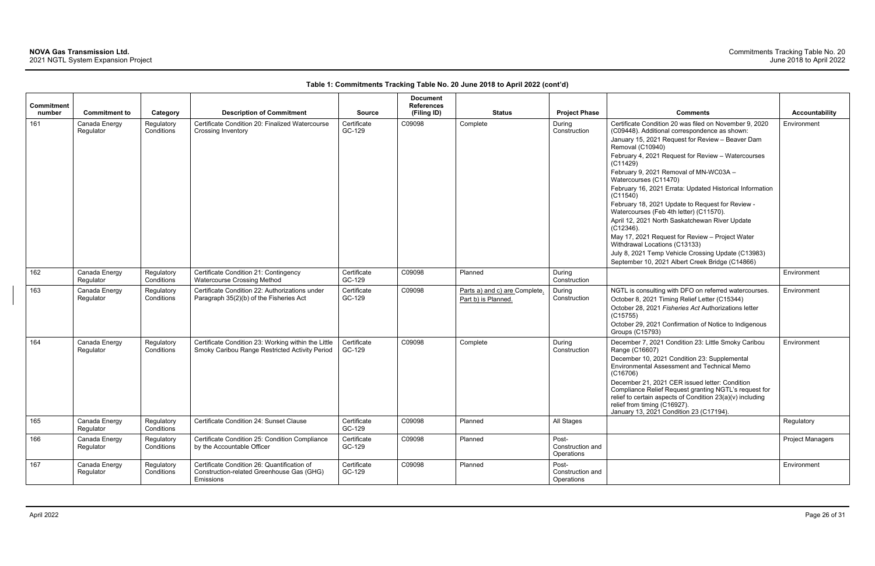| Commitment |                            |                          |                                                                                                       |                       | <b>Document</b><br><b>References</b> |                                                      |                                         |                                                                                                                                                                                                                                                                                                                                                                                          |                         |
|------------|----------------------------|--------------------------|-------------------------------------------------------------------------------------------------------|-----------------------|--------------------------------------|------------------------------------------------------|-----------------------------------------|------------------------------------------------------------------------------------------------------------------------------------------------------------------------------------------------------------------------------------------------------------------------------------------------------------------------------------------------------------------------------------------|-------------------------|
| number     | <b>Commitment to</b>       | Category                 | <b>Description of Commitment</b>                                                                      | <b>Source</b>         | (Filing ID)                          | <b>Status</b>                                        | <b>Project Phase</b>                    | Comments                                                                                                                                                                                                                                                                                                                                                                                 | <b>Accountability</b>   |
| 161        | Canada Energy<br>Regulator | Regulatory<br>Conditions | Certificate Condition 20: Finalized Watercourse<br>Crossing Inventory                                 | Certificate<br>GC-129 | C09098                               | Complete                                             | During<br>Construction                  | Certificate Condition 20 was filed on November 9, 2020<br>(C09448). Additional correspondence as shown:<br>January 15, 2021 Request for Review - Beaver Dam                                                                                                                                                                                                                              | Environment             |
|            |                            |                          |                                                                                                       |                       |                                      |                                                      |                                         | Removal (C10940)<br>February 4, 2021 Request for Review - Watercourses<br>(C11429)                                                                                                                                                                                                                                                                                                       |                         |
|            |                            |                          |                                                                                                       |                       |                                      |                                                      |                                         | February 9, 2021 Removal of MN-WC03A -<br>Watercourses (C11470)                                                                                                                                                                                                                                                                                                                          |                         |
|            |                            |                          |                                                                                                       |                       |                                      |                                                      |                                         | February 16, 2021 Errata: Updated Historical Information<br>(C11540)                                                                                                                                                                                                                                                                                                                     |                         |
|            |                            |                          |                                                                                                       |                       |                                      |                                                      |                                         | February 18, 2021 Update to Request for Review -<br>Watercourses (Feb 4th letter) (C11570).                                                                                                                                                                                                                                                                                              |                         |
|            |                            |                          |                                                                                                       |                       |                                      |                                                      |                                         | April 12, 2021 North Saskatchewan River Update<br>$(C12346)$ .                                                                                                                                                                                                                                                                                                                           |                         |
|            |                            |                          |                                                                                                       |                       |                                      |                                                      |                                         | May 17, 2021 Request for Review - Project Water<br>Withdrawal Locations (C13133)                                                                                                                                                                                                                                                                                                         |                         |
|            |                            |                          |                                                                                                       |                       |                                      |                                                      |                                         | July 8, 2021 Temp Vehicle Crossing Update (C13983)<br>September 10, 2021 Albert Creek Bridge (C14866)                                                                                                                                                                                                                                                                                    |                         |
| 162        | Canada Energy<br>Regulator | Regulatory<br>Conditions | Certificate Condition 21: Contingency<br><b>Watercourse Crossing Method</b>                           | Certificate<br>GC-129 | C09098                               | Planned                                              | During<br>Construction                  |                                                                                                                                                                                                                                                                                                                                                                                          | Environment             |
| 163        | Canada Energy<br>Regulator | Regulatory<br>Conditions | Certificate Condition 22: Authorizations under<br>Paragraph 35(2)(b) of the Fisheries Act             | Certificate<br>GC-129 | C09098                               | Parts a) and c) are Complete.<br>Part b) is Planned. | During<br>Construction                  | NGTL is consulting with DFO on referred watercourses.<br>October 8, 2021 Timing Relief Letter (C15344)<br>October 28, 2021 Fisheries Act Authorizations letter<br>(C15755)<br>October 29, 2021 Confirmation of Notice to Indigenous                                                                                                                                                      | Environment             |
|            |                            |                          |                                                                                                       |                       |                                      |                                                      |                                         | <b>Groups (C15793)</b>                                                                                                                                                                                                                                                                                                                                                                   |                         |
| 164        | Canada Energy<br>Regulator | Regulatory<br>Conditions | Certificate Condition 23: Working within the Little<br>Smoky Caribou Range Restricted Activity Period | Certificate<br>GC-129 | C09098                               | Complete                                             | During<br>Construction                  | December 7, 2021 Condition 23: Little Smoky Caribou<br>Range (C16607)<br>December 10, 2021 Condition 23: Supplemental<br>Environmental Assessment and Technical Memo<br>(C16706)<br>December 21, 2021 CER issued letter: Condition<br>Compliance Relief Request granting NGTL's request for<br>relief to certain aspects of Condition 23(a)(v) including<br>relief from timing (C16927). | Environment             |
| 165        | Canada Energy              | Regulatory               | Certificate Condition 24: Sunset Clause                                                               | Certificate           | C09098                               | Planned                                              | All Stages                              | January 13, 2021 Condition 23 (C17194).                                                                                                                                                                                                                                                                                                                                                  | Regulatory              |
|            | Regulator                  | Conditions               |                                                                                                       | GC-129                |                                      |                                                      |                                         |                                                                                                                                                                                                                                                                                                                                                                                          |                         |
| 166        | Canada Energy<br>Regulator | Regulatory<br>Conditions | Certificate Condition 25: Condition Compliance<br>by the Accountable Officer                          | Certificate<br>GC-129 | C09098                               | Planned                                              | Post-<br>Construction and<br>Operations |                                                                                                                                                                                                                                                                                                                                                                                          | <b>Project Managers</b> |
| 167        | Canada Energy<br>Regulator | Regulatory<br>Conditions | Certificate Condition 26: Quantification of<br>Construction-related Greenhouse Gas (GHG)<br>Emissions | Certificate<br>GC-129 | C09098                               | Planned                                              | Post-<br>Construction and<br>Operations |                                                                                                                                                                                                                                                                                                                                                                                          | Environment             |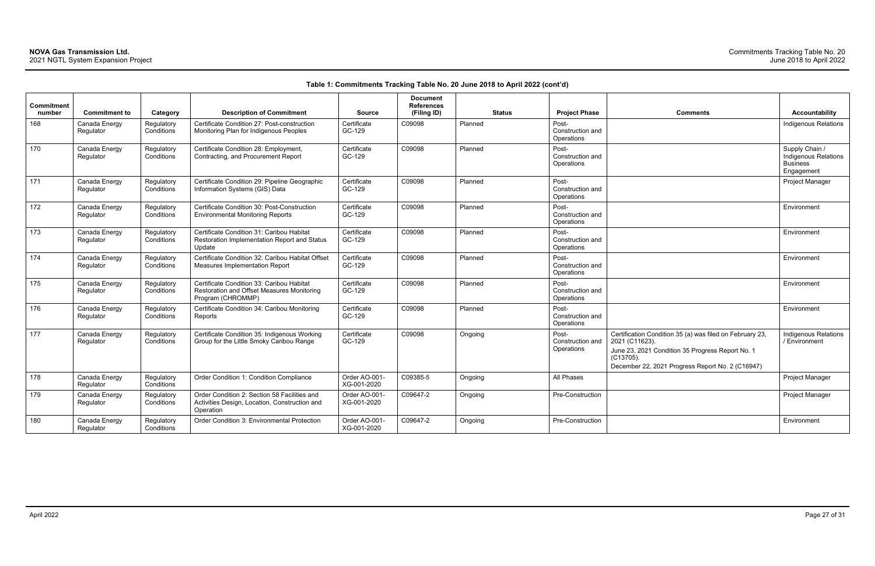| <b>Comments</b>                                                                                                                                                                                 | <b>Accountability</b>                                                   |
|-------------------------------------------------------------------------------------------------------------------------------------------------------------------------------------------------|-------------------------------------------------------------------------|
|                                                                                                                                                                                                 | <b>Indigenous Relations</b>                                             |
|                                                                                                                                                                                                 | Supply Chain /<br>Indigenous Relations<br><b>Business</b><br>Engagement |
|                                                                                                                                                                                                 | Project Manager                                                         |
|                                                                                                                                                                                                 | Environment                                                             |
|                                                                                                                                                                                                 | Environment                                                             |
|                                                                                                                                                                                                 | Environment                                                             |
|                                                                                                                                                                                                 | Environment                                                             |
|                                                                                                                                                                                                 | Environment                                                             |
| Certification Condition 35 (a) was filed on February 23,<br>2021 (C11623).<br>June 23, 2021 Condition 35 Progress Report No. 1<br>(C13705).<br>December 22, 2021 Progress Report No. 2 (C16947) | Indigenous Relations<br>/ Environment                                   |
|                                                                                                                                                                                                 | Project Manager                                                         |
|                                                                                                                                                                                                 | Project Manager                                                         |
|                                                                                                                                                                                                 | Environment                                                             |

| Commitment<br>number | <b>Commitment to</b>       | Category                 | <b>Description of Commitment</b>                                                                             | <b>Source</b>                | <b>Document</b><br><b>References</b><br>(Filing ID) |         | <b>Status</b> | <b>Project Phase</b>                    | <b>Comments</b>                                                                                                                                                                                 | Accountability                                                        |
|----------------------|----------------------------|--------------------------|--------------------------------------------------------------------------------------------------------------|------------------------------|-----------------------------------------------------|---------|---------------|-----------------------------------------|-------------------------------------------------------------------------------------------------------------------------------------------------------------------------------------------------|-----------------------------------------------------------------------|
| 168                  | Canada Energy<br>Regulator | Regulatory<br>Conditions | Certificate Condition 27: Post-construction<br>Monitoring Plan for Indigenous Peoples                        | Certificate<br>GC-129        | C09098                                              | Planned |               | Post-<br>Construction and<br>Operations |                                                                                                                                                                                                 | Indigenous Relatio                                                    |
| 170                  | Canada Energy<br>Regulator | Regulatory<br>Conditions | Certificate Condition 28: Employment,<br>Contracting, and Procurement Report                                 | Certificate<br>GC-129        | C09098                                              | Planned |               | Post-<br>Construction and<br>Operations |                                                                                                                                                                                                 | Supply Chain /<br>Indigenous Relatio<br><b>Business</b><br>Engagement |
| 171                  | Canada Energy<br>Regulator | Regulatory<br>Conditions | Certificate Condition 29: Pipeline Geographic<br>Information Systems (GIS) Data                              | Certificate<br>GC-129        | C09098                                              | Planned |               | Post-<br>Construction and<br>Operations |                                                                                                                                                                                                 | Project Manager                                                       |
| 172                  | Canada Energy<br>Regulator | Regulatory<br>Conditions | Certificate Condition 30: Post-Construction<br><b>Environmental Monitoring Reports</b>                       | Certificate<br>GC-129        | C09098                                              | Planned |               | Post-<br>Construction and<br>Operations |                                                                                                                                                                                                 | Environment                                                           |
| 173                  | Canada Energy<br>Regulator | Regulatory<br>Conditions | Certificate Condition 31: Caribou Habitat<br>Restoration Implementation Report and Status<br>Update          | Certificate<br>GC-129        | C09098                                              | Planned |               | Post-<br>Construction and<br>Operations |                                                                                                                                                                                                 | Environment                                                           |
| 174                  | Canada Energy<br>Regulator | Regulatory<br>Conditions | Certificate Condition 32: Caribou Habitat Offset<br><b>Measures Implementation Report</b>                    | Certificate<br>GC-129        | C09098                                              | Planned |               | Post-<br>Construction and<br>Operations |                                                                                                                                                                                                 | Environment                                                           |
| 175                  | Canada Energy<br>Regulator | Regulatory<br>Conditions | Certificate Condition 33: Caribou Habitat<br>Restoration and Offset Measures Monitoring<br>Program (CHROMMP) | Certificate<br>GC-129        | C09098                                              | Planned |               | Post-<br>Construction and<br>Operations |                                                                                                                                                                                                 | Environment                                                           |
| 176                  | Canada Energy<br>Regulator | Regulatory<br>Conditions | Certificate Condition 34: Caribou Monitoring<br>Reports                                                      | Certificate<br>GC-129        | C09098                                              | Planned |               | Post-<br>Construction and<br>Operations |                                                                                                                                                                                                 | Environment                                                           |
| 177                  | Canada Energy<br>Regulator | Regulatory<br>Conditions | Certificate Condition 35: Indigenous Working<br>Group for the Little Smoky Caribou Range                     | Certificate<br>GC-129        | C09098                                              | Ongoing |               | Post-<br>Construction and<br>Operations | Certification Condition 35 (a) was filed on February 23,<br>2021 (C11623).<br>June 23, 2021 Condition 35 Progress Report No. 1<br>(C13705).<br>December 22, 2021 Progress Report No. 2 (C16947) | Indigenous Relatio<br>/ Environment                                   |
| 178                  | Canada Energy<br>Regulator | Regulatory<br>Conditions | Order Condition 1: Condition Compliance                                                                      | Order AO-001-<br>XG-001-2020 | C09385-5                                            | Ongoing |               | All Phases                              |                                                                                                                                                                                                 | Project Manager                                                       |
| 179                  | Canada Energy<br>Regulator | Regulatory<br>Conditions | Order Condition 2: Section 58 Facilities and<br>Activities Design, Location, Construction and<br>Operation   | Order AO-001-<br>XG-001-2020 | C09647-2                                            | Ongoing |               | Pre-Construction                        |                                                                                                                                                                                                 | Project Manager                                                       |
| 180                  | Canada Energy<br>Regulator | Regulatory<br>Conditions | Order Condition 3: Environmental Protection                                                                  | Order AO-001-<br>XG-001-2020 | C09647-2                                            | Ongoing |               | Pre-Construction                        |                                                                                                                                                                                                 | Environment                                                           |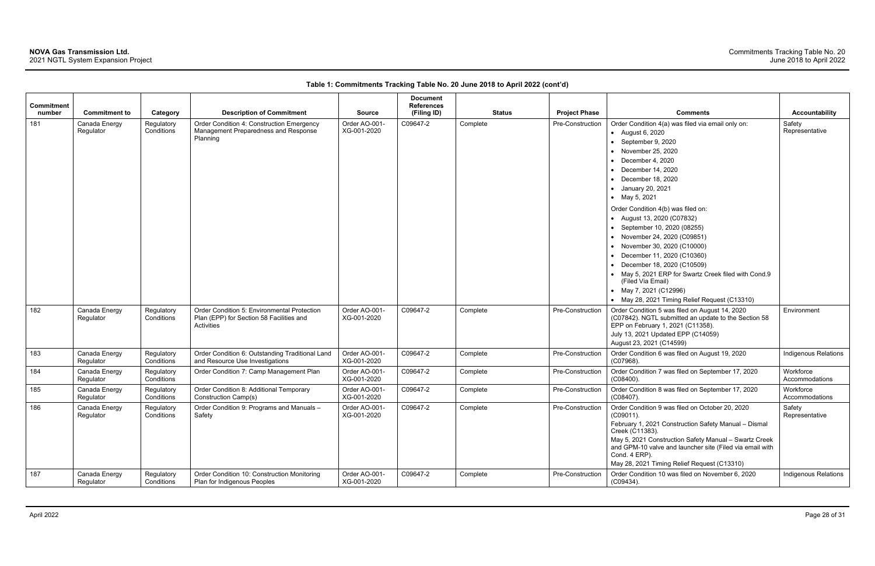| <b>Commitment</b><br>number | <b>Commitment to</b>       | Category                 | <b>Description of Commitment</b>                                                                      | <b>Source</b>                | <b>Document</b><br><b>References</b><br>(Filing ID) |          | <b>Status</b> | <b>Project Phase</b> | <b>Comments</b>                                                                                                                                                                                                                                                                                                                                                                                                                                                                                                                                                                                                            | <b>Accountability</b>       |
|-----------------------------|----------------------------|--------------------------|-------------------------------------------------------------------------------------------------------|------------------------------|-----------------------------------------------------|----------|---------------|----------------------|----------------------------------------------------------------------------------------------------------------------------------------------------------------------------------------------------------------------------------------------------------------------------------------------------------------------------------------------------------------------------------------------------------------------------------------------------------------------------------------------------------------------------------------------------------------------------------------------------------------------------|-----------------------------|
| 181                         | Canada Energy<br>Regulator | Regulatory<br>Conditions | Order Condition 4: Construction Emergency<br>Management Preparedness and Response<br>Planning         | Order AO-001-<br>XG-001-2020 | C09647-2                                            | Complete |               | Pre-Construction     | Order Condition 4(a) was filed via email only on:<br>• August 6, 2020<br>• September 9, 2020<br>• November 25, 2020<br>December 4, 2020<br>December 14, 2020<br>$\bullet$ December 18, 2020<br>• January 20, 2021<br>• May 5, 2021<br>Order Condition 4(b) was filed on:<br>• August 13, 2020 (C07832)<br>• September 10, 2020 (08255)<br>• November 24, 2020 (C09851)<br>• November 30, 2020 (C10000)<br>December 11, 2020 (C10360)<br>December 18, 2020 (C10509)<br>• May 5, 2021 ERP for Swartz Creek filed with Cond.9<br>(Filed Via Email)<br>• May 7, 2021 (C12996)<br>• May 28, 2021 Timing Relief Request (C13310) | Safety<br>Representative    |
| 182                         | Canada Energy<br>Regulator | Regulatory<br>Conditions | Order Condition 5: Environmental Protection<br>Plan (EPP) for Section 58 Facilities and<br>Activities | Order AO-001-<br>XG-001-2020 | C09647-2                                            | Complete |               | Pre-Construction     | Order Condition 5 was filed on August 14, 2020<br>(C07842). NGTL submitted an update to the Section 58<br>EPP on February 1, 2021 (C11358).<br>July 13, 2021 Updated EPP (C14059)<br>August 23, 2021 (C14599)                                                                                                                                                                                                                                                                                                                                                                                                              | Environment                 |
| 183                         | Canada Energy<br>Regulator | Regulatory<br>Conditions | Order Condition 6: Outstanding Traditional Land<br>and Resource Use Investigations                    | Order AO-001-<br>XG-001-2020 | C09647-2                                            | Complete |               | Pre-Construction     | Order Condition 6 was filed on August 19, 2020<br>(C07968).                                                                                                                                                                                                                                                                                                                                                                                                                                                                                                                                                                | Indigenous Relations        |
| 184                         | Canada Energy<br>Regulator | Regulatory<br>Conditions | Order Condition 7: Camp Management Plan                                                               | Order AO-001-<br>XG-001-2020 | C09647-2                                            | Complete |               | Pre-Construction     | Order Condition 7 was filed on September 17, 2020<br>$(C08400)$ .                                                                                                                                                                                                                                                                                                                                                                                                                                                                                                                                                          | Workforce<br>Accommodations |
| 185                         | Canada Energy<br>Regulator | Regulatory<br>Conditions | Order Condition 8: Additional Temporary<br>Construction Camp(s)                                       | Order AO-001-<br>XG-001-2020 | C09647-2                                            | Complete |               | Pre-Construction     | Order Condition 8 was filed on September 17, 2020<br>$(C08407)$ .                                                                                                                                                                                                                                                                                                                                                                                                                                                                                                                                                          | Workforce<br>Accommodations |
| 186                         | Canada Energy<br>Regulator | Regulatory<br>Conditions | Order Condition 9: Programs and Manuals -<br>Safety                                                   | Order AO-001-<br>XG-001-2020 | C09647-2                                            | Complete |               | Pre-Construction     | Order Condition 9 was filed on October 20, 2020<br>(C09011).<br>February 1, 2021 Construction Safety Manual - Dismal<br>Creek (C11383).<br>May 5, 2021 Construction Safety Manual - Swartz Creek<br>and GPM-10 valve and launcher site (Filed via email with<br>Cond. 4 ERP).<br>May 28, 2021 Timing Relief Request (C13310)                                                                                                                                                                                                                                                                                               | Safety<br>Representative    |
| 187                         | Canada Energy<br>Regulator | Regulatory<br>Conditions | Order Condition 10: Construction Monitoring<br>Plan for Indigenous Peoples                            | Order AO-001-<br>XG-001-2020 | C09647-2                                            | Complete |               | Pre-Construction     | Order Condition 10 was filed on November 6, 2020<br>(C09434).                                                                                                                                                                                                                                                                                                                                                                                                                                                                                                                                                              | Indigenous Relations        |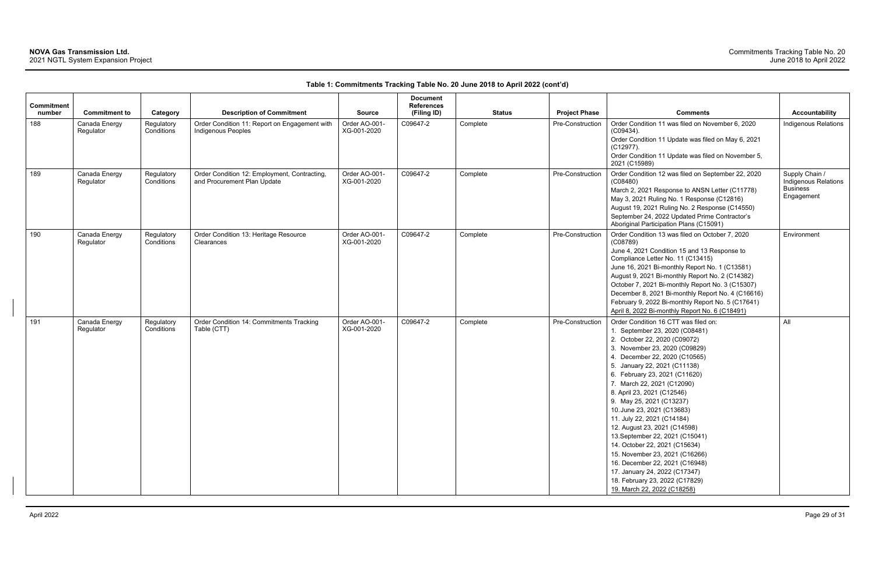| <b>Commitment</b><br>number | <b>Commitment to</b>       | Category                 | <b>Description of Commitment</b>                                            | <b>Source</b>                | <b>Document</b><br><b>References</b><br>(Filing ID) | <b>Status</b> | <b>Project Phase</b> | <b>Comments</b>                                                                                                                                                                                                                                                                                                                                                                                                                                                                                                                                                                                                                                                         | Accountability                                                                 |
|-----------------------------|----------------------------|--------------------------|-----------------------------------------------------------------------------|------------------------------|-----------------------------------------------------|---------------|----------------------|-------------------------------------------------------------------------------------------------------------------------------------------------------------------------------------------------------------------------------------------------------------------------------------------------------------------------------------------------------------------------------------------------------------------------------------------------------------------------------------------------------------------------------------------------------------------------------------------------------------------------------------------------------------------------|--------------------------------------------------------------------------------|
| 188                         | Canada Energy<br>Regulator | Regulatory<br>Conditions | Order Condition 11: Report on Engagement with<br><b>Indigenous Peoples</b>  | Order AO-001-<br>XG-001-2020 | C09647-2                                            | Complete      | Pre-Construction     | Order Condition 11 was filed on November 6, 2020<br>$(C09434)$ .<br>Order Condition 11 Update was filed on May 6, 2021<br>(C12977).<br>Order Condition 11 Update was filed on November 5,<br>2021 (C15989)                                                                                                                                                                                                                                                                                                                                                                                                                                                              | <b>Indigenous Relations</b>                                                    |
| 189                         | Canada Energy<br>Regulator | Regulatory<br>Conditions | Order Condition 12: Employment, Contracting,<br>and Procurement Plan Update | Order AO-001-<br>XG-001-2020 | C09647-2                                            | Complete      | Pre-Construction     | Order Condition 12 was filed on September 22, 2020<br>(C08480)<br>March 2, 2021 Response to ANSN Letter (C11778)<br>May 3, 2021 Ruling No. 1 Response (C12816)<br>August 19, 2021 Ruling No. 2 Response (C14550)<br>September 24, 2022 Updated Prime Contractor's<br>Aboriginal Participation Plans (C15091)                                                                                                                                                                                                                                                                                                                                                            | Supply Chain /<br><b>Indigenous Relations</b><br><b>Business</b><br>Engagement |
| 190                         | Canada Energy<br>Regulator | Regulatory<br>Conditions | Order Condition 13: Heritage Resource<br>Clearances                         | Order AO-001-<br>XG-001-2020 | C09647-2                                            | Complete      | Pre-Construction     | Order Condition 13 was filed on October 7, 2020<br>(C08789)<br>June 4, 2021 Condition 15 and 13 Response to<br>Compliance Letter No. 11 (C13415)<br>June 16, 2021 Bi-monthly Report No. 1 (C13581)<br>August 9, 2021 Bi-monthly Report No. 2 (C14382)<br>October 7, 2021 Bi-monthly Report No. 3 (C15307)<br>December 8, 2021 Bi-monthly Report No. 4 (C16616)<br>February 9, 2022 Bi-monthly Report No. 5 (C17641)<br>April 8, 2022 Bi-monthly Report No. 6 (C18491)                                                                                                                                                                                                   | Environment                                                                    |
| 191                         | Canada Energy<br>Regulator | Regulatory<br>Conditions | Order Condition 14: Commitments Tracking<br>Table (CTT)                     | Order AO-001-<br>XG-001-2020 | C09647-2                                            | Complete      | Pre-Construction     | Order Condition 16 CTT was filed on:<br>1. September 23, 2020 (C08481)<br>2. October 22, 2020 (C09072)<br>3. November 23, 2020 (C09829)<br>4. December 22, 2020 (C10565)<br>5. January 22, 2021 (C11138)<br>6. February 23, 2021 (C11620)<br>7. March 22, 2021 (C12090)<br>8. April 23, 2021 (C12546)<br>9. May 25, 2021 (C13237)<br>10. June 23, 2021 (C13683)<br>11. July 22, 2021 (C14184)<br>12. August 23, 2021 (C14598)<br>13. September 22, 2021 (C15041)<br>14. October 22, 2021 (C15634)<br>15. November 23, 2021 (C16266)<br>16. December 22, 2021 (C16948)<br>17. January 24, 2022 (C17347)<br>18. February 23, 2022 (C17829)<br>19. March 22, 2022 (C18258) | All                                                                            |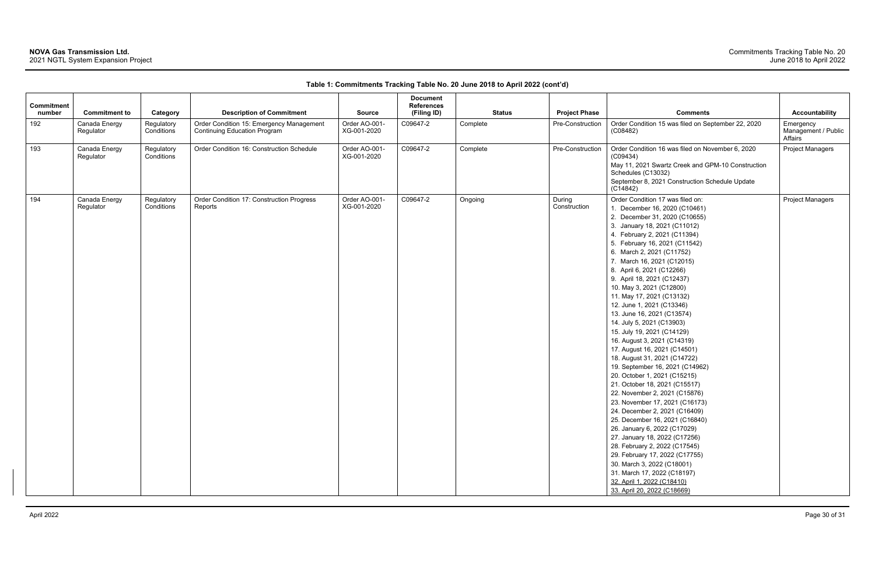| <b>Commitment</b><br>number | <b>Commitment to</b>       | Category                 | <b>Description of Commitment</b>                                                | <b>Source</b>                | <b>Document</b><br><b>References</b><br>(Filing ID) | <b>Status</b> | <b>Project Phase</b>   | <b>Comments</b>                                                                                                                                                                                                                                                                                                                                                                                                                                                                                                                                                                                                                                                                                                                                                                                                                                                                                                                                                                                                                                                                                                 | Accountability                              |
|-----------------------------|----------------------------|--------------------------|---------------------------------------------------------------------------------|------------------------------|-----------------------------------------------------|---------------|------------------------|-----------------------------------------------------------------------------------------------------------------------------------------------------------------------------------------------------------------------------------------------------------------------------------------------------------------------------------------------------------------------------------------------------------------------------------------------------------------------------------------------------------------------------------------------------------------------------------------------------------------------------------------------------------------------------------------------------------------------------------------------------------------------------------------------------------------------------------------------------------------------------------------------------------------------------------------------------------------------------------------------------------------------------------------------------------------------------------------------------------------|---------------------------------------------|
| 192                         | Canada Energy<br>Regulator | Regulatory<br>Conditions | Order Condition 15: Emergency Management<br><b>Continuing Education Program</b> | Order AO-001-<br>XG-001-2020 | C09647-2                                            | Complete      | Pre-Construction       | Order Condition 15 was filed on September 22, 2020<br>(C08482)                                                                                                                                                                                                                                                                                                                                                                                                                                                                                                                                                                                                                                                                                                                                                                                                                                                                                                                                                                                                                                                  | Emergency<br>Management / Public<br>Affairs |
| 193                         | Canada Energy<br>Regulator | Regulatory<br>Conditions | Order Condition 16: Construction Schedule                                       | Order AO-001-<br>XG-001-2020 | C09647-2                                            | Complete      | Pre-Construction       | Order Condition 16 was filed on November 6, 2020<br>(C09434)<br>May 11, 2021 Swartz Creek and GPM-10 Construction<br>Schedules (C13032)<br>September 8, 2021 Construction Schedule Update<br>(C14842)                                                                                                                                                                                                                                                                                                                                                                                                                                                                                                                                                                                                                                                                                                                                                                                                                                                                                                           | <b>Project Managers</b>                     |
| 194                         | Canada Energy<br>Regulator | Regulatory<br>Conditions | Order Condition 17: Construction Progress<br>Reports                            | Order AO-001-<br>XG-001-2020 | C09647-2                                            | Ongoing       | During<br>Construction | Order Condition 17 was filed on:<br>1. December 16, 2020 (C10461)<br>2. December 31, 2020 (C10655)<br>3. January 18, 2021 (C11012)<br>4. February 2, 2021 (C11394)<br>5. February 16, 2021 (C11542)<br>6. March 2, 2021 (C11752)<br>7. March 16, 2021 (C12015)<br>8. April 6, 2021 (C12266)<br>9. April 18, 2021 (C12437)<br>10. May 3, 2021 (C12800)<br>11. May 17, 2021 (C13132)<br>12. June 1, 2021 (C13346)<br>13. June 16, 2021 (C13574)<br>14. July 5, 2021 (C13903)<br>15. July 19, 2021 (C14129)<br>16. August 3, 2021 (C14319)<br>17. August 16, 2021 (C14501)<br>18. August 31, 2021 (C14722)<br>19. September 16, 2021 (C14962)<br>20. October 1, 2021 (C15215)<br>21. October 18, 2021 (C15517)<br>22. November 2, 2021 (C15876)<br>23. November 17, 2021 (C16173)<br>24. December 2, 2021 (C16409)<br>25. December 16, 2021 (C16840)<br>26. January 6, 2022 (C17029)<br>27. January 18, 2022 (C17256)<br>28. February 2, 2022 (C17545)<br>29. February 17, 2022 (C17755)<br>30. March 3, 2022 (C18001)<br>31. March 17, 2022 (C18197)<br>32. April 1, 2022 (C18410)<br>33. April 20, 2022 (C18669) | <b>Project Managers</b>                     |